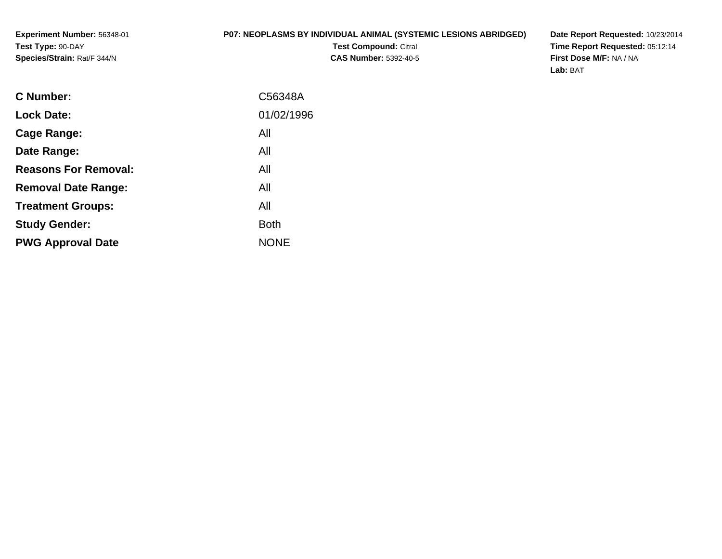#### **P07: NEOPLASMS BY INDIVIDUAL ANIMAL (SYSTEMIC LESIONS ABRIDGED)**

**Test Compound:** Citral **CAS Number:** 5392-40-5 **Date Report Requested:** 10/23/2014 **Time Report Requested:** 05:12:14**First Dose M/F:** NA / NA**Lab:** BAT

| <b>C</b> Number:            | C56348A     |
|-----------------------------|-------------|
| <b>Lock Date:</b>           | 01/02/1996  |
| Cage Range:                 | All         |
| Date Range:                 | All         |
| <b>Reasons For Removal:</b> | All         |
| <b>Removal Date Range:</b>  | All         |
| <b>Treatment Groups:</b>    | All         |
| <b>Study Gender:</b>        | <b>Both</b> |
| <b>PWG Approval Date</b>    | <b>NONE</b> |
|                             |             |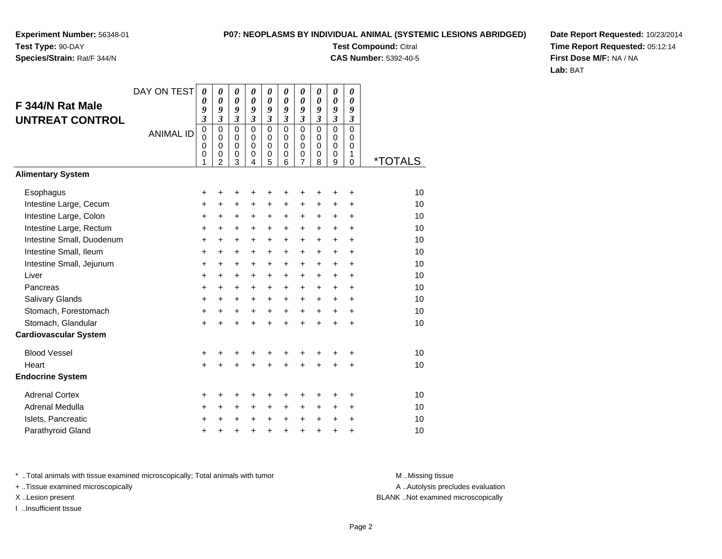### **Species/Strain:** Rat/F 344/N

#### **P07: NEOPLASMS BY INDIVIDUAL ANIMAL (SYSTEMIC LESIONS ABRIDGED)**

**Test Compound:** Citral

**CAS Number:** 5392-40-5

**Date Report Requested:** 10/23/2014**Time Report Requested:** 05:12:14**First Dose M/F:** NA / NA**Lab:** BAT

| F 344/N Rat Male<br><b>UNTREAT CONTROL</b> | DAY ON TEST      | $\boldsymbol{\theta}$<br>0<br>9<br>3                | $\boldsymbol{\theta}$<br>$\boldsymbol{\theta}$<br>9<br>$\mathfrak{z}$    | 0<br>$\boldsymbol{\theta}$<br>9<br>$\boldsymbol{\mathfrak{z}}$ | 0<br>0<br>9<br>$\mathfrak{z}$                              | 0<br>0<br>9<br>$\boldsymbol{\beta}$     | 0<br>0<br>9<br>$\mathfrak{z}$                    | 0<br>0<br>9<br>$\overline{\mathbf{3}}$                 | 0<br>0<br>9<br>$\overline{\mathbf{3}}$ | 0<br>$\boldsymbol{\theta}$<br>9<br>$\boldsymbol{\mathfrak{z}}$ | 0<br>0<br>9<br>$\boldsymbol{\mathfrak{z}}$              |                       |
|--------------------------------------------|------------------|-----------------------------------------------------|--------------------------------------------------------------------------|----------------------------------------------------------------|------------------------------------------------------------|-----------------------------------------|--------------------------------------------------|--------------------------------------------------------|----------------------------------------|----------------------------------------------------------------|---------------------------------------------------------|-----------------------|
|                                            | <b>ANIMAL ID</b> | $\mathbf 0$<br>$\mathbf 0$<br>$\mathbf 0$<br>0<br>1 | $\mathbf 0$<br>$\mathbf 0$<br>$\pmb{0}$<br>$\mathbf 0$<br>$\overline{2}$ | $\mathbf 0$<br>$\mathbf 0$<br>$\pmb{0}$<br>$\pmb{0}$<br>3      | $\Omega$<br>$\Omega$<br>$\mathbf 0$<br>0<br>$\overline{4}$ | $\mathbf 0$<br>0<br>$\pmb{0}$<br>0<br>5 | $\mathbf 0$<br>$\Omega$<br>$\mathbf 0$<br>0<br>6 | $\mathsf 0$<br>$\mathbf 0$<br>0<br>0<br>$\overline{7}$ | $\mathbf 0$<br>$\Omega$<br>0<br>0<br>8 | $\mathbf 0$<br>0<br>$\pmb{0}$<br>0<br>9                        | $\mathbf 0$<br>$\Omega$<br>$\mathbf 0$<br>1<br>$\Omega$ | <i><b>*TOTALS</b></i> |
| <b>Alimentary System</b>                   |                  |                                                     |                                                                          |                                                                |                                                            |                                         |                                                  |                                                        |                                        |                                                                |                                                         |                       |
| Esophagus                                  |                  | +                                                   |                                                                          | +                                                              | +                                                          | +                                       |                                                  |                                                        |                                        | +                                                              | +                                                       | 10                    |
| Intestine Large, Cecum                     |                  | +                                                   | +                                                                        | $\ddot{}$                                                      | $\ddot{}$                                                  | +                                       | +                                                | +                                                      | +                                      | +                                                              | $\ddot{}$                                               | 10                    |
| Intestine Large, Colon                     |                  | $\ddot{}$                                           | $\ddot{}$                                                                | +                                                              | $\ddot{}$                                                  | +                                       | $\ddot{}$                                        | $\pm$                                                  | $\ddot{}$                              | $\ddot{}$                                                      | $\ddot{}$                                               | 10                    |
| Intestine Large, Rectum                    |                  | $\ddot{}$                                           | $\ddot{}$                                                                | $\ddot{}$                                                      | +                                                          | +                                       | $\pm$                                            | $\ddot{}$                                              | $\ddot{}$                              | $\ddot{}$                                                      | $\ddot{}$                                               | 10                    |
| Intestine Small, Duodenum                  |                  | $\ddot{}$                                           | $\ddot{}$                                                                | $\ddot{}$                                                      | $\ddot{}$                                                  | $\ddot{}$                               | $\ddot{}$                                        | $+$                                                    | $\ddot{}$                              | $\ddot{}$                                                      | $\ddot{}$                                               | 10                    |
| Intestine Small, Ileum                     |                  | $\ddot{}$                                           | $\ddot{}$                                                                | $\ddot{}$                                                      | $\ddot{}$                                                  | +                                       | $\ddot{}$                                        | $\ddot{}$                                              | $\ddot{}$                              | $\ddot{}$                                                      | $\ddot{}$                                               | 10                    |
| Intestine Small, Jejunum                   |                  | $\ddot{}$                                           | $\ddot{}$                                                                | $\ddot{}$                                                      | $\ddot{}$                                                  | $\ddot{}$                               | $\ddot{}$                                        | $\pm$                                                  | $\ddot{}$                              | $\ddot{}$                                                      | $\ddot{}$                                               | 10                    |
| Liver                                      |                  | $\ddot{}$                                           | $\ddot{}$                                                                | $\ddot{}$                                                      | $\ddot{}$                                                  | $\ddot{}$                               | $+$                                              | $\ddot{}$                                              | $\ddot{}$                              | $\ddot{}$                                                      | $\ddot{}$                                               | 10                    |
| Pancreas                                   |                  | $\ddot{}$                                           | $\ddot{}$                                                                | $\ddot{}$                                                      | $\ddot{}$                                                  | $\ddot{}$                               | $\ddot{}$                                        | $\pm$                                                  | $\ddot{}$                              | $\ddot{}$                                                      | $\ddot{}$                                               | 10                    |
| <b>Salivary Glands</b>                     |                  | +                                                   | +                                                                        | +                                                              | +                                                          | +                                       | $\ddot{}$                                        | $\ddot{}$                                              | $\ddot{}$                              | $\ddot{}$                                                      | $\ddot{}$                                               | 10                    |
| Stomach, Forestomach                       |                  | +                                                   | $\ddot{}$                                                                | $\ddot{}$                                                      | $\ddot{}$                                                  | $\ddot{}$                               | $\ddot{}$                                        | $\ddot{}$                                              | $+$                                    | $+$                                                            | $\ddot{}$                                               | 10                    |
| Stomach, Glandular                         |                  | $\ddot{}$                                           | $\ddot{}$                                                                | $\ddot{}$                                                      | $\ddot{}$                                                  | $\ddot{}$                               | $\ddot{}$                                        | $+$                                                    | $\ddot{}$                              | $\ddot{}$                                                      | $\ddot{}$                                               | 10                    |
| <b>Cardiovascular System</b>               |                  |                                                     |                                                                          |                                                                |                                                            |                                         |                                                  |                                                        |                                        |                                                                |                                                         |                       |
| <b>Blood Vessel</b>                        |                  | +                                                   |                                                                          | ٠                                                              | +                                                          | +                                       |                                                  |                                                        |                                        |                                                                | +                                                       | 10                    |
| Heart                                      |                  | $\ddot{}$                                           |                                                                          | $\ddot{}$                                                      | $\ddot{}$                                                  | $\ddot{}$                               | $\ddot{}$                                        | $\ddot{}$                                              | $\ddot{}$                              | +                                                              | $\ddot{}$                                               | 10                    |
| <b>Endocrine System</b>                    |                  |                                                     |                                                                          |                                                                |                                                            |                                         |                                                  |                                                        |                                        |                                                                |                                                         |                       |
| <b>Adrenal Cortex</b>                      |                  | +                                                   |                                                                          | +                                                              | +                                                          | +                                       |                                                  | +                                                      | +                                      |                                                                | ÷                                                       | 10                    |
| Adrenal Medulla                            |                  | +                                                   | $\ddot{}$                                                                | $\ddot{}$                                                      | $\ddot{}$                                                  | $\ddot{}$                               | $\ddot{}$                                        | $\ddot{}$                                              | $\ddot{}$                              | $\ddot{}$                                                      | $\ddot{}$                                               | 10                    |
| Islets, Pancreatic                         |                  | +                                                   |                                                                          | $\pm$                                                          | +                                                          | $\ddot{}$                               | $\ddot{}$                                        | $\ddot{}$                                              | $\ddot{}$                              | $\ddot{}$                                                      | $\ddot{}$                                               | 10                    |
| Parathyroid Gland                          |                  | +                                                   |                                                                          | +                                                              | +                                                          | +                                       | +                                                | +                                                      | +                                      | +                                                              | +                                                       | 10                    |

\* ..Total animals with tissue examined microscopically; Total animals with tumor **M** . Missing tissue M ..Missing tissue

+ ..Tissue examined microscopically

I ..Insufficient tissue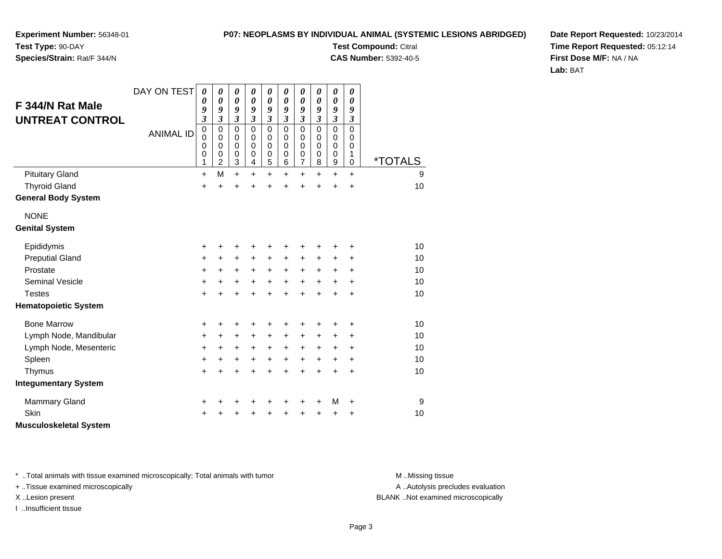#### **P07: NEOPLASMS BY INDIVIDUAL ANIMAL (SYSTEMIC LESIONS ABRIDGED)**

**Experiment Number:** 56348-01**Test Type:** 90-DAY

### **Species/Strain:** Rat/F 344/N

**Test Compound:** Citral **CAS Number:** 5392-40-5

**Date Report Requested:** 10/23/2014**Time Report Requested:** 05:12:14**First Dose M/F:** NA / NA**Lab:** BAT

| F 344/N Rat Male<br><b>UNTREAT CONTROL</b> | DAY ON TEST<br><b>ANIMAL ID</b> | 0<br>0<br>9<br>$\overline{\mathbf{3}}$<br>$\pmb{0}$<br>$\mathbf 0$<br>0<br>$\mathbf 0$<br>1 | 0<br>0<br>9<br>3<br>$\mathbf 0$<br>0<br>$\mathbf 0$<br>$\mathbf 0$<br>$\overline{c}$ | 0<br>0<br>9<br>$\overline{\mathbf{3}}$<br>$\mathbf 0$<br>0<br>0<br>$\mathbf 0$<br>$\ensuremath{\mathsf{3}}$ | 0<br>$\boldsymbol{\theta}$<br>9<br>$\overline{\mathbf{3}}$<br>$\Omega$<br>$\Omega$<br>0<br>$\mathbf 0$<br>4 | 0<br>$\boldsymbol{\theta}$<br>9<br>$\mathfrak{z}$<br>$\mathbf 0$<br>0<br>0<br>$\pmb{0}$<br>5 | 0<br>$\boldsymbol{\theta}$<br>9<br>$\mathfrak{z}$<br>$\Omega$<br>$\Omega$<br>0<br>$\pmb{0}$<br>6 | 0<br>$\boldsymbol{\theta}$<br>9<br>$\mathfrak{z}$<br>$\mathbf 0$<br>0<br>0<br>$\pmb{0}$<br>$\overline{7}$ | 0<br>0<br>9<br>$\mathfrak{z}$<br>$\mathbf 0$<br>$\Omega$<br>0<br>0<br>8 | 0<br>$\boldsymbol{\theta}$<br>9<br>$\mathfrak{z}$<br>$\mathbf 0$<br>0<br>0<br>$\mathbf 0$<br>$\boldsymbol{9}$ | 0<br>0<br>9<br>$\mathfrak{z}$<br>$\Omega$<br>0<br>$\mathbf 0$<br>1<br>0 | <i><b>*TOTALS</b></i> |
|--------------------------------------------|---------------------------------|---------------------------------------------------------------------------------------------|--------------------------------------------------------------------------------------|-------------------------------------------------------------------------------------------------------------|-------------------------------------------------------------------------------------------------------------|----------------------------------------------------------------------------------------------|--------------------------------------------------------------------------------------------------|-----------------------------------------------------------------------------------------------------------|-------------------------------------------------------------------------|---------------------------------------------------------------------------------------------------------------|-------------------------------------------------------------------------|-----------------------|
| <b>Pituitary Gland</b>                     |                                 | $\ddot{}$                                                                                   | M                                                                                    | $\ddot{}$                                                                                                   | $\ddot{}$                                                                                                   | $\ddot{}$                                                                                    | $\ddot{}$                                                                                        | $\ddot{}$                                                                                                 | +                                                                       | $\ddot{}$                                                                                                     | $\ddot{}$                                                               | 9                     |
| <b>Thyroid Gland</b>                       |                                 | +                                                                                           | $\ddot{}$                                                                            | $\ddot{}$                                                                                                   | +                                                                                                           | $\ddot{}$                                                                                    |                                                                                                  | $\ddot{}$                                                                                                 | ÷                                                                       | $\ddot{}$                                                                                                     | $\ddot{}$                                                               | 10                    |
| <b>General Body System</b>                 |                                 |                                                                                             |                                                                                      |                                                                                                             |                                                                                                             |                                                                                              |                                                                                                  |                                                                                                           |                                                                         |                                                                                                               |                                                                         |                       |
| <b>NONE</b>                                |                                 |                                                                                             |                                                                                      |                                                                                                             |                                                                                                             |                                                                                              |                                                                                                  |                                                                                                           |                                                                         |                                                                                                               |                                                                         |                       |
| <b>Genital System</b>                      |                                 |                                                                                             |                                                                                      |                                                                                                             |                                                                                                             |                                                                                              |                                                                                                  |                                                                                                           |                                                                         |                                                                                                               |                                                                         |                       |
| Epididymis                                 |                                 | +                                                                                           | +                                                                                    | +                                                                                                           | +                                                                                                           | +                                                                                            |                                                                                                  | +                                                                                                         |                                                                         | +                                                                                                             | +                                                                       | 10                    |
| <b>Preputial Gland</b>                     |                                 | +                                                                                           | $\ddot{}$                                                                            | $\ddot{}$                                                                                                   | +                                                                                                           | $\ddot{}$                                                                                    | $\ddot{}$                                                                                        | $\ddot{}$                                                                                                 |                                                                         | +                                                                                                             | +                                                                       | 10                    |
| Prostate                                   |                                 | +                                                                                           | $\ddot{}$                                                                            | +                                                                                                           | $\ddot{}$                                                                                                   | $\ddot{}$                                                                                    | $\ddot{}$                                                                                        | $\ddot{}$                                                                                                 | $\ddot{}$                                                               | +                                                                                                             | $\ddot{}$                                                               | 10                    |
| <b>Seminal Vesicle</b>                     |                                 | $\ddot{}$                                                                                   | $+$                                                                                  | $\ddot{}$                                                                                                   | $\ddot{}$                                                                                                   | $\ddot{}$                                                                                    | $+$                                                                                              | $\ddot{}$                                                                                                 | $\ddot{}$                                                               | $\ddot{}$                                                                                                     | $\ddot{}$                                                               | 10                    |
| <b>Testes</b>                              |                                 | $\ddot{}$                                                                                   | $\ddot{}$                                                                            | $\ddot{}$                                                                                                   | $\ddot{}$                                                                                                   | $\ddot{}$                                                                                    | $\ddot{}$                                                                                        | $\ddot{}$                                                                                                 | $\ddot{}$                                                               | $\ddot{}$                                                                                                     | $\ddot{}$                                                               | 10                    |
| <b>Hematopoietic System</b>                |                                 |                                                                                             |                                                                                      |                                                                                                             |                                                                                                             |                                                                                              |                                                                                                  |                                                                                                           |                                                                         |                                                                                                               |                                                                         |                       |
| <b>Bone Marrow</b>                         |                                 | +                                                                                           | $\pm$                                                                                | +                                                                                                           | +                                                                                                           | +                                                                                            |                                                                                                  | +                                                                                                         | +                                                                       | +                                                                                                             | +                                                                       | 10                    |
| Lymph Node, Mandibular                     |                                 | +                                                                                           | $\ddot{}$                                                                            | $\ddot{}$                                                                                                   | $\ddot{}$                                                                                                   | $\ddot{}$                                                                                    | $\ddot{}$                                                                                        | $\ddot{}$                                                                                                 | +                                                                       | +                                                                                                             | +                                                                       | 10                    |
| Lymph Node, Mesenteric                     |                                 | +                                                                                           | $\ddot{}$                                                                            | $\ddot{}$                                                                                                   | $\ddot{}$                                                                                                   | $\ddot{}$                                                                                    | $\ddot{}$                                                                                        | $\ddot{}$                                                                                                 | +                                                                       | +                                                                                                             | $\ddot{}$                                                               | 10                    |
| Spleen                                     |                                 | +                                                                                           | $\ddot{}$                                                                            | +                                                                                                           | +                                                                                                           | $\ddot{}$                                                                                    | $\ddot{}$                                                                                        | $\ddot{}$                                                                                                 | +                                                                       | +                                                                                                             | $\ddot{}$                                                               | 10                    |
| Thymus                                     |                                 | $\pm$                                                                                       | +                                                                                    | +                                                                                                           | +                                                                                                           | +                                                                                            |                                                                                                  | $\ddot{}$                                                                                                 | $\ddot{}$                                                               | $\ddot{}$                                                                                                     | $\ddot{}$                                                               | 10                    |
| <b>Integumentary System</b>                |                                 |                                                                                             |                                                                                      |                                                                                                             |                                                                                                             |                                                                                              |                                                                                                  |                                                                                                           |                                                                         |                                                                                                               |                                                                         |                       |
| <b>Mammary Gland</b>                       |                                 | +                                                                                           | +                                                                                    | +                                                                                                           | +                                                                                                           | +                                                                                            |                                                                                                  | +                                                                                                         | +                                                                       | M                                                                                                             | +                                                                       | 9                     |
| <b>Skin</b>                                |                                 | +                                                                                           |                                                                                      | +                                                                                                           | +                                                                                                           | +                                                                                            |                                                                                                  | +                                                                                                         | +                                                                       | +                                                                                                             | +                                                                       | 10                    |
| <b>Musculoskeletal System</b>              |                                 |                                                                                             |                                                                                      |                                                                                                             |                                                                                                             |                                                                                              |                                                                                                  |                                                                                                           |                                                                         |                                                                                                               |                                                                         |                       |

\* ..Total animals with tissue examined microscopically; Total animals with tumor **M** . Missing tissue M ..Missing tissue

+ ..Tissue examined microscopically

I ..Insufficient tissue

A ..Autolysis precludes evaluation

X ..Lesion present BLANK ..Not examined microscopically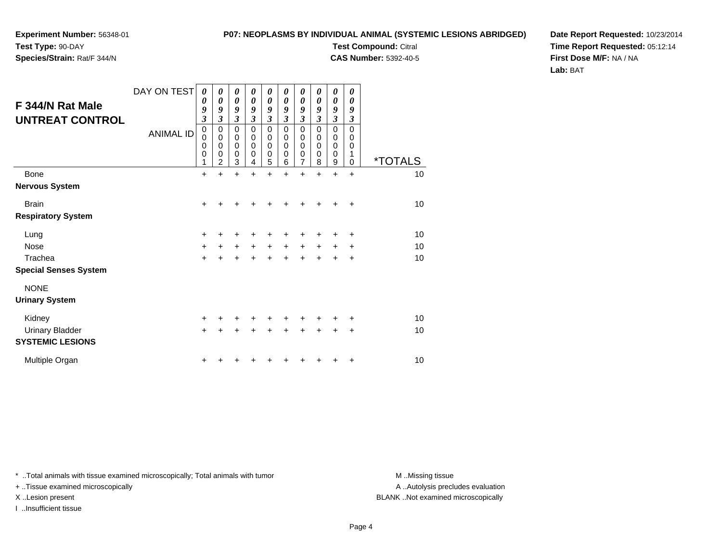### **Experiment Number:** 56348-01

#### **P07: NEOPLASMS BY INDIVIDUAL ANIMAL (SYSTEMIC LESIONS ABRIDGED)**

**Test Type:** 90-DAY

**Species/Strain:** Rat/F 344/N

# **Test Compound:** Citral

**CAS Number:** 5392-40-5

**Date Report Requested:** 10/23/2014**Time Report Requested:** 05:12:14**First Dose M/F:** NA / NA**Lab:** BAT

| F 344/N Rat Male<br><b>UNTREAT CONTROL</b>        | DAY ON TEST<br><b>ANIMAL ID</b> | $\boldsymbol{\theta}$<br>0<br>9<br>$\overline{\mathbf{3}}$<br>$\boldsymbol{0}$<br>0<br>0<br>0<br>1 | 0<br>$\boldsymbol{\theta}$<br>9<br>3<br>$\mathbf 0$<br>$\mathbf 0$<br>$\mathbf 0$<br>0<br>$\overline{2}$ | 0<br>$\boldsymbol{\theta}$<br>9<br>$\overline{\mathbf{3}}$<br>$\mathbf 0$<br>$\mathbf 0$<br>0<br>0<br>3 | 0<br>$\boldsymbol{\theta}$<br>9<br>3<br>$\mathbf 0$<br>$\mathbf 0$<br>$\mathbf 0$<br>0<br>4 | $\boldsymbol{\theta}$<br>$\boldsymbol{\theta}$<br>9<br>$\overline{\mathbf{3}}$<br>$\mathbf 0$<br>$\mathbf 0$<br>$\mathbf 0$<br>$\pmb{0}$<br>5 | $\boldsymbol{\theta}$<br>$\boldsymbol{\theta}$<br>9<br>$\mathfrak{z}$<br>$\mathbf 0$<br>$\mathbf 0$<br>$\mathbf 0$<br>$\mathbf 0$<br>6 | $\boldsymbol{\theta}$<br>$\boldsymbol{\theta}$<br>9<br>$\mathfrak{z}$<br>$\mathbf 0$<br>$\mathbf 0$<br>$\mathbf 0$<br>$\mathbf 0$<br>$\overline{7}$ | $\boldsymbol{\theta}$<br>$\boldsymbol{\theta}$<br>9<br>3<br>$\mathbf 0$<br>$\mathbf 0$<br>$\mathbf 0$<br>0<br>8 | 0<br>$\boldsymbol{\theta}$<br>9<br>$\mathfrak{z}$<br>$\mathbf 0$<br>$\mathbf 0$<br>$\mathbf 0$<br>$\mathbf 0$<br>$\boldsymbol{9}$ | $\boldsymbol{\theta}$<br>0<br>9<br>$\boldsymbol{\beta}$<br>$\Omega$<br>$\mathbf 0$<br>$\mathbf 0$<br>1<br>$\Omega$ | <i><b>*TOTALS</b></i> |
|---------------------------------------------------|---------------------------------|----------------------------------------------------------------------------------------------------|----------------------------------------------------------------------------------------------------------|---------------------------------------------------------------------------------------------------------|---------------------------------------------------------------------------------------------|-----------------------------------------------------------------------------------------------------------------------------------------------|----------------------------------------------------------------------------------------------------------------------------------------|-----------------------------------------------------------------------------------------------------------------------------------------------------|-----------------------------------------------------------------------------------------------------------------|-----------------------------------------------------------------------------------------------------------------------------------|--------------------------------------------------------------------------------------------------------------------|-----------------------|
| <b>Bone</b>                                       |                                 | $\ddot{}$                                                                                          | +                                                                                                        | +                                                                                                       | +                                                                                           | +                                                                                                                                             | $\div$                                                                                                                                 | $\ddot{}$                                                                                                                                           | +                                                                                                               | $\ddot{}$                                                                                                                         | $\ddot{}$                                                                                                          | 10                    |
| <b>Nervous System</b>                             |                                 |                                                                                                    |                                                                                                          |                                                                                                         |                                                                                             |                                                                                                                                               |                                                                                                                                        |                                                                                                                                                     |                                                                                                                 |                                                                                                                                   |                                                                                                                    |                       |
| <b>Brain</b>                                      |                                 | $\ddot{}$                                                                                          |                                                                                                          |                                                                                                         |                                                                                             | ٠                                                                                                                                             |                                                                                                                                        |                                                                                                                                                     |                                                                                                                 |                                                                                                                                   | ÷                                                                                                                  | 10                    |
| <b>Respiratory System</b>                         |                                 |                                                                                                    |                                                                                                          |                                                                                                         |                                                                                             |                                                                                                                                               |                                                                                                                                        |                                                                                                                                                     |                                                                                                                 |                                                                                                                                   |                                                                                                                    |                       |
| Lung                                              |                                 | $\ddot{}$                                                                                          | ٠                                                                                                        | +                                                                                                       | ٠                                                                                           | +                                                                                                                                             | ٠                                                                                                                                      | +                                                                                                                                                   | ÷                                                                                                               | ٠                                                                                                                                 | ÷                                                                                                                  | 10                    |
| Nose                                              |                                 | $\ddot{}$                                                                                          | $+$                                                                                                      | $\ddot{}$                                                                                               | $+$                                                                                         | $+$                                                                                                                                           | $+$                                                                                                                                    | $\ddot{}$                                                                                                                                           | $\ddot{}$                                                                                                       | $\ddot{}$                                                                                                                         | +                                                                                                                  | 10                    |
| Trachea                                           |                                 | $\ddot{}$                                                                                          | ÷                                                                                                        | $\ddot{}$                                                                                               | +                                                                                           | $\ddot{}$                                                                                                                                     | ÷                                                                                                                                      | +                                                                                                                                                   |                                                                                                                 |                                                                                                                                   | ÷                                                                                                                  | 10                    |
| <b>Special Senses System</b>                      |                                 |                                                                                                    |                                                                                                          |                                                                                                         |                                                                                             |                                                                                                                                               |                                                                                                                                        |                                                                                                                                                     |                                                                                                                 |                                                                                                                                   |                                                                                                                    |                       |
| <b>NONE</b><br><b>Urinary System</b>              |                                 |                                                                                                    |                                                                                                          |                                                                                                         |                                                                                             |                                                                                                                                               |                                                                                                                                        |                                                                                                                                                     |                                                                                                                 |                                                                                                                                   |                                                                                                                    |                       |
| Kidney                                            |                                 | $\ddot{}$                                                                                          |                                                                                                          |                                                                                                         |                                                                                             | ٠                                                                                                                                             |                                                                                                                                        |                                                                                                                                                     |                                                                                                                 |                                                                                                                                   | +                                                                                                                  | 10                    |
| <b>Urinary Bladder</b><br><b>SYSTEMIC LESIONS</b> |                                 | $\ddot{}$                                                                                          |                                                                                                          | +                                                                                                       | $\ddot{}$                                                                                   | $\ddot{}$                                                                                                                                     | $\ddot{}$                                                                                                                              | $\ddot{}$                                                                                                                                           |                                                                                                                 | +                                                                                                                                 | $\ddot{}$                                                                                                          | 10                    |
| Multiple Organ                                    |                                 | +                                                                                                  |                                                                                                          |                                                                                                         |                                                                                             |                                                                                                                                               |                                                                                                                                        |                                                                                                                                                     |                                                                                                                 |                                                                                                                                   | ٠                                                                                                                  | 10                    |

\* ..Total animals with tissue examined microscopically; Total animals with tumor **M** . Missing tissue M ..Missing tissue

+ ..Tissue examined microscopically

I ..Insufficient tissue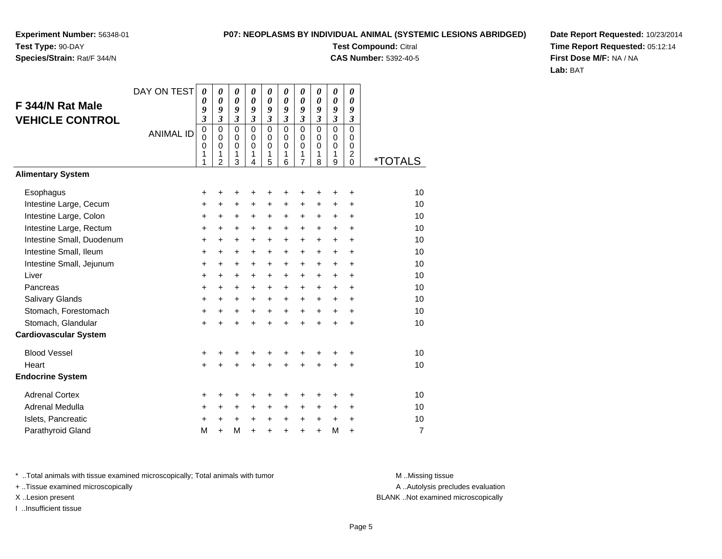## **Species/Strain:** Rat/F 344/N

#### **P07: NEOPLASMS BY INDIVIDUAL ANIMAL (SYSTEMIC LESIONS ABRIDGED)**

**Test Compound:** Citral **CAS Number:** 5392-40-5

**Date Report Requested:** 10/23/2014**Time Report Requested:** 05:12:14**First Dose M/F:** NA / NA**Lab:** BAT

|                              | DAY ON TEST      | $\boldsymbol{\theta}$      | $\boldsymbol{\theta}$      | 0                          | 0                          | 0                          | $\theta$                    | 0                          | 0                          | 0                          | 0                       |                       |
|------------------------------|------------------|----------------------------|----------------------------|----------------------------|----------------------------|----------------------------|-----------------------------|----------------------------|----------------------------|----------------------------|-------------------------|-----------------------|
| F 344/N Rat Male             |                  | $\boldsymbol{\theta}$<br>9 | $\boldsymbol{\theta}$<br>9 | $\boldsymbol{\theta}$<br>9 | 0<br>9                     | $\boldsymbol{\theta}$<br>9 | $\boldsymbol{\theta}$<br>9  | $\boldsymbol{\theta}$<br>9 | $\boldsymbol{\theta}$<br>9 | $\boldsymbol{\theta}$<br>9 | 0<br>9                  |                       |
| <b>VEHICLE CONTROL</b>       |                  | $\mathfrak{z}$             | $\mathfrak{z}$             | $\mathfrak{z}$             | $\overline{\mathbf{3}}$    | $\mathfrak{z}$             | $\boldsymbol{\mathfrak{z}}$ | $\mathfrak{z}$             | $\overline{\mathbf{3}}$    | $\mathfrak{z}$             | $\boldsymbol{\beta}$    |                       |
|                              | <b>ANIMAL ID</b> | $\mathbf 0$<br>$\mathbf 0$ | $\mathbf 0$<br>$\mathbf 0$ | $\mathbf 0$<br>$\mathbf 0$ | $\mathbf 0$<br>$\mathbf 0$ | $\mathbf 0$<br>$\mathbf 0$ | $\mathbf 0$<br>$\Omega$     | $\mathsf 0$<br>$\mathbf 0$ | $\mathbf 0$<br>$\mathbf 0$ | $\mathbf 0$<br>$\mathbf 0$ | $\mathbf 0$<br>$\Omega$ |                       |
|                              |                  | $\mathbf 0$                | $\mathbf 0$                | $\Omega$                   | $\Omega$                   | $\mathbf 0$                | $\Omega$                    | $\mathbf 0$                | $\Omega$                   | $\mathbf 0$                | $\Omega$                |                       |
|                              |                  | 1<br>1                     | 1<br>$\overline{2}$        | 1<br>3                     | 1<br>$\overline{4}$        | 1<br>5                     | 1<br>6                      | 1<br>7                     | 1<br>8                     | 1<br>9                     | 2<br>$\Omega$           | <i><b>*TOTALS</b></i> |
| <b>Alimentary System</b>     |                  |                            |                            |                            |                            |                            |                             |                            |                            |                            |                         |                       |
| Esophagus                    |                  | +                          | +                          | +                          | +                          | +                          | +                           | +                          | +                          | ٠                          | +                       | 10                    |
| Intestine Large, Cecum       |                  | +                          | +                          | +                          | +                          | +                          | +                           | +                          | +                          | +                          | $\ddot{}$               | 10                    |
| Intestine Large, Colon       |                  | $\ddot{}$                  | $\ddot{}$                  | $\ddot{}$                  | +                          | $\ddot{}$                  | $\ddot{}$                   | $\ddot{}$                  | $\ddot{}$                  | $\ddot{}$                  | $\ddot{}$               | 10                    |
| Intestine Large, Rectum      |                  | $\pmb{+}$                  | $\ddot{}$                  | +                          | $\ddot{}$                  | $\ddot{}$                  | $\ddot{}$                   | $\ddot{}$                  | +                          | $\ddot{}$                  | $\ddot{}$               | 10                    |
| Intestine Small, Duodenum    |                  | +                          | $\ddot{}$                  | $\ddot{}$                  | $\ddot{}$                  | $\ddot{}$                  | $\ddot{}$                   | $+$                        | $\pm$                      | $+$                        | $\ddot{}$               | 10                    |
| Intestine Small, Ileum       |                  | $\pmb{+}$                  | $\ddot{}$                  | $\ddot{}$                  | $\ddot{}$                  | $\ddot{}$                  | $\ddot{}$                   | +                          | $\ddot{}$                  | $+$                        | $\ddot{}$               | 10                    |
| Intestine Small, Jejunum     |                  | +                          | $\ddot{}$                  | $\ddot{}$                  | +                          | +                          | $\ddot{}$                   | $\pm$                      | $\pm$                      | $\ddot{}$                  | +                       | 10                    |
| Liver                        |                  | $\ddot{}$                  | $+$                        | $\ddot{}$                  | $\ddot{}$                  | $\ddot{}$                  | $\ddot{}$                   | $\ddot{}$                  | $\ddot{}$                  | $+$                        | $\ddot{}$               | 10                    |
| Pancreas                     |                  | $\ddot{}$                  | $\ddot{}$                  | $\ddot{}$                  | $\ddot{}$                  | $\ddot{}$                  | $\ddot{}$                   | $\ddot{}$                  | $\ddot{}$                  | $+$                        | +                       | 10                    |
| Salivary Glands              |                  | +                          | $\ddot{}$                  | $\ddot{}$                  | $\ddot{}$                  | $\ddot{}$                  | $\ddot{}$                   | $\ddot{}$                  | $\ddot{}$                  | $+$                        | $\ddot{}$               | 10                    |
| Stomach, Forestomach         |                  | $\pmb{+}$                  | $\ddot{}$                  | +                          | +                          | $\ddot{}$                  | $\ddot{}$                   | $\ddot{}$                  | $\ddot{}$                  | $\ddot{}$                  | +                       | 10                    |
| Stomach, Glandular           |                  | $\ddot{}$                  |                            |                            |                            | $\ddot{}$                  | $\ddot{}$                   | $\ddot{}$                  | ÷                          | $\ddot{}$                  | $\ddot{}$               | 10                    |
| <b>Cardiovascular System</b> |                  |                            |                            |                            |                            |                            |                             |                            |                            |                            |                         |                       |
| <b>Blood Vessel</b>          |                  | +                          | ٠                          | +                          | +                          | +                          | +                           | ٠                          | +                          | ٠                          | +                       | 10                    |
| Heart                        |                  | $\ddot{}$                  |                            | ÷                          |                            | $\ddot{}$                  | $\ddot{}$                   | $\ddot{}$                  |                            | $\ddot{}$                  | $\ddot{}$               | 10                    |
| <b>Endocrine System</b>      |                  |                            |                            |                            |                            |                            |                             |                            |                            |                            |                         |                       |
| <b>Adrenal Cortex</b>        |                  | +                          | +                          | +                          | +                          | +                          | +                           | +                          | +                          | +                          | +                       | 10                    |
| Adrenal Medulla              |                  | $\ddot{}$                  | +                          | +                          | +                          | +                          | $\ddot{}$                   | +                          | $\pm$                      | $\ddot{}$                  | $\ddot{}$               | 10                    |
| Islets, Pancreatic           |                  | +                          | $\ddot{}$                  | $\ddot{}$                  | $\ddot{}$                  | +                          | +                           | +                          | $\pm$                      | $\ddot{}$                  | $\ddot{}$               | 10                    |
| Parathyroid Gland            |                  | M                          | $\ddot{}$                  | M                          | $\ddot{}$                  | $\ddot{}$                  | $\ddot{}$                   | $\ddot{}$                  | $\ddot{}$                  | M                          | $\ddot{}$               | $\overline{7}$        |

\* ..Total animals with tissue examined microscopically; Total animals with tumor **M** . Missing tissue M ..Missing tissue

+ ..Tissue examined microscopically

I ..Insufficient tissue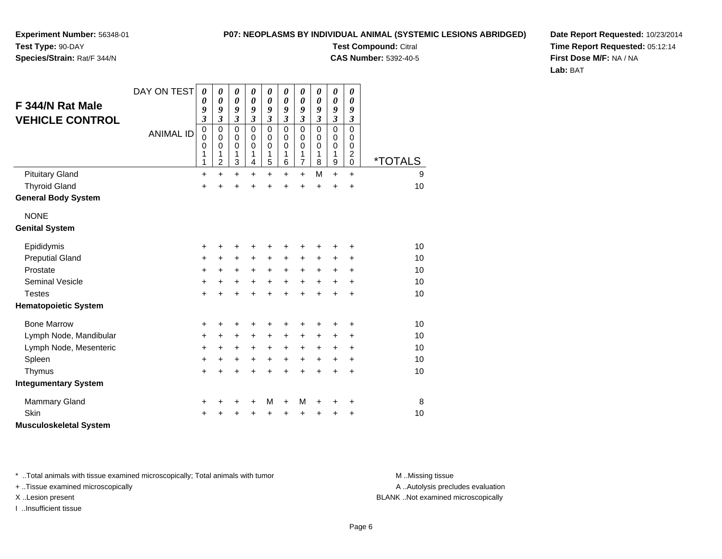#### **P07: NEOPLASMS BY INDIVIDUAL ANIMAL (SYSTEMIC LESIONS ABRIDGED)**

**Experiment Number:** 56348-01**Test Type:** 90-DAY

**Species/Strain:** Rat/F 344/N

**Test Compound:** Citral **CAS Number:** 5392-40-5

**Date Report Requested:** 10/23/2014**Time Report Requested:** 05:12:14**First Dose M/F:** NA / NA**Lab:** BAT

| F 344/N Rat Male<br><b>VEHICLE CONTROL</b><br><b>Pituitary Gland</b> | DAY ON TEST<br><b>ANIMAL ID</b> | 0<br>0<br>9<br>3<br>$\mathbf 0$<br>0<br>$\mathbf 0$<br>1<br>1<br>$\ddot{}$ | 0<br>$\boldsymbol{\theta}$<br>9<br>3<br>0<br>0<br>$\mathbf 0$<br>1<br>$\overline{c}$<br>$\ddot{}$ | 0<br>$\pmb{\theta}$<br>9<br>$\overline{\mathbf{3}}$<br>$\mathbf 0$<br>0<br>$\mathbf 0$<br>1<br>3<br>$\ddot{}$ | 0<br>0<br>9<br>$\overline{\mathbf{3}}$<br>$\mathbf 0$<br>$\Omega$<br>$\mathbf 0$<br>1<br>4<br>$\ddot{}$ | 0<br>$\boldsymbol{\theta}$<br>9<br>$\overline{\mathbf{3}}$<br>$\mathbf 0$<br>0<br>$\mathbf 0$<br>1<br>5<br>$\ddot{}$ | 0<br>0<br>9<br>$\mathfrak{z}$<br>$\mathbf{0}$<br>0<br>$\mathbf 0$<br>1<br>6<br>+ | 0<br>$\boldsymbol{\theta}$<br>9<br>$\mathfrak{z}$<br>$\pmb{0}$<br>0<br>$\pmb{0}$<br>$\mathbf{1}$<br>$\overline{7}$<br>$+$ | 0<br>0<br>9<br>$\mathfrak{z}$<br>$\mathbf 0$<br>0<br>$\mathbf 0$<br>1<br>8<br>M | 0<br>0<br>9<br>$\mathfrak{z}$<br>$\mathbf 0$<br>0<br>$\mathbf 0$<br>1<br>$\boldsymbol{9}$<br>$\ddot{}$ | 0<br>0<br>9<br>3<br>0<br>$\Omega$<br>$\mathbf 0$<br>$\overline{c}$<br>$\mathbf 0$<br>$\ddot{}$ | <i><b>*TOTALS</b></i><br>9 |
|----------------------------------------------------------------------|---------------------------------|----------------------------------------------------------------------------|---------------------------------------------------------------------------------------------------|---------------------------------------------------------------------------------------------------------------|---------------------------------------------------------------------------------------------------------|----------------------------------------------------------------------------------------------------------------------|----------------------------------------------------------------------------------|---------------------------------------------------------------------------------------------------------------------------|---------------------------------------------------------------------------------|--------------------------------------------------------------------------------------------------------|------------------------------------------------------------------------------------------------|----------------------------|
| <b>Thyroid Gland</b>                                                 |                                 | $\ddot{}$                                                                  | $\ddot{}$                                                                                         | $\ddot{}$                                                                                                     | $\ddot{}$                                                                                               | $\ddot{}$                                                                                                            | $\ddot{}$                                                                        | $\ddot{}$                                                                                                                 | $\ddot{}$                                                                       | +                                                                                                      | $\ddot{}$                                                                                      | 10                         |
| <b>General Body System</b>                                           |                                 |                                                                            |                                                                                                   |                                                                                                               |                                                                                                         |                                                                                                                      |                                                                                  |                                                                                                                           |                                                                                 |                                                                                                        |                                                                                                |                            |
| <b>NONE</b><br><b>Genital System</b>                                 |                                 |                                                                            |                                                                                                   |                                                                                                               |                                                                                                         |                                                                                                                      |                                                                                  |                                                                                                                           |                                                                                 |                                                                                                        |                                                                                                |                            |
| Epididymis                                                           |                                 | +                                                                          | +                                                                                                 | +                                                                                                             | +                                                                                                       | +                                                                                                                    |                                                                                  | +                                                                                                                         | +                                                                               | +                                                                                                      | +                                                                                              | 10                         |
| <b>Preputial Gland</b>                                               |                                 | +                                                                          | $\ddot{}$                                                                                         | +                                                                                                             | +                                                                                                       | +                                                                                                                    | +                                                                                | +                                                                                                                         | ٠                                                                               | +                                                                                                      | +                                                                                              | 10                         |
| Prostate                                                             |                                 | +                                                                          | $\ddot{}$                                                                                         | $\ddot{}$                                                                                                     | $\ddot{}$                                                                                               | $\ddot{}$                                                                                                            | $\ddot{}$                                                                        | $\ddot{}$                                                                                                                 | $\ddot{}$                                                                       | $\ddot{}$                                                                                              | $\ddot{}$                                                                                      | 10                         |
| <b>Seminal Vesicle</b>                                               |                                 | +                                                                          | $\ddot{}$                                                                                         | +                                                                                                             | $\ddot{}$                                                                                               | $\ddot{}$                                                                                                            | $\ddot{}$                                                                        | $\ddot{}$                                                                                                                 | +                                                                               | $\ddot{}$                                                                                              | $\ddot{}$                                                                                      | 10                         |
| <b>Testes</b>                                                        |                                 | $\ddot{}$                                                                  | $\ddot{}$                                                                                         | $\ddot{}$                                                                                                     | $\ddot{}$                                                                                               | $\ddot{}$                                                                                                            | $\ddot{}$                                                                        | $+$                                                                                                                       | $\ddot{}$                                                                       | $\ddot{}$                                                                                              | +                                                                                              | 10                         |
| <b>Hematopoietic System</b>                                          |                                 |                                                                            |                                                                                                   |                                                                                                               |                                                                                                         |                                                                                                                      |                                                                                  |                                                                                                                           |                                                                                 |                                                                                                        |                                                                                                |                            |
| <b>Bone Marrow</b>                                                   |                                 | +                                                                          | +                                                                                                 | +                                                                                                             | +                                                                                                       | +                                                                                                                    | +                                                                                | +                                                                                                                         | +                                                                               | +                                                                                                      | +                                                                                              | 10                         |
| Lymph Node, Mandibular                                               |                                 | +                                                                          | $\ddot{}$                                                                                         | $\ddot{}$                                                                                                     | $\ddot{}$                                                                                               | $\ddot{}$                                                                                                            | $\ddot{}$                                                                        | $\ddot{}$                                                                                                                 | $\ddot{}$                                                                       | +                                                                                                      | $\ddot{}$                                                                                      | 10                         |
| Lymph Node, Mesenteric                                               |                                 | +                                                                          | $+$                                                                                               | $\ddot{}$                                                                                                     | +                                                                                                       | $\ddot{}$                                                                                                            | $\ddot{}$                                                                        | $\ddot{}$                                                                                                                 | $\ddot{}$                                                                       | $\ddot{}$                                                                                              | $\ddot{}$                                                                                      | 10                         |
| Spleen                                                               |                                 | +                                                                          | $\ddot{}$                                                                                         | +                                                                                                             | $\ddot{}$                                                                                               | $\ddot{}$                                                                                                            | $\ddot{}$                                                                        | $\ddot{}$                                                                                                                 | $\ddot{}$                                                                       | $\ddot{}$                                                                                              | $\ddot{}$                                                                                      | 10                         |
| Thymus                                                               |                                 | +                                                                          | $\ddot{}$                                                                                         | $\ddot{}$                                                                                                     | +                                                                                                       | $\ddot{}$                                                                                                            | $\ddot{}$                                                                        | $\ddot{}$                                                                                                                 | $\ddot{}$                                                                       | $\ddot{}$                                                                                              | $\ddot{}$                                                                                      | 10                         |
| <b>Integumentary System</b>                                          |                                 |                                                                            |                                                                                                   |                                                                                                               |                                                                                                         |                                                                                                                      |                                                                                  |                                                                                                                           |                                                                                 |                                                                                                        |                                                                                                |                            |
| <b>Mammary Gland</b>                                                 |                                 | +                                                                          | +                                                                                                 | +                                                                                                             | +                                                                                                       | М                                                                                                                    | $\ddot{}$                                                                        | M                                                                                                                         | +                                                                               | +                                                                                                      | +                                                                                              | 8                          |
| Skin                                                                 |                                 | +                                                                          |                                                                                                   | +                                                                                                             | +                                                                                                       | +                                                                                                                    |                                                                                  | +                                                                                                                         | +                                                                               | +                                                                                                      | +                                                                                              | 10                         |
| <b>Musculoskeletal System</b>                                        |                                 |                                                                            |                                                                                                   |                                                                                                               |                                                                                                         |                                                                                                                      |                                                                                  |                                                                                                                           |                                                                                 |                                                                                                        |                                                                                                |                            |

\* ..Total animals with tissue examined microscopically; Total animals with tumor **M** . Missing tissue M ..Missing tissue

+ ..Tissue examined microscopically

I ..Insufficient tissue

A ..Autolysis precludes evaluation

X ..Lesion present BLANK ..Not examined microscopically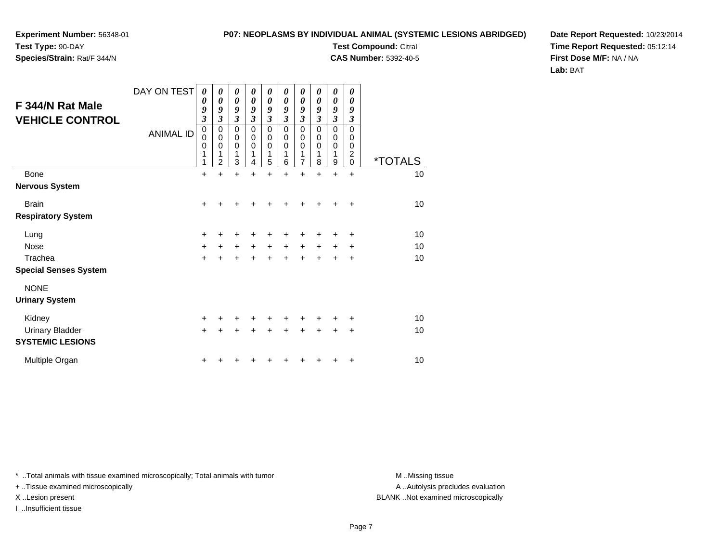**Species/Strain:** Rat/F 344/N

#### **P07: NEOPLASMS BY INDIVIDUAL ANIMAL (SYSTEMIC LESIONS ABRIDGED)**

**Test Compound:** Citral

**CAS Number:** 5392-40-5

**Date Report Requested:** 10/23/2014**Time Report Requested:** 05:12:14**First Dose M/F:** NA / NA**Lab:** BAT

| F 344/N Rat Male<br><b>VEHICLE CONTROL</b>        | DAY ON TEST<br><b>ANIMAL ID</b> | 0<br>0<br>9<br>$\mathfrak{z}$<br>$\pmb{0}$<br>$\mathbf 0$<br>$\pmb{0}$<br>1<br>1 | 0<br>0<br>9<br>3<br>$\mathbf 0$<br>0<br>0<br>1<br>2 | 0<br>$\boldsymbol{\theta}$<br>9<br>$\boldsymbol{\beta}$<br>$\mathbf 0$<br>$\pmb{0}$<br>$\mathbf 0$<br>1<br>3 | 0<br>0<br>9<br>3<br>$\mathbf 0$<br>0<br>$\mathbf 0$<br>1<br>4 | 0<br>$\boldsymbol{\theta}$<br>9<br>$\overline{\mathbf{3}}$<br>$\mathbf 0$<br>$\boldsymbol{0}$<br>$\mathbf 0$<br>1<br>5 | 0<br>0<br>9<br>3<br>0<br>0<br>0<br>1<br>6 | 0<br>$\boldsymbol{\theta}$<br>9<br>$\overline{\mathbf{3}}$<br>$\mathbf 0$<br>$\boldsymbol{0}$<br>$\mathbf 0$<br>1<br>$\overline{7}$ | 0<br>0<br>9<br>3<br>$\mathbf 0$<br>0<br>0<br>1<br>8 | 0<br>$\boldsymbol{\theta}$<br>9<br>$\boldsymbol{\mathfrak{z}}$<br>$\mathbf 0$<br>$\pmb{0}$<br>$\mathbf 0$<br>1<br>$\mathsf g$ | 0<br>0<br>9<br>3<br>0<br>0<br>0<br>2<br>0 | <i><b>*TOTALS</b></i> |
|---------------------------------------------------|---------------------------------|----------------------------------------------------------------------------------|-----------------------------------------------------|--------------------------------------------------------------------------------------------------------------|---------------------------------------------------------------|------------------------------------------------------------------------------------------------------------------------|-------------------------------------------|-------------------------------------------------------------------------------------------------------------------------------------|-----------------------------------------------------|-------------------------------------------------------------------------------------------------------------------------------|-------------------------------------------|-----------------------|
| <b>Bone</b>                                       |                                 | $\ddot{}$                                                                        | $\ddot{}$                                           | $\ddot{}$                                                                                                    | $\ddot{}$                                                     | $\ddot{}$                                                                                                              | $\ddot{}$                                 | $\ddot{}$                                                                                                                           | $\ddot{}$                                           | $\ddot{}$                                                                                                                     | $\ddot{}$                                 | 10                    |
| Nervous System                                    |                                 |                                                                                  |                                                     |                                                                                                              |                                                               |                                                                                                                        |                                           |                                                                                                                                     |                                                     |                                                                                                                               |                                           |                       |
| <b>Brain</b>                                      |                                 | $\ddot{}$                                                                        | +                                                   | +                                                                                                            |                                                               |                                                                                                                        |                                           |                                                                                                                                     |                                                     |                                                                                                                               | ٠                                         | 10                    |
| <b>Respiratory System</b>                         |                                 |                                                                                  |                                                     |                                                                                                              |                                                               |                                                                                                                        |                                           |                                                                                                                                     |                                                     |                                                                                                                               |                                           |                       |
| Lung                                              |                                 | $\ddot{}$                                                                        | +                                                   | +                                                                                                            | ٠                                                             | +                                                                                                                      |                                           | +                                                                                                                                   |                                                     | ٠                                                                                                                             | +                                         | 10                    |
| <b>Nose</b>                                       |                                 | $\ddot{}$                                                                        | $\pm$                                               | $\ddot{}$                                                                                                    | $\ddot{}$                                                     | $\ddot{}$                                                                                                              | $+$                                       | $\ddot{}$                                                                                                                           | $+$                                                 | $\ddot{}$                                                                                                                     | +                                         | 10                    |
| Trachea                                           |                                 | $\ddot{}$                                                                        | ÷                                                   | $\ddot{}$                                                                                                    |                                                               |                                                                                                                        |                                           |                                                                                                                                     |                                                     |                                                                                                                               | +                                         | 10                    |
| <b>Special Senses System</b>                      |                                 |                                                                                  |                                                     |                                                                                                              |                                                               |                                                                                                                        |                                           |                                                                                                                                     |                                                     |                                                                                                                               |                                           |                       |
| <b>NONE</b><br><b>Urinary System</b>              |                                 |                                                                                  |                                                     |                                                                                                              |                                                               |                                                                                                                        |                                           |                                                                                                                                     |                                                     |                                                                                                                               |                                           |                       |
| Kidney                                            |                                 | $\ddot{}$                                                                        | +                                                   | ٠                                                                                                            |                                                               | +                                                                                                                      |                                           | +                                                                                                                                   |                                                     | +                                                                                                                             | +                                         | 10                    |
| <b>Urinary Bladder</b><br><b>SYSTEMIC LESIONS</b> |                                 | $+$                                                                              | +                                                   | +                                                                                                            |                                                               | $\ddot{}$                                                                                                              | +                                         | $\ddot{}$                                                                                                                           | +                                                   | $\div$                                                                                                                        | $\pm$                                     | 10                    |
| Multiple Organ                                    |                                 | +                                                                                |                                                     |                                                                                                              |                                                               |                                                                                                                        |                                           |                                                                                                                                     |                                                     |                                                                                                                               | ٠                                         | 10                    |

\* ..Total animals with tissue examined microscopically; Total animals with tumor **M** . Missing tissue M ..Missing tissue

+ ..Tissue examined microscopically

I ..Insufficient tissue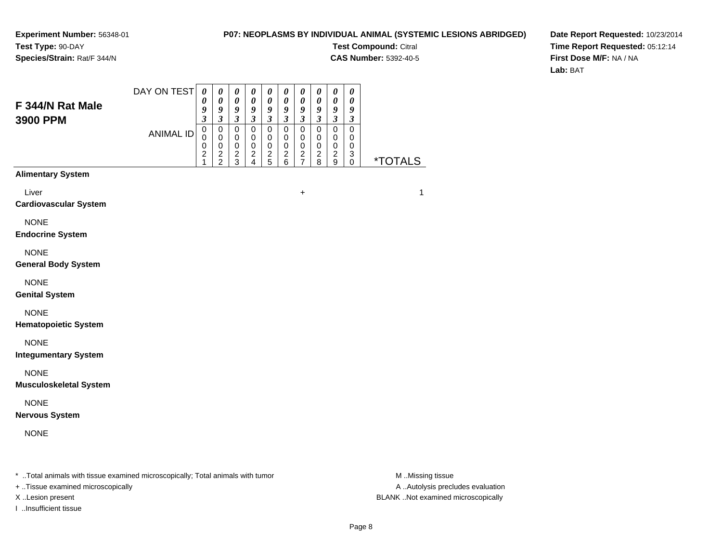#### **P07: NEOPLASMS BY INDIVIDUAL ANIMAL (SYSTEMIC LESIONS ABRIDGED)**

**Test Compound:** Citral

**CAS Number:** 5392-40-5

**Date Report Requested:** 10/23/2014**Time Report Requested:** 05:12:14**First Dose M/F:** NA / NA**Lab:** BAT

| F 344/N Rat Male<br>3900 PPM                                                   | DAY ON TEST      | $\boldsymbol{\theta}$<br>0<br>9<br>$\mathfrak{z}$            | $\boldsymbol{\theta}$<br>$\boldsymbol{\theta}$<br>$\boldsymbol{9}$<br>$\mathfrak{z}$ | $\boldsymbol{\theta}$<br>$\pmb{\theta}$<br>$\boldsymbol{9}$<br>$\mathfrak{z}$ | $\boldsymbol{\theta}$<br>$\pmb{\theta}$<br>9<br>$\mathfrak{z}$ | $\pmb{\theta}$<br>$\pmb{\theta}$<br>$\boldsymbol{g}$<br>$\boldsymbol{\beta}$ | $\boldsymbol{\theta}$<br>$\pmb{\theta}$<br>9<br>$\boldsymbol{\beta}$ | $\boldsymbol{\theta}$<br>$\pmb{\theta}$<br>9<br>$\mathfrak{z}$ | $\pmb{\theta}$<br>$\pmb{\theta}$<br>9<br>$\mathfrak{z}$ | $\boldsymbol{\theta}$<br>$\pmb{\theta}$<br>$\boldsymbol{g}$<br>$\mathfrak{z}$ | $\boldsymbol{\theta}$<br>$\boldsymbol{\theta}$<br>9<br>3 |                       |
|--------------------------------------------------------------------------------|------------------|--------------------------------------------------------------|--------------------------------------------------------------------------------------|-------------------------------------------------------------------------------|----------------------------------------------------------------|------------------------------------------------------------------------------|----------------------------------------------------------------------|----------------------------------------------------------------|---------------------------------------------------------|-------------------------------------------------------------------------------|----------------------------------------------------------|-----------------------|
|                                                                                | <b>ANIMAL ID</b> | $\mathbf 0$<br>$\Omega$<br>0<br>$\overline{\mathbf{c}}$<br>1 | $\pmb{0}$<br>$\mathbf 0$<br>$\,0\,$<br>$\boldsymbol{2}$<br>$\overline{2}$            | $\pmb{0}$<br>0<br>0<br>$\boldsymbol{2}$<br>$\mathbf{3}$                       | $\pmb{0}$<br>0<br>$\mathbf 0$<br>$\overline{c}$<br>4           | $\pmb{0}$<br>0<br>$\,0\,$<br>$\frac{2}{5}$                                   | $\pmb{0}$<br>0<br>0<br>$\boldsymbol{2}$<br>6                         | $\pmb{0}$<br>0<br>0<br>$\boldsymbol{2}$<br>$\overline{7}$      | $\pmb{0}$<br>0<br>$\mathbf 0$<br>$\boldsymbol{2}$<br>8  | $\pmb{0}$<br>0<br>$\mathbf 0$<br>$\boldsymbol{2}$<br>9                        | $\pmb{0}$<br>0<br>0<br>3<br>0                            | <i><b>*TOTALS</b></i> |
| <b>Alimentary System</b>                                                       |                  |                                                              |                                                                                      |                                                                               |                                                                |                                                                              |                                                                      |                                                                |                                                         |                                                                               |                                                          |                       |
| Liver<br><b>Cardiovascular System</b>                                          |                  |                                                              |                                                                                      |                                                                               |                                                                |                                                                              |                                                                      | $\ddot{}$                                                      |                                                         |                                                                               |                                                          | $\mathbf{1}$          |
| <b>NONE</b><br><b>Endocrine System</b>                                         |                  |                                                              |                                                                                      |                                                                               |                                                                |                                                                              |                                                                      |                                                                |                                                         |                                                                               |                                                          |                       |
| <b>NONE</b><br><b>General Body System</b>                                      |                  |                                                              |                                                                                      |                                                                               |                                                                |                                                                              |                                                                      |                                                                |                                                         |                                                                               |                                                          |                       |
| <b>NONE</b><br><b>Genital System</b>                                           |                  |                                                              |                                                                                      |                                                                               |                                                                |                                                                              |                                                                      |                                                                |                                                         |                                                                               |                                                          |                       |
| <b>NONE</b><br><b>Hematopoietic System</b>                                     |                  |                                                              |                                                                                      |                                                                               |                                                                |                                                                              |                                                                      |                                                                |                                                         |                                                                               |                                                          |                       |
| <b>NONE</b><br><b>Integumentary System</b>                                     |                  |                                                              |                                                                                      |                                                                               |                                                                |                                                                              |                                                                      |                                                                |                                                         |                                                                               |                                                          |                       |
| <b>NONE</b><br><b>Musculoskeletal System</b>                                   |                  |                                                              |                                                                                      |                                                                               |                                                                |                                                                              |                                                                      |                                                                |                                                         |                                                                               |                                                          |                       |
| <b>NONE</b><br><b>Nervous System</b>                                           |                  |                                                              |                                                                                      |                                                                               |                                                                |                                                                              |                                                                      |                                                                |                                                         |                                                                               |                                                          |                       |
| <b>NONE</b>                                                                    |                  |                                                              |                                                                                      |                                                                               |                                                                |                                                                              |                                                                      |                                                                |                                                         |                                                                               |                                                          |                       |
| * Total animals with tissue examined microscopically; Total animals with tumor |                  |                                                              |                                                                                      |                                                                               |                                                                |                                                                              |                                                                      |                                                                |                                                         |                                                                               |                                                          | M Missing tissue      |

+ ..Tissue examined microscopically

I ..Insufficient tissue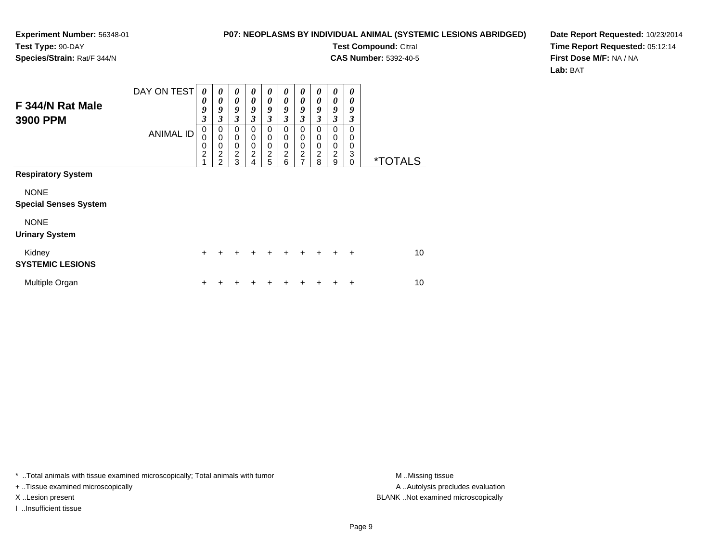#### **P07: NEOPLASMS BY INDIVIDUAL ANIMAL (SYSTEMIC LESIONS ABRIDGED)**

**Test Compound:** Citral **CAS Number:** 5392-40-5

 $\overline{\phantom{0}}$ 

┯

**Date Report Requested:** 10/23/2014**Time Report Requested:** 05:12:14**First Dose M/F:** NA / NA**Lab:** BAT

|                                             | DAY ON TEST      | 0                                      | 0                                                         | 0                                                               | 0                     | 0                                    | 0                                           | 0                                                    | 0                                           | 0                                  | 0                     |                       |
|---------------------------------------------|------------------|----------------------------------------|-----------------------------------------------------------|-----------------------------------------------------------------|-----------------------|--------------------------------------|---------------------------------------------|------------------------------------------------------|---------------------------------------------|------------------------------------|-----------------------|-----------------------|
| F 344/N Rat Male<br>3900 PPM                |                  | 0<br>9<br>3                            | 0<br>9<br>3                                               | 0<br>9<br>3                                                     | 0<br>9<br>3           | 0<br>9<br>$\mathfrak{z}$             | 0<br>9<br>3                                 | 0<br>9<br>3                                          | 0<br>9<br>3                                 | 0<br>9<br>3                        | 0<br>9<br>3           |                       |
|                                             | <b>ANIMAL ID</b> | 0<br>$\mathbf 0$<br>$\frac{0}{2}$<br>1 | 0<br>$\mathbf 0$<br>0<br>$\overline{c}$<br>$\overline{2}$ | 0<br>$\mathbf 0$<br>$\mathbf 0$<br>$\overline{\mathbf{c}}$<br>3 | 0<br>0<br>0<br>2<br>4 | 0<br>0<br>$\pmb{0}$<br>$\frac{2}{5}$ | 0<br>0<br>0<br>$\overline{\mathbf{c}}$<br>6 | 0<br>0<br>$\begin{array}{c} 0 \\ 2 \\ 7 \end{array}$ | 0<br>0<br>0<br>$\overline{\mathbf{c}}$<br>8 | 0<br>0<br>0<br>$\overline{c}$<br>9 | 0<br>0<br>0<br>3<br>0 | <i><b>*TOTALS</b></i> |
| <b>Respiratory System</b>                   |                  |                                        |                                                           |                                                                 |                       |                                      |                                             |                                                      |                                             |                                    |                       |                       |
| <b>NONE</b><br><b>Special Senses System</b> |                  |                                        |                                                           |                                                                 |                       |                                      |                                             |                                                      |                                             |                                    |                       |                       |
| <b>NONE</b><br><b>Urinary System</b>        |                  |                                        |                                                           |                                                                 |                       |                                      |                                             |                                                      |                                             |                                    |                       |                       |
| Kidney<br><b>SYSTEMIC LESIONS</b>           |                  | ٠                                      |                                                           |                                                                 |                       |                                      |                                             |                                                      |                                             |                                    | ÷                     | 10                    |
| Multiple Organ                              |                  | +                                      |                                                           |                                                                 |                       |                                      |                                             |                                                      |                                             |                                    | +                     | 10                    |

┯ ┯ ᅮ

\* ..Total animals with tissue examined microscopically; Total animals with tumor **M** . Missing tissue M ..Missing tissue

+ ..Tissue examined microscopically

I ..Insufficient tissue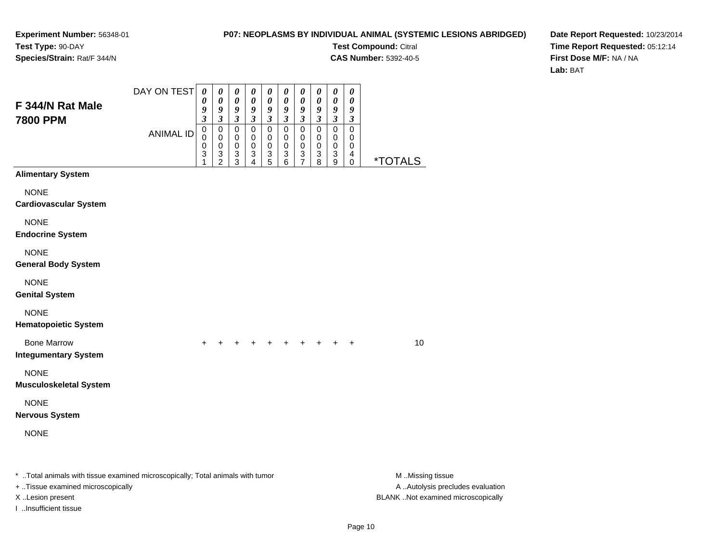I ..Insufficient tissue

#### **P07: NEOPLASMS BY INDIVIDUAL ANIMAL (SYSTEMIC LESIONS ABRIDGED)**

**Test Compound:** Citral

**CAS Number:** 5392-40-5

**Date Report Requested:** 10/23/2014**Time Report Requested:** 05:12:14**First Dose M/F:** NA / NA**Lab:** BAT

| F 344/N Rat Male<br><b>7800 PPM</b>                                                                                 | DAY ON TEST      | $\boldsymbol{\theta}$<br>0<br>9<br>$\boldsymbol{\beta}$ | $\pmb{\theta}$<br>$\pmb{\theta}$<br>9<br>3 | $\boldsymbol{\theta}$<br>$\boldsymbol{\theta}$<br>$\boldsymbol{g}$<br>$\boldsymbol{\beta}$ | 0<br>$\pmb{\theta}$<br>9<br>$\boldsymbol{\beta}$ | $\boldsymbol{\theta}$<br>0<br>9<br>3   | $\boldsymbol{\theta}$<br>0<br>9<br>$\mathfrak{z}$ | $\pmb{\theta}$<br>$\boldsymbol{\theta}$<br>9<br>$\mathfrak{z}$       | 0<br>$\pmb{\theta}$<br>9<br>$\boldsymbol{\beta}$ | 0<br>$\boldsymbol{\theta}$<br>9<br>$\boldsymbol{\mathfrak{z}}$ | 0<br>0<br>9<br>3      |                                                       |
|---------------------------------------------------------------------------------------------------------------------|------------------|---------------------------------------------------------|--------------------------------------------|--------------------------------------------------------------------------------------------|--------------------------------------------------|----------------------------------------|---------------------------------------------------|----------------------------------------------------------------------|--------------------------------------------------|----------------------------------------------------------------|-----------------------|-------------------------------------------------------|
|                                                                                                                     | <b>ANIMAL ID</b> | $\pmb{0}$<br>0<br>0<br>3<br>1                           | 0<br>0<br>0<br>$\frac{3}{2}$               | $\pmb{0}$<br>0<br>0<br>$\ensuremath{\mathsf{3}}$<br>$\overline{3}$                         | $\pmb{0}$<br>$\mathbf 0$<br>0<br>$\frac{3}{4}$   | $\mathbf 0$<br>0<br>0<br>$\frac{3}{5}$ | $\pmb{0}$<br>0<br>0<br>3<br>6                     | $\mathbf 0$<br>0<br>0<br>$\ensuremath{\mathsf{3}}$<br>$\overline{7}$ | $\overline{0}$<br>0<br>0<br>3<br>$\overline{8}$  | $\mathbf 0$<br>0<br>0<br>3<br>9                                | 0<br>0<br>0<br>4<br>0 | <i><b>*TOTALS</b></i>                                 |
| <b>Alimentary System</b>                                                                                            |                  |                                                         |                                            |                                                                                            |                                                  |                                        |                                                   |                                                                      |                                                  |                                                                |                       |                                                       |
| <b>NONE</b><br><b>Cardiovascular System</b>                                                                         |                  |                                                         |                                            |                                                                                            |                                                  |                                        |                                                   |                                                                      |                                                  |                                                                |                       |                                                       |
| <b>NONE</b><br><b>Endocrine System</b>                                                                              |                  |                                                         |                                            |                                                                                            |                                                  |                                        |                                                   |                                                                      |                                                  |                                                                |                       |                                                       |
| <b>NONE</b><br><b>General Body System</b>                                                                           |                  |                                                         |                                            |                                                                                            |                                                  |                                        |                                                   |                                                                      |                                                  |                                                                |                       |                                                       |
| <b>NONE</b><br><b>Genital System</b>                                                                                |                  |                                                         |                                            |                                                                                            |                                                  |                                        |                                                   |                                                                      |                                                  |                                                                |                       |                                                       |
| <b>NONE</b><br><b>Hematopoietic System</b>                                                                          |                  |                                                         |                                            |                                                                                            |                                                  |                                        |                                                   |                                                                      |                                                  |                                                                |                       |                                                       |
| <b>Bone Marrow</b><br><b>Integumentary System</b>                                                                   |                  | $+$                                                     |                                            |                                                                                            |                                                  | $+$                                    |                                                   |                                                                      | $+$ $+$ $+$ $+$                                  |                                                                | $+$                   | 10                                                    |
| <b>NONE</b><br><b>Musculoskeletal System</b>                                                                        |                  |                                                         |                                            |                                                                                            |                                                  |                                        |                                                   |                                                                      |                                                  |                                                                |                       |                                                       |
| <b>NONE</b><br><b>Nervous System</b>                                                                                |                  |                                                         |                                            |                                                                                            |                                                  |                                        |                                                   |                                                                      |                                                  |                                                                |                       |                                                       |
| <b>NONE</b>                                                                                                         |                  |                                                         |                                            |                                                                                            |                                                  |                                        |                                                   |                                                                      |                                                  |                                                                |                       |                                                       |
| * Total animals with tissue examined microscopically; Total animals with tumor<br>+ Tissue examined microscopically |                  |                                                         |                                            |                                                                                            |                                                  |                                        |                                                   |                                                                      |                                                  |                                                                |                       | M Missing tissue<br>A  Autolysis precludes evaluation |

X ..Lesion present BLANK ..Not examined microscopically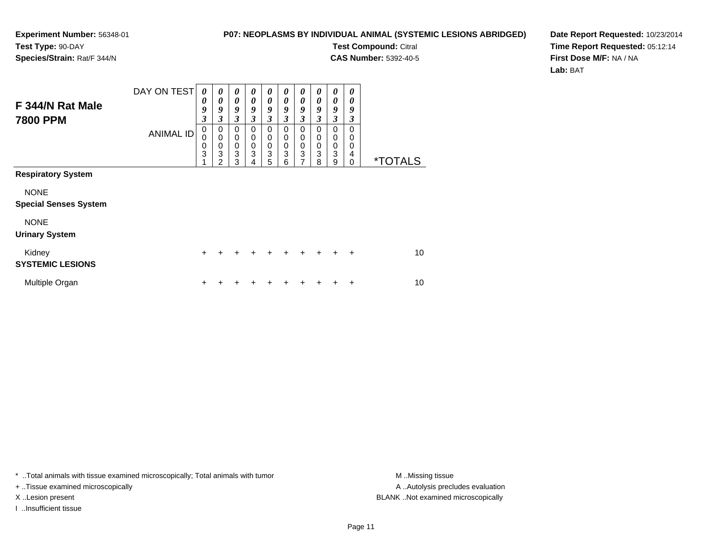#### **P07: NEOPLASMS BY INDIVIDUAL ANIMAL (SYSTEMIC LESIONS ABRIDGED)**

**Test Compound:** Citral

**CAS Number:** 5392-40-5

**Date Report Requested:** 10/23/2014**Time Report Requested:** 05:12:14**First Dose M/F:** NA / NA**Lab:** BAT

| F 344/N Rat Male<br><b>7800 PPM</b>         | DAY ON TEST      | 0<br>0<br>9<br>3 | 0<br>$\boldsymbol{\theta}$<br>9<br>3      | $\boldsymbol{\theta}$<br>$\boldsymbol{\theta}$<br>9<br>$\mathfrak{z}$ | 0<br>$\theta$<br>9<br>3                   | 0<br>0<br>9<br>$\mathfrak{z}$   | 0<br>0<br>9<br>$\mathfrak{z}$             | 0<br>0<br>9<br>3                | 0<br>0<br>9<br>3             | 0<br>0<br>9<br>3      | 0<br>0<br>9<br>3             |                       |
|---------------------------------------------|------------------|------------------|-------------------------------------------|-----------------------------------------------------------------------|-------------------------------------------|---------------------------------|-------------------------------------------|---------------------------------|------------------------------|-----------------------|------------------------------|-----------------------|
| <b>Respiratory System</b>                   | <b>ANIMAL ID</b> | 0<br>0<br>0<br>3 | 0<br>$\mathbf 0$<br>$\mathbf 0$<br>3<br>2 | 0<br>$\mathbf 0$<br>$\mathbf 0$<br>3<br>3                             | 0<br>$\mathbf 0$<br>$\mathbf 0$<br>3<br>4 | 0<br>0<br>$\mathbf 0$<br>3<br>5 | 0<br>$\mathbf 0$<br>$\mathbf 0$<br>3<br>6 | $\mathbf 0$<br>0<br>0<br>3<br>7 | $\Omega$<br>0<br>0<br>3<br>8 | 0<br>0<br>0<br>3<br>9 | 0<br>0<br>0<br>4<br>$\Omega$ | <i><b>*TOTALS</b></i> |
|                                             |                  |                  |                                           |                                                                       |                                           |                                 |                                           |                                 |                              |                       |                              |                       |
| <b>NONE</b><br><b>Special Senses System</b> |                  |                  |                                           |                                                                       |                                           |                                 |                                           |                                 |                              |                       |                              |                       |
| <b>NONE</b><br><b>Urinary System</b>        |                  |                  |                                           |                                                                       |                                           |                                 |                                           |                                 |                              |                       |                              |                       |
| Kidney<br><b>SYSTEMIC LESIONS</b>           |                  | $\pm$            | +                                         | +                                                                     | +                                         | $\ddot{}$                       | $\div$                                    | $\ddot{}$                       | $\ddot{}$                    | ÷                     | $\ddot{}$                    | 10                    |
| Multiple Organ                              |                  | ٠                |                                           |                                                                       |                                           |                                 |                                           |                                 |                              |                       | ÷                            | 10                    |

\* ..Total animals with tissue examined microscopically; Total animals with tumor **M** . Missing tissue M ..Missing tissue

+ ..Tissue examined microscopically

I ..Insufficient tissue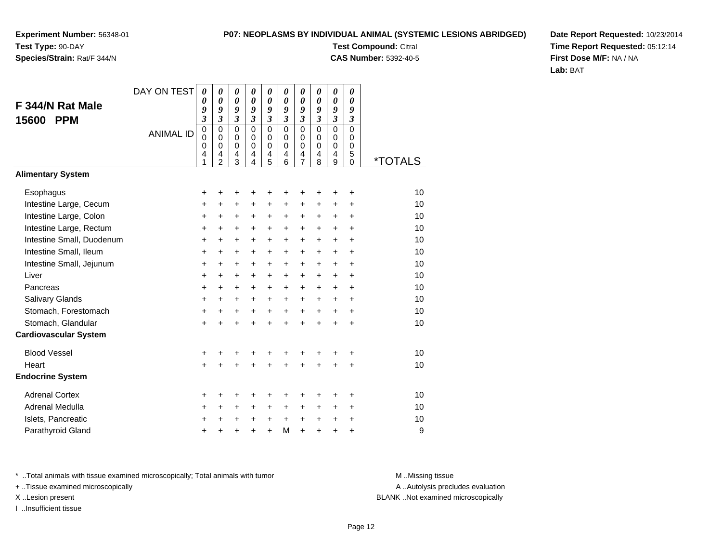### **Species/Strain:** Rat/F 344/N

#### **P07: NEOPLASMS BY INDIVIDUAL ANIMAL (SYSTEMIC LESIONS ABRIDGED)**

**Test Compound:** Citral **CAS Number:** 5392-40-5

**Date Report Requested:** 10/23/2014**Time Report Requested:** 05:12:14**First Dose M/F:** NA / NA**Lab:** BAT

|                              | DAY ON TEST      | $\boldsymbol{\theta}$                   | 0                                                                | 0                                                   | $\theta$                                      | 0                                                              | $\boldsymbol{\theta}$                            | 0                                      | $\boldsymbol{\theta}$                         | $\boldsymbol{\theta}$                                            | 0                                                          |                       |
|------------------------------|------------------|-----------------------------------------|------------------------------------------------------------------|-----------------------------------------------------|-----------------------------------------------|----------------------------------------------------------------|--------------------------------------------------|----------------------------------------|-----------------------------------------------|------------------------------------------------------------------|------------------------------------------------------------|-----------------------|
| F 344/N Rat Male             |                  | 0<br>9                                  | 0<br>9                                                           | 0<br>9                                              | $\boldsymbol{\theta}$<br>9                    | $\boldsymbol{\theta}$<br>9                                     | $\boldsymbol{\theta}$<br>9                       | $\boldsymbol{\theta}$<br>9             | $\boldsymbol{\theta}$<br>9                    | $\boldsymbol{\theta}$<br>9                                       | $\boldsymbol{\theta}$<br>9                                 |                       |
| <b>PPM</b><br>15600          |                  | $\overline{\mathbf{3}}$                 | $\overline{\mathbf{3}}$                                          | $\mathfrak{z}$                                      | $\mathfrak{z}$                                | $\overline{\mathbf{3}}$                                        | $\mathfrak{z}$                                   | $\overline{\mathbf{3}}$                | $\overline{\mathbf{3}}$                       | $\overline{\mathbf{3}}$                                          | $\mathfrak{z}$                                             |                       |
|                              | <b>ANIMAL ID</b> | $\pmb{0}$<br>$\mathbf 0$<br>0<br>4<br>1 | $\mathbf 0$<br>$\mathbf 0$<br>$\mathbf 0$<br>4<br>$\overline{2}$ | $\mathbf 0$<br>$\mathbf 0$<br>$\mathbf 0$<br>4<br>3 | $\mathbf 0$<br>$\Omega$<br>$\Omega$<br>4<br>4 | $\mathbf 0$<br>$\pmb{0}$<br>$\mathbf 0$<br>4<br>$\overline{5}$ | $\mathbf 0$<br>$\mathbf 0$<br>$\Omega$<br>4<br>6 | $\mathbf 0$<br>0<br>0<br>$\frac{4}{7}$ | $\Omega$<br>$\mathbf 0$<br>$\Omega$<br>4<br>8 | $\mathbf 0$<br>$\mathbf 0$<br>$\mathbf 0$<br>$\overline{4}$<br>9 | $\mathbf 0$<br>$\mathbf 0$<br>$\mathbf 0$<br>5<br>$\Omega$ | <i><b>*TOTALS</b></i> |
| <b>Alimentary System</b>     |                  |                                         |                                                                  |                                                     |                                               |                                                                |                                                  |                                        |                                               |                                                                  |                                                            |                       |
| Esophagus                    |                  | +                                       | +                                                                | +                                                   | +                                             | +                                                              | ٠                                                | +                                      | +                                             | ٠                                                                | +                                                          | 10                    |
| Intestine Large, Cecum       |                  | +                                       | $\ddot{}$                                                        | $\ddot{}$                                           | +                                             | +                                                              | $\ddot{}$                                        | $\ddot{}$                              | $\ddot{}$                                     | $\ddot{}$                                                        | $\ddot{}$                                                  | 10                    |
| Intestine Large, Colon       |                  | $\ddot{}$                               | +                                                                | +                                                   | +                                             | $\pm$                                                          | $\ddot{}$                                        | $\pm$                                  | +                                             | $\ddot{}$                                                        | +                                                          | 10                    |
| Intestine Large, Rectum      |                  | +                                       | $\ddot{}$                                                        | +                                                   | $\ddot{}$                                     | $\ddot{}$                                                      | $\ddot{}$                                        | $\ddot{}$                              | $\ddot{}$                                     | $\ddot{}$                                                        | $\ddot{}$                                                  | 10                    |
| Intestine Small, Duodenum    |                  | +                                       | $\ddot{}$                                                        | +                                                   | $\ddot{}$                                     | $\ddot{}$                                                      | $\ddot{}$                                        | $\ddot{}$                              | $\ddot{}$                                     | $\ddot{}$                                                        | $\ddot{}$                                                  | 10                    |
| Intestine Small, Ileum       |                  | $\ddot{}$                               | $\ddot{}$                                                        | $\ddot{}$                                           | $\ddot{}$                                     | $\ddot{}$                                                      | $\ddot{}$                                        | $\ddot{}$                              | $\ddot{}$                                     | $\ddot{}$                                                        | $\ddot{}$                                                  | 10                    |
| Intestine Small, Jejunum     |                  | $\ddot{}$                               | +                                                                | +                                                   | +                                             | +                                                              | $\ddot{}$                                        | +                                      | +                                             | $\ddot{}$                                                        | $\ddot{}$                                                  | 10                    |
| Liver                        |                  | $\ddot{}$                               | $\ddot{}$                                                        | $\ddot{}$                                           | $\ddot{}$                                     | $\ddot{}$                                                      | $\ddot{}$                                        | $+$                                    | $\ddot{}$                                     | $\ddot{}$                                                        | $\ddot{}$                                                  | 10                    |
| Pancreas                     |                  | $\ddot{}$                               | $\pm$                                                            | +                                                   | $\ddot{}$                                     | $\ddot{}$                                                      | $+$                                              | $+$                                    | $\ddot{}$                                     | $\ddot{}$                                                        | $\ddot{}$                                                  | 10                    |
| Salivary Glands              |                  | +                                       | $\ddot{}$                                                        | +                                                   | +                                             | $\ddot{}$                                                      | $\ddot{}$                                        | $\ddot{}$                              | +                                             | $\ddot{}$                                                        | $\ddot{}$                                                  | 10                    |
| Stomach, Forestomach         |                  | $\ddot{}$                               | $\ddot{}$                                                        | +                                                   | +                                             | +                                                              | $\ddot{}$                                        | $\ddot{}$                              | $\ddot{}$                                     | $\ddot{}$                                                        | $\ddot{}$                                                  | 10                    |
| Stomach, Glandular           |                  | $\ddot{}$                               | ÷                                                                | $\ddot{}$                                           | $\ddot{}$                                     | $\ddot{}$                                                      | $\ddot{}$                                        | $\ddot{}$                              | $\ddot{}$                                     | $\ddot{}$                                                        | $\ddot{}$                                                  | 10                    |
| <b>Cardiovascular System</b> |                  |                                         |                                                                  |                                                     |                                               |                                                                |                                                  |                                        |                                               |                                                                  |                                                            |                       |
| <b>Blood Vessel</b>          |                  | +                                       | +                                                                | +                                                   | +                                             | +                                                              | +                                                | +                                      | +                                             | ٠                                                                | +                                                          | 10                    |
| Heart                        |                  | $\ddot{}$                               |                                                                  | $\ddot{}$                                           |                                               | $\ddot{}$                                                      |                                                  | $\ddot{}$                              | $\ddot{}$                                     | $\ddot{}$                                                        | $\ddot{}$                                                  | 10                    |
| <b>Endocrine System</b>      |                  |                                         |                                                                  |                                                     |                                               |                                                                |                                                  |                                        |                                               |                                                                  |                                                            |                       |
| <b>Adrenal Cortex</b>        |                  | +                                       | +                                                                | +                                                   | +                                             | +                                                              | +                                                | +                                      | +                                             | +                                                                | +                                                          | 10                    |
| Adrenal Medulla              |                  | $\ddot{}$                               | +                                                                | +                                                   | +                                             | +                                                              | +                                                | +                                      | +                                             | $\ddot{}$                                                        | +                                                          | 10                    |
| Islets, Pancreatic           |                  | +                                       | +                                                                | +                                                   | +                                             | $\ddot{}$                                                      | $\ddot{}$                                        | $\ddot{}$                              | $\ddot{}$                                     | $\ddot{}$                                                        | +                                                          | 10                    |
| Parathyroid Gland            |                  | +                                       |                                                                  | +                                                   | +                                             | $\ddot{}$                                                      | M                                                | $\ddot{}$                              | +                                             | $\ddot{}$                                                        | +                                                          | 9                     |

\* ..Total animals with tissue examined microscopically; Total animals with tumor **M** . Missing tissue M ..Missing tissue

+ ..Tissue examined microscopically

I ..Insufficient tissue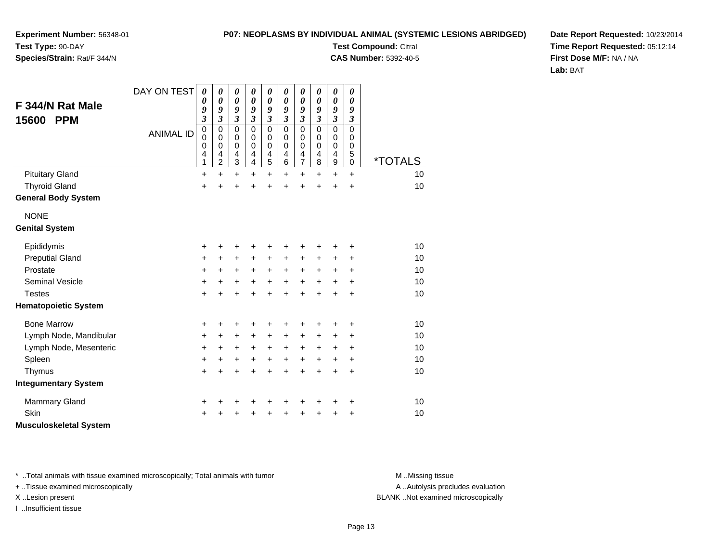#### **P07: NEOPLASMS BY INDIVIDUAL ANIMAL (SYSTEMIC LESIONS ABRIDGED)**

**Experiment Number:** 56348-01**Test Type:** 90-DAY

### **Species/Strain:** Rat/F 344/N

**Test Compound:** Citral **CAS Number:** 5392-40-5*0093*000

**Date Report Requested:** 10/23/2014**Time Report Requested:** 05:12:14**First Dose M/F:** NA / NA**Lab:** BAT

| F 344/N Rat Male<br><b>PPM</b><br>15600 | DAY ON TEST      | $\boldsymbol{\theta}$<br>$\boldsymbol{\theta}$<br>9<br>$\mathfrak{z}$ | $\boldsymbol{\theta}$<br>$\boldsymbol{\theta}$<br>9<br>$\mathfrak{z}$ | $\pmb{\theta}$<br>$\boldsymbol{\theta}$<br>9<br>$\mathfrak{z}$ | $\pmb{\theta}$<br>$\boldsymbol{\theta}$<br>9<br>$\mathfrak{z}$ | $\boldsymbol{\theta}$<br>$\boldsymbol{\theta}$<br>9<br>$\mathfrak{z}$ | $\pmb{\theta}$<br>$\pmb{\theta}$<br>9<br>$\overline{\mathbf{3}}$ | 0<br>$\boldsymbol{\theta}$<br>9<br>$\overline{\mathbf{3}}$ | 0<br>0<br>9<br>$\overline{\mathbf{3}}$ | $\pmb{\theta}$<br>$\boldsymbol{\theta}$<br>9<br>$\mathfrak{z}$   | $\pmb{\theta}$<br>$\boldsymbol{\theta}$<br>9<br>$\boldsymbol{\beta}$ |                       |
|-----------------------------------------|------------------|-----------------------------------------------------------------------|-----------------------------------------------------------------------|----------------------------------------------------------------|----------------------------------------------------------------|-----------------------------------------------------------------------|------------------------------------------------------------------|------------------------------------------------------------|----------------------------------------|------------------------------------------------------------------|----------------------------------------------------------------------|-----------------------|
|                                         | <b>ANIMAL ID</b> | $\pmb{0}$<br>$\mathbf 0$<br>$\mathbf 0$<br>4<br>1                     | $\mathbf 0$<br>$\mathbf 0$<br>$\pmb{0}$<br>4<br>$\overline{c}$        | $\mathbf 0$<br>$\pmb{0}$<br>0<br>4<br>3                        | 0<br>$\mathbf 0$<br>$\mathbf 0$<br>4<br>4                      | $\mathbf 0$<br>$\mathbf 0$<br>0<br>4<br>5                             | $\mathbf 0$<br>$\mathbf 0$<br>0<br>4<br>6                        | $\mathbf 0$<br>0<br>0<br>4<br>$\overline{7}$               | 0<br>0<br>0<br>4<br>8                  | $\mathbf 0$<br>$\pmb{0}$<br>$\mathbf 0$<br>4<br>$\boldsymbol{9}$ | $\mathbf 0$<br>$\mathbf 0$<br>0<br>5<br>$\mathbf 0$                  | <i><b>*TOTALS</b></i> |
| <b>Pituitary Gland</b>                  |                  | $\ddot{}$                                                             | $\ddot{}$                                                             | $\ddot{}$                                                      | $\ddot{}$                                                      | $\ddot{}$                                                             | $\ddot{}$                                                        | $\ddot{}$                                                  | $\ddot{}$                              | $\ddot{}$                                                        | $\ddot{}$                                                            | 10                    |
| <b>Thyroid Gland</b>                    |                  | $\ddot{}$                                                             | $\ddot{}$                                                             | $\ddot{}$                                                      | $\ddot{}$                                                      | $\ddot{}$                                                             | $\ddot{}$                                                        | $\ddot{}$                                                  | $\ddot{}$                              | $\ddot{}$                                                        | $\ddot{}$                                                            | 10                    |
| <b>General Body System</b>              |                  |                                                                       |                                                                       |                                                                |                                                                |                                                                       |                                                                  |                                                            |                                        |                                                                  |                                                                      |                       |
| <b>NONE</b>                             |                  |                                                                       |                                                                       |                                                                |                                                                |                                                                       |                                                                  |                                                            |                                        |                                                                  |                                                                      |                       |
| <b>Genital System</b>                   |                  |                                                                       |                                                                       |                                                                |                                                                |                                                                       |                                                                  |                                                            |                                        |                                                                  |                                                                      |                       |
| Epididymis                              |                  | +                                                                     | +                                                                     | +                                                              | +                                                              | +                                                                     | +                                                                | +                                                          | +                                      | +                                                                | ٠                                                                    | 10                    |
| <b>Preputial Gland</b>                  |                  | +                                                                     | $\ddot{}$                                                             | $\ddot{}$                                                      | +                                                              | $\ddot{}$                                                             | $\ddot{}$                                                        | +                                                          | +                                      | +                                                                | +                                                                    | 10                    |
| Prostate                                |                  | $\ddot{}$                                                             | $+$                                                                   | $\ddot{}$                                                      | $\ddot{}$                                                      | $\ddot{}$                                                             | $+$                                                              | $\ddot{}$                                                  | $+$                                    | $\ddot{}$                                                        | $\ddot{}$                                                            | 10                    |
| <b>Seminal Vesicle</b>                  |                  | +                                                                     | +                                                                     | $\ddot{}$                                                      | $\ddot{}$                                                      | $\ddot{}$                                                             | $\ddot{}$                                                        | $\ddot{}$                                                  | $\ddot{}$                              | $\ddot{}$                                                        | $\ddot{}$                                                            | 10                    |
| <b>Testes</b>                           |                  | $\ddot{}$                                                             |                                                                       | $\ddot{}$                                                      | $\ddot{}$                                                      | $\ddot{}$                                                             | $\ddot{}$                                                        | $\ddot{}$                                                  | $\ddot{}$                              | $\ddot{}$                                                        | $\ddot{}$                                                            | 10                    |
| <b>Hematopoietic System</b>             |                  |                                                                       |                                                                       |                                                                |                                                                |                                                                       |                                                                  |                                                            |                                        |                                                                  |                                                                      |                       |
| <b>Bone Marrow</b>                      |                  | +                                                                     | ٠                                                                     | +                                                              | +                                                              | +                                                                     | +                                                                | +                                                          | +                                      |                                                                  |                                                                      | 10                    |
| Lymph Node, Mandibular                  |                  | +                                                                     | $\ddot{}$                                                             | $\ddot{}$                                                      | $\ddot{}$                                                      | $\ddot{}$                                                             | $\ddot{}$                                                        | +                                                          | $\ddot{}$                              | $\ddot{}$                                                        | $\ddot{}$                                                            | 10                    |
| Lymph Node, Mesenteric                  |                  | +                                                                     | +                                                                     | $\ddot{}$                                                      | +                                                              | $\ddot{}$                                                             | +                                                                | +                                                          | +                                      | +                                                                | $\ddot{}$                                                            | 10                    |
| Spleen                                  |                  | $\ddot{}$                                                             | +                                                                     | $\ddot{}$                                                      | +                                                              | $\ddot{}$                                                             | $\ddot{}$                                                        | $+$                                                        | $+$                                    | $\ddot{}$                                                        | $\ddot{}$                                                            | 10                    |
| Thymus                                  |                  | $\ddot{}$                                                             | $\ddot{}$                                                             | $\ddot{}$                                                      | $\ddot{}$                                                      | $\ddot{}$                                                             | $\ddot{}$                                                        | $\ddot{}$                                                  | $\ddot{}$                              | $\ddot{}$                                                        | $\ddot{}$                                                            | 10                    |
| <b>Integumentary System</b>             |                  |                                                                       |                                                                       |                                                                |                                                                |                                                                       |                                                                  |                                                            |                                        |                                                                  |                                                                      |                       |
| <b>Mammary Gland</b>                    |                  | +                                                                     |                                                                       | +                                                              | +                                                              | +                                                                     |                                                                  |                                                            |                                        | +                                                                | +                                                                    | 10                    |
| Skin                                    |                  | $\ddot{}$                                                             |                                                                       | +                                                              | +                                                              | $\ddot{}$                                                             | +                                                                | +                                                          | +                                      | +                                                                | +                                                                    | 10                    |
| <b>Musculoskeletal System</b>           |                  |                                                                       |                                                                       |                                                                |                                                                |                                                                       |                                                                  |                                                            |                                        |                                                                  |                                                                      |                       |

\* ..Total animals with tissue examined microscopically; Total animals with tumor **M** . Missing tissue M ..Missing tissue

+ ..Tissue examined microscopically

I ..Insufficient tissue

A ..Autolysis precludes evaluation

X ..Lesion present BLANK ..Not examined microscopically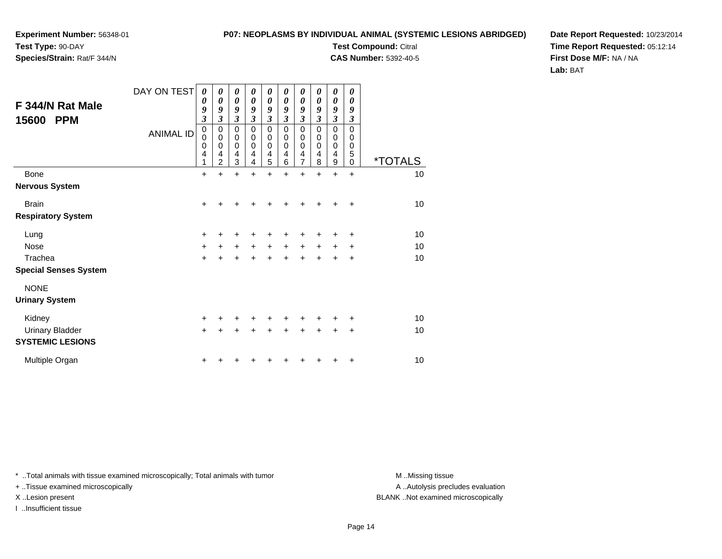**Species/Strain:** Rat/F 344/N

#### **P07: NEOPLASMS BY INDIVIDUAL ANIMAL (SYSTEMIC LESIONS ABRIDGED)**

**Test Compound:** Citral

**CAS Number:** 5392-40-5

**Date Report Requested:** 10/23/2014**Time Report Requested:** 05:12:14**First Dose M/F:** NA / NA**Lab:** BAT

| F 344/N Rat Male<br>15600<br><b>PPM</b> | DAY ON TEST<br><b>ANIMAL ID</b> | 0<br>0<br>9<br>$\mathfrak{z}$<br>$\mathbf 0$<br>$\mathbf 0$<br>$\mathbf 0$<br>4<br>1 | $\boldsymbol{\theta}$<br>$\boldsymbol{\theta}$<br>9<br>3<br>$\pmb{0}$<br>$\mathbf 0$<br>$\mathbf 0$<br>4<br>$\overline{2}$ | $\boldsymbol{\theta}$<br>$\pmb{\theta}$<br>9<br>$\mathfrak{z}$<br>$\pmb{0}$<br>$\,0\,$<br>$\mathbf 0$<br>4<br>3 | 0<br>$\boldsymbol{\theta}$<br>9<br>$\mathfrak{z}$<br>$\mathbf 0$<br>0<br>$\mathbf 0$<br>4<br>4 | $\pmb{\theta}$<br>$\boldsymbol{\theta}$<br>9<br>$\mathfrak{z}$<br>$\pmb{0}$<br>$\,0\,$<br>$\mathbf 0$<br>4<br>5 | 0<br>0<br>9<br>$\mathfrak{z}$<br>$\mathbf 0$<br>0<br>$\mathbf 0$<br>4<br>6 | 0<br>$\boldsymbol{\theta}$<br>9<br>$\overline{\mathbf{3}}$<br>$\mathbf 0$<br>0<br>$\mathbf 0$<br>4<br>$\overline{7}$ | 0<br>$\boldsymbol{\theta}$<br>9<br>3<br>$\mathbf 0$<br>0<br>$\mathbf 0$<br>4<br>8 | 0<br>$\boldsymbol{\theta}$<br>9<br>$\overline{\mathbf{3}}$<br>0<br>0<br>$\mathbf 0$<br>4<br>9 | 0<br>$\theta$<br>9<br>3<br>$\mathbf 0$<br>0<br>0<br>5<br>0 | <i><b>*TOTALS</b></i> |
|-----------------------------------------|---------------------------------|--------------------------------------------------------------------------------------|----------------------------------------------------------------------------------------------------------------------------|-----------------------------------------------------------------------------------------------------------------|------------------------------------------------------------------------------------------------|-----------------------------------------------------------------------------------------------------------------|----------------------------------------------------------------------------|----------------------------------------------------------------------------------------------------------------------|-----------------------------------------------------------------------------------|-----------------------------------------------------------------------------------------------|------------------------------------------------------------|-----------------------|
| Bone                                    |                                 | $\ddot{}$                                                                            |                                                                                                                            | $\ddot{}$                                                                                                       |                                                                                                |                                                                                                                 |                                                                            | $\ddot{}$                                                                                                            | $\ddot{}$                                                                         | $\ddot{}$                                                                                     | $\ddot{}$                                                  | 10                    |
| <b>Nervous System</b>                   |                                 |                                                                                      |                                                                                                                            |                                                                                                                 |                                                                                                |                                                                                                                 |                                                                            |                                                                                                                      |                                                                                   |                                                                                               |                                                            |                       |
| <b>Brain</b>                            |                                 | $+$                                                                                  |                                                                                                                            |                                                                                                                 |                                                                                                |                                                                                                                 |                                                                            |                                                                                                                      |                                                                                   |                                                                                               | ÷                                                          | 10                    |
| <b>Respiratory System</b>               |                                 |                                                                                      |                                                                                                                            |                                                                                                                 |                                                                                                |                                                                                                                 |                                                                            |                                                                                                                      |                                                                                   |                                                                                               |                                                            |                       |
| Lung                                    |                                 | $\ddot{}$                                                                            |                                                                                                                            |                                                                                                                 |                                                                                                |                                                                                                                 |                                                                            |                                                                                                                      |                                                                                   |                                                                                               | +                                                          | 10                    |
| <b>Nose</b>                             |                                 | $\ddot{}$                                                                            |                                                                                                                            | $\ddot{}$                                                                                                       | $+$                                                                                            | $\ddot{}$                                                                                                       | +                                                                          | +                                                                                                                    | +                                                                                 | +                                                                                             | +                                                          | 10                    |
| Trachea                                 |                                 | $\ddot{}$                                                                            |                                                                                                                            |                                                                                                                 |                                                                                                |                                                                                                                 |                                                                            | $\ddot{}$                                                                                                            |                                                                                   | $\ddot{}$                                                                                     | $\ddot{}$                                                  | 10                    |
| <b>Special Senses System</b>            |                                 |                                                                                      |                                                                                                                            |                                                                                                                 |                                                                                                |                                                                                                                 |                                                                            |                                                                                                                      |                                                                                   |                                                                                               |                                                            |                       |
| <b>NONE</b>                             |                                 |                                                                                      |                                                                                                                            |                                                                                                                 |                                                                                                |                                                                                                                 |                                                                            |                                                                                                                      |                                                                                   |                                                                                               |                                                            |                       |
| <b>Urinary System</b>                   |                                 |                                                                                      |                                                                                                                            |                                                                                                                 |                                                                                                |                                                                                                                 |                                                                            |                                                                                                                      |                                                                                   |                                                                                               |                                                            |                       |
| Kidney                                  |                                 | $\ddot{}$                                                                            |                                                                                                                            |                                                                                                                 |                                                                                                |                                                                                                                 |                                                                            |                                                                                                                      |                                                                                   |                                                                                               | +                                                          | 10                    |
| <b>Urinary Bladder</b>                  |                                 | $\ddot{}$                                                                            |                                                                                                                            |                                                                                                                 |                                                                                                |                                                                                                                 |                                                                            | $\ddot{}$                                                                                                            |                                                                                   | $\ddot{}$                                                                                     | $\ddot{}$                                                  | 10                    |
| <b>SYSTEMIC LESIONS</b>                 |                                 |                                                                                      |                                                                                                                            |                                                                                                                 |                                                                                                |                                                                                                                 |                                                                            |                                                                                                                      |                                                                                   |                                                                                               |                                                            |                       |
| Multiple Organ                          |                                 | +                                                                                    |                                                                                                                            |                                                                                                                 |                                                                                                |                                                                                                                 |                                                                            |                                                                                                                      |                                                                                   |                                                                                               | +                                                          | 10                    |

\* ..Total animals with tissue examined microscopically; Total animals with tumor **M** . Missing tissue M ..Missing tissue

+ ..Tissue examined microscopically

I ..Insufficient tissue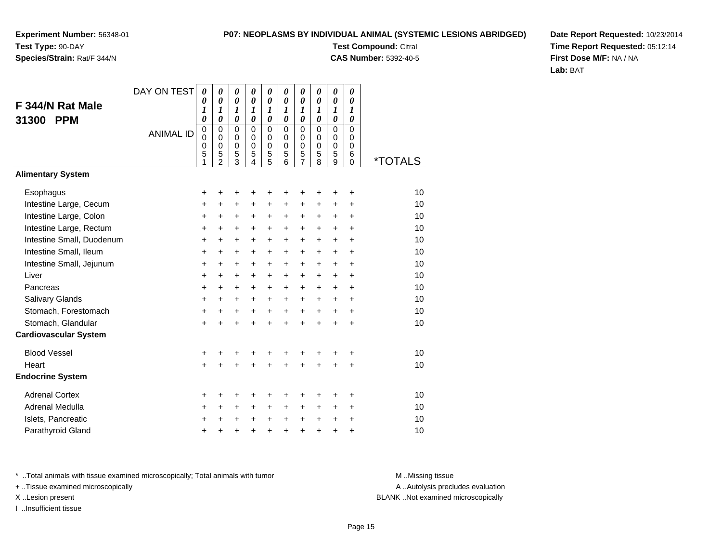### **Species/Strain:** Rat/F 344/N

#### **P07: NEOPLASMS BY INDIVIDUAL ANIMAL (SYSTEMIC LESIONS ABRIDGED)**

**Test Compound:** Citral

**CAS Number:** 5392-40-5

**Date Report Requested:** 10/23/2014**Time Report Requested:** 05:12:14**First Dose M/F:** NA / NA**Lab:** BAT

|                              | DAY ON TEST      | $\boldsymbol{\theta}$                     | 0                                                    | 0                                            | 0                                                   | 0                                               | 0                                                                | 0                                      | 0                                                | $\boldsymbol{\theta}$                                            | 0                                                |                       |
|------------------------------|------------------|-------------------------------------------|------------------------------------------------------|----------------------------------------------|-----------------------------------------------------|-------------------------------------------------|------------------------------------------------------------------|----------------------------------------|--------------------------------------------------|------------------------------------------------------------------|--------------------------------------------------|-----------------------|
| F 344/N Rat Male             |                  | 0<br>1                                    | $\boldsymbol{\theta}$<br>$\boldsymbol{l}$            | $\boldsymbol{\theta}$<br>$\boldsymbol{l}$    | $\boldsymbol{\theta}$<br>$\boldsymbol{l}$           | $\pmb{\theta}$<br>$\boldsymbol{l}$              | $\boldsymbol{\theta}$<br>$\boldsymbol{l}$                        | $\pmb{\theta}$<br>$\boldsymbol{l}$     | $\boldsymbol{\theta}$<br>$\boldsymbol{l}$        | $\boldsymbol{\theta}$<br>$\boldsymbol{l}$                        | $\boldsymbol{\theta}$<br>$\boldsymbol{l}$        |                       |
| 31300<br><b>PPM</b>          |                  | $\boldsymbol{\theta}$                     | $\boldsymbol{\theta}$                                | $\boldsymbol{\theta}$                        | $\boldsymbol{\theta}$                               | $\boldsymbol{\theta}$                           | $\boldsymbol{\theta}$                                            | $\boldsymbol{\theta}$                  | $\boldsymbol{\theta}$                            | $\boldsymbol{\theta}$                                            | $\boldsymbol{\theta}$                            |                       |
|                              | <b>ANIMAL ID</b> | $\mathbf 0$<br>$\mathbf 0$<br>0<br>5<br>1 | $\mathbf 0$<br>$\pmb{0}$<br>0<br>5<br>$\overline{2}$ | $\mathbf 0$<br>0<br>0<br>5<br>$\overline{3}$ | $\mathbf 0$<br>$\mathbf 0$<br>$\mathbf 0$<br>5<br>4 | $\mathbf 0$<br>$\pmb{0}$<br>$\pmb{0}$<br>5<br>5 | $\mathbf 0$<br>$\mathbf 0$<br>$\mathbf 0$<br>5<br>$\overline{6}$ | $\mathbf 0$<br>0<br>0<br>$\frac{5}{7}$ | $\Omega$<br>$\mathbf 0$<br>$\mathbf 0$<br>5<br>8 | $\mathbf 0$<br>$\mathbf 0$<br>$\mathbf 0$<br>5<br>$\overline{9}$ | $\mathbf 0$<br>$\mathbf 0$<br>0<br>6<br>$\Omega$ | <i><b>*TOTALS</b></i> |
| <b>Alimentary System</b>     |                  |                                           |                                                      |                                              |                                                     |                                                 |                                                                  |                                        |                                                  |                                                                  |                                                  |                       |
| Esophagus                    |                  | +                                         | +                                                    | +                                            | +                                                   | +                                               | ٠                                                                | +                                      |                                                  |                                                                  | +                                                | 10                    |
| Intestine Large, Cecum       |                  | +                                         | $\ddot{}$                                            | +                                            | +                                                   | +                                               | +                                                                | +                                      | +                                                | +                                                                | +                                                | 10                    |
| Intestine Large, Colon       |                  | $\ddot{}$                                 | +                                                    | +                                            | +                                                   | +                                               | $\ddot{}$                                                        | +                                      | +                                                | $\ddot{}$                                                        | $\ddot{}$                                        | 10                    |
| Intestine Large, Rectum      |                  | +                                         | $\ddot{}$                                            | $\ddot{}$                                    | $\ddot{}$                                           | $\ddot{}$                                       | $\ddot{}$                                                        | $\ddot{}$                              | $\ddot{}$                                        | $\ddot{}$                                                        | $\ddot{}$                                        | 10                    |
| Intestine Small, Duodenum    |                  | $\ddot{}$                                 | +                                                    | +                                            | +                                                   | $\pm$                                           | $\ddot{}$                                                        | $\pm$                                  | $\ddot{}$                                        | $\ddot{}$                                                        | +                                                | 10                    |
| Intestine Small, Ileum       |                  | $\ddot{}$                                 | $\ddot{}$                                            | $\ddot{}$                                    | $\ddot{}$                                           | +                                               | $\ddot{}$                                                        | +                                      | $\ddot{}$                                        | $\ddot{}$                                                        | $\ddot{}$                                        | 10                    |
| Intestine Small, Jejunum     |                  | +                                         | $\ddot{}$                                            | $\ddot{}$                                    | $\ddot{}$                                           | $\ddot{}$                                       | $\ddot{}$                                                        | $\ddot{}$                              | $\ddot{}$                                        | $\ddot{}$                                                        | $\ddot{}$                                        | 10                    |
| Liver                        |                  | $\ddot{}$                                 | $\ddot{}$                                            | +                                            | $\ddot{}$                                           | $\ddot{}$                                       | $+$                                                              | $+$                                    | $\ddot{}$                                        | $\ddot{}$                                                        | $\ddot{}$                                        | 10                    |
| Pancreas                     |                  | $\ddot{}$                                 | $\ddot{}$                                            | $\ddot{}$                                    | +                                                   | $\ddot{}$                                       | $+$                                                              | $\ddot{}$                              | $\ddot{}$                                        | $\ddot{}$                                                        | $\div$                                           | 10                    |
| Salivary Glands              |                  | $\ddot{}$                                 | +                                                    | +                                            | $\ddot{}$                                           | $\pm$                                           | $\pm$                                                            | $\pm$                                  | $\ddot{}$                                        | $\ddot{}$                                                        | $\ddot{}$                                        | 10                    |
| Stomach, Forestomach         |                  | $\ddot{}$                                 | $\ddot{}$                                            | +                                            | $\ddot{}$                                           | $+$                                             | $+$                                                              | $+$                                    | $\ddot{}$                                        | $\ddot{}$                                                        | $\ddot{}$                                        | 10                    |
| Stomach, Glandular           |                  | +                                         | $\ddot{}$                                            | $\ddot{}$                                    | $\ddot{}$                                           | $\ddot{}$                                       | $\ddot{}$                                                        | $\ddot{}$                              | $\ddot{}$                                        | $\ddot{}$                                                        | $\ddot{}$                                        | 10                    |
| <b>Cardiovascular System</b> |                  |                                           |                                                      |                                              |                                                     |                                                 |                                                                  |                                        |                                                  |                                                                  |                                                  |                       |
| <b>Blood Vessel</b>          |                  | +                                         | +                                                    | +                                            | +                                                   | +                                               |                                                                  | +                                      | +                                                |                                                                  | +                                                | 10                    |
| Heart                        |                  | $\ddot{}$                                 | $\ddot{}$                                            | $\ddot{}$                                    | $\ddot{}$                                           | $\ddot{}$                                       | ÷                                                                | $\ddot{}$                              | $\ddot{}$                                        | +                                                                | $\ddot{}$                                        | 10                    |
| <b>Endocrine System</b>      |                  |                                           |                                                      |                                              |                                                     |                                                 |                                                                  |                                        |                                                  |                                                                  |                                                  |                       |
| <b>Adrenal Cortex</b>        |                  | +                                         | +                                                    | +                                            | +                                                   | +                                               | ٠                                                                | +                                      | +                                                |                                                                  | ٠                                                | 10                    |
| Adrenal Medulla              |                  | +                                         | +                                                    | +                                            | $\ddot{}$                                           | +                                               | $\ddot{}$                                                        | $\pm$                                  | $\ddot{}$                                        | $\ddot{}$                                                        | $\ddot{}$                                        | 10                    |
| Islets, Pancreatic           |                  | +                                         | +                                                    | +                                            | +                                                   | $\ddot{}$                                       | $\ddot{}$                                                        | $\ddot{}$                              | $\ddot{}$                                        | $\ddot{}$                                                        | +                                                | 10                    |
| Parathyroid Gland            |                  | +                                         | +                                                    | +                                            | +                                                   | $\ddot{}$                                       | $\ddot{}$                                                        | $\ddot{}$                              | $\ddot{}$                                        | $\ddot{}$                                                        | +                                                | 10                    |

\* ..Total animals with tissue examined microscopically; Total animals with tumor **M** . Missing tissue M ..Missing tissue

+ ..Tissue examined microscopically

I ..Insufficient tissue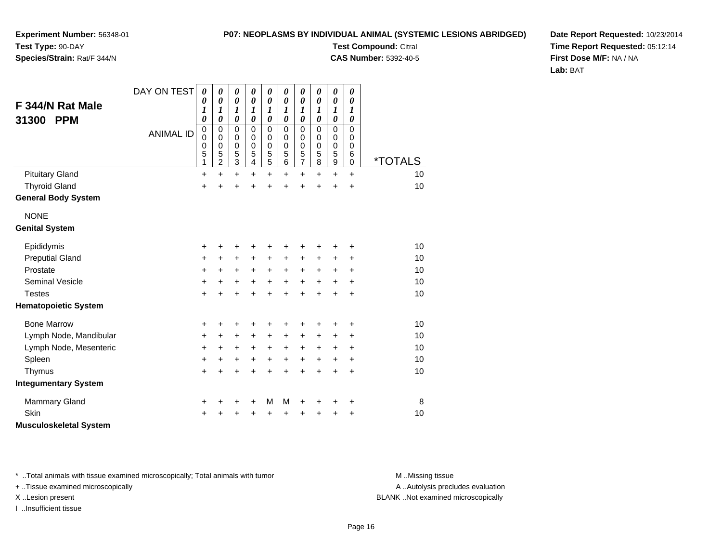#### **P07: NEOPLASMS BY INDIVIDUAL ANIMAL (SYSTEMIC LESIONS ABRIDGED)**

**Experiment Number:** 56348-01**Test Type:** 90-DAY**Species/Strain:** Rat/F 344/N

**Test Compound:** Citral

**CAS Number:** 5392-40-5

**Date Report Requested:** 10/23/2014**Time Report Requested:** 05:12:14**First Dose M/F:** NA / NA**Lab:** BAT

| F 344/N Rat Male<br><b>PPM</b><br>31300 | DAY ON TEST<br><b>ANIMAL ID</b> | $\boldsymbol{\theta}$<br>0<br>1<br>0<br>$\mathbf 0$<br>$\mathbf 0$<br>0<br>5 | 0<br>0<br>1<br>0<br>0<br>0<br>0<br>5 | 0<br>$\boldsymbol{\theta}$<br>$\boldsymbol{l}$<br>0<br>0<br>0<br>0<br>5 | 0<br>$\boldsymbol{\theta}$<br>1<br>$\boldsymbol{\theta}$<br>$\mathbf 0$<br>$\Omega$<br>$\mathbf 0$<br>5 | 0<br>$\boldsymbol{\theta}$<br>1<br>$\boldsymbol{\theta}$<br>0<br>0<br>$\mathbf 0$ | $\boldsymbol{\theta}$<br>$\boldsymbol{\theta}$<br>1<br>$\boldsymbol{\theta}$<br>$\mathbf 0$<br>0<br>$\pmb{0}$<br>5 | 0<br>$\boldsymbol{\theta}$<br>1<br>$\boldsymbol{\theta}$<br>0<br>0<br>$\mathbf 0$ | 0<br>$\boldsymbol{\theta}$<br>1<br>$\boldsymbol{\theta}$<br>$\pmb{0}$<br>0<br>$\pmb{0}$<br>5 | 0<br>$\boldsymbol{\theta}$<br>1<br>0<br>$\mathbf 0$<br>0<br>$\mathbf 0$<br>5 | 0<br>0<br>$\boldsymbol{\mathit{1}}$<br>0<br>0<br>0<br>$\mathbf 0$<br>6 |                       |
|-----------------------------------------|---------------------------------|------------------------------------------------------------------------------|--------------------------------------|-------------------------------------------------------------------------|---------------------------------------------------------------------------------------------------------|-----------------------------------------------------------------------------------|--------------------------------------------------------------------------------------------------------------------|-----------------------------------------------------------------------------------|----------------------------------------------------------------------------------------------|------------------------------------------------------------------------------|------------------------------------------------------------------------|-----------------------|
|                                         |                                 | 1                                                                            | $\overline{c}$                       | $\,$ 3 $\,$                                                             | 4                                                                                                       | $\frac{5}{5}$                                                                     | 6                                                                                                                  | $\frac{5}{7}$                                                                     | 8                                                                                            | $\mathsf g$                                                                  | $\mathbf 0$                                                            | <i><b>*TOTALS</b></i> |
| <b>Pituitary Gland</b>                  |                                 | $\ddot{}$                                                                    | $\ddot{}$                            | $\ddot{}$                                                               | $\ddot{}$                                                                                               | $\ddot{}$                                                                         | $\ddot{}$                                                                                                          | $\ddot{}$                                                                         | $\ddot{}$                                                                                    | $\ddot{}$                                                                    | $\ddot{}$                                                              | 10                    |
| <b>Thyroid Gland</b>                    |                                 | $\ddot{}$                                                                    | Ŧ.                                   | $\ddot{}$                                                               | $\ddot{}$                                                                                               | +                                                                                 |                                                                                                                    | +                                                                                 | ÷                                                                                            | $\ddot{}$                                                                    | $\ddot{}$                                                              | 10                    |
| <b>General Body System</b>              |                                 |                                                                              |                                      |                                                                         |                                                                                                         |                                                                                   |                                                                                                                    |                                                                                   |                                                                                              |                                                                              |                                                                        |                       |
| <b>NONE</b>                             |                                 |                                                                              |                                      |                                                                         |                                                                                                         |                                                                                   |                                                                                                                    |                                                                                   |                                                                                              |                                                                              |                                                                        |                       |
| <b>Genital System</b>                   |                                 |                                                                              |                                      |                                                                         |                                                                                                         |                                                                                   |                                                                                                                    |                                                                                   |                                                                                              |                                                                              |                                                                        |                       |
| Epididymis                              |                                 | +                                                                            | +                                    | +                                                                       | +                                                                                                       | +                                                                                 |                                                                                                                    | +                                                                                 |                                                                                              | +                                                                            | +                                                                      | 10                    |
| <b>Preputial Gland</b>                  |                                 | +                                                                            | +                                    | +                                                                       | +                                                                                                       | $\ddot{}$                                                                         | +                                                                                                                  | $\ddot{}$                                                                         | +                                                                                            | +                                                                            | +                                                                      | 10                    |
| Prostate                                |                                 | +                                                                            | +                                    | +                                                                       | $\ddot{}$                                                                                               | $\ddot{}$                                                                         | $\ddot{}$                                                                                                          | $\ddot{}$                                                                         | $+$                                                                                          | +                                                                            | $\ddot{}$                                                              | 10                    |
| <b>Seminal Vesicle</b>                  |                                 | +                                                                            | +                                    | +                                                                       | $\ddot{}$                                                                                               | $\ddot{}$                                                                         | $\ddot{}$                                                                                                          | $\ddot{}$                                                                         | $\ddot{}$                                                                                    | $\ddot{}$                                                                    | $\ddot{}$                                                              | 10                    |
| <b>Testes</b>                           |                                 | $\ddot{}$                                                                    | $\ddot{}$                            | $\ddot{}$                                                               | $\ddot{}$                                                                                               | $\ddot{}$                                                                         | $\ddot{}$                                                                                                          | $\ddot{}$                                                                         | $\ddot{}$                                                                                    | $\ddot{}$                                                                    | $\ddot{}$                                                              | 10                    |
| <b>Hematopoietic System</b>             |                                 |                                                                              |                                      |                                                                         |                                                                                                         |                                                                                   |                                                                                                                    |                                                                                   |                                                                                              |                                                                              |                                                                        |                       |
| <b>Bone Marrow</b>                      |                                 | +                                                                            | +                                    | +                                                                       | +                                                                                                       | +                                                                                 |                                                                                                                    | +                                                                                 |                                                                                              | +                                                                            | +                                                                      | 10                    |
| Lymph Node, Mandibular                  |                                 | +                                                                            | $\ddot{}$                            | +                                                                       | $\ddot{}$                                                                                               | $\ddot{}$                                                                         | $\ddot{}$                                                                                                          | $\ddot{}$                                                                         | +                                                                                            | +                                                                            | +                                                                      | 10                    |
| Lymph Node, Mesenteric                  |                                 | +                                                                            | +                                    | +                                                                       | $\ddot{}$                                                                                               | $\ddot{}$                                                                         | $\ddot{}$                                                                                                          | $\ddot{}$                                                                         | $\ddot{}$                                                                                    | $\ddot{}$                                                                    | $\ddot{}$                                                              | 10                    |
| Spleen                                  |                                 | +                                                                            | +                                    | +                                                                       | +                                                                                                       | +                                                                                 | +                                                                                                                  | $\ddot{}$                                                                         | +                                                                                            | +                                                                            | +                                                                      | 10                    |
| Thymus                                  |                                 | $\ddot{}$                                                                    | $\ddot{}$                            | $\ddot{}$                                                               | $\ddot{}$                                                                                               | $\ddot{}$                                                                         | $\ddot{}$                                                                                                          | $\ddot{}$                                                                         | $\ddot{}$                                                                                    | $\ddot{}$                                                                    | $\ddot{}$                                                              | 10                    |
| <b>Integumentary System</b>             |                                 |                                                                              |                                      |                                                                         |                                                                                                         |                                                                                   |                                                                                                                    |                                                                                   |                                                                                              |                                                                              |                                                                        |                       |
| <b>Mammary Gland</b>                    |                                 | +                                                                            | +                                    | +                                                                       | +                                                                                                       | М                                                                                 | M                                                                                                                  | +                                                                                 | +                                                                                            | +                                                                            | +                                                                      | 8                     |
| Skin                                    |                                 | ٠                                                                            |                                      | +                                                                       | +                                                                                                       | +                                                                                 |                                                                                                                    | +                                                                                 |                                                                                              | +                                                                            | +                                                                      | 10                    |
| <b>Musculoskeletal System</b>           |                                 |                                                                              |                                      |                                                                         |                                                                                                         |                                                                                   |                                                                                                                    |                                                                                   |                                                                                              |                                                                              |                                                                        |                       |

\* ..Total animals with tissue examined microscopically; Total animals with tumor **M** . Missing tissue M ..Missing tissue

+ ..Tissue examined microscopically

I ..Insufficient tissue

A ..Autolysis precludes evaluation

X ..Lesion present BLANK ..Not examined microscopically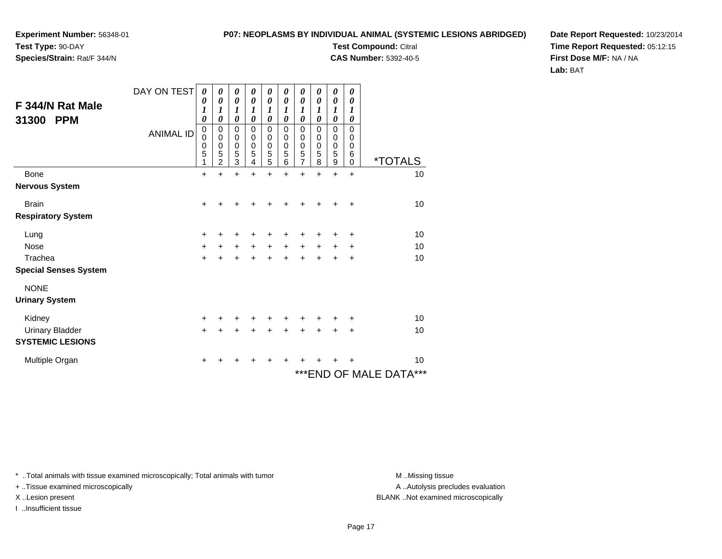## **Experiment Number:** 56348-01

**Test Type:** 90-DAY**Species/Strain:** Rat/F 344/N

#### **P07: NEOPLASMS BY INDIVIDUAL ANIMAL (SYSTEMIC LESIONS ABRIDGED)**

**Test Compound:** Citral

**CAS Number:** 5392-40-5

**Date Report Requested:** 10/23/2014**Time Report Requested:** 05:12:15**First Dose M/F:** NA / NA**Lab:** BAT

| F 344/N Rat Male<br>31300<br><b>PPM</b> | DAY ON TEST<br><b>ANIMAL ID</b> | 0<br>0<br>1<br>$\boldsymbol{\theta}$<br>$\pmb{0}$<br>$\mathbf 0$<br>$\pmb{0}$<br>5<br>1 | 0<br>0<br>1<br>0<br>0<br>0<br>0<br>5<br>$\overline{2}$ | 0<br>0<br>1<br>0<br>0<br>$\mathbf 0$<br>$\pmb{0}$<br>$\sqrt{5}$<br>3 | 0<br>0<br>1<br>0<br>0<br>0<br>0<br>5<br>4 | 0<br>0<br>1<br>$\theta$<br>$\mathbf 0$<br>0<br>0<br>$\frac{5}{5}$ | 0<br>0<br>1<br>0<br>0<br>0<br>$\mathbf 0$<br>5<br>6 | 0<br>$\boldsymbol{\theta}$<br>1<br>0<br>0<br>0<br>$\begin{array}{c} 0 \\ 5 \\ 7 \end{array}$ | 0<br>0<br>1<br>0<br>0<br>0<br>0<br>5<br>8 | 0<br>0<br>1<br>0<br>0<br>0<br>$\pmb{0}$<br>5<br>9 | 0<br>0<br>1<br>0<br>$\mathbf 0$<br>0<br>0<br>$\,6$<br>$\Omega$ | <i><b>*TOTALS</b></i>   |
|-----------------------------------------|---------------------------------|-----------------------------------------------------------------------------------------|--------------------------------------------------------|----------------------------------------------------------------------|-------------------------------------------|-------------------------------------------------------------------|-----------------------------------------------------|----------------------------------------------------------------------------------------------|-------------------------------------------|---------------------------------------------------|----------------------------------------------------------------|-------------------------|
| Bone                                    |                                 | $\ddot{}$                                                                               | ÷                                                      | $\ddot{}$                                                            | $\ddot{}$                                 | $\ddot{}$                                                         | $\ddot{}$                                           | $\ddot{}$                                                                                    | $\ddot{}$                                 | $\ddot{}$                                         | $\ddot{}$                                                      | 10                      |
| <b>Nervous System</b>                   |                                 |                                                                                         |                                                        |                                                                      |                                           |                                                                   |                                                     |                                                                                              |                                           |                                                   |                                                                |                         |
| <b>Brain</b>                            |                                 | $+$                                                                                     | +                                                      | ٠                                                                    | +                                         | +                                                                 | +                                                   | ٠                                                                                            | +                                         | ٠                                                 | $\ddot{}$                                                      | 10                      |
| <b>Respiratory System</b>               |                                 |                                                                                         |                                                        |                                                                      |                                           |                                                                   |                                                     |                                                                                              |                                           |                                                   |                                                                |                         |
| Lung                                    |                                 | +                                                                                       |                                                        |                                                                      |                                           | +                                                                 |                                                     | +                                                                                            |                                           | +                                                 | +                                                              | 10                      |
| <b>Nose</b>                             |                                 | $\ddot{}$                                                                               | +                                                      | $\ddot{}$                                                            | $\ddot{}$                                 | $\ddot{}$                                                         | +                                                   | $\ddot{}$                                                                                    | +                                         | +                                                 | +                                                              | 10                      |
| Trachea                                 |                                 | $\ddot{}$                                                                               |                                                        |                                                                      | $\ddot{}$                                 | $\ddot{}$                                                         | $\ddot{}$                                           | $\ddot{}$                                                                                    |                                           |                                                   | +                                                              | 10                      |
| <b>Special Senses System</b>            |                                 |                                                                                         |                                                        |                                                                      |                                           |                                                                   |                                                     |                                                                                              |                                           |                                                   |                                                                |                         |
| <b>NONE</b>                             |                                 |                                                                                         |                                                        |                                                                      |                                           |                                                                   |                                                     |                                                                                              |                                           |                                                   |                                                                |                         |
| <b>Urinary System</b>                   |                                 |                                                                                         |                                                        |                                                                      |                                           |                                                                   |                                                     |                                                                                              |                                           |                                                   |                                                                |                         |
| Kidney                                  |                                 | $\ddot{}$                                                                               | +                                                      | +                                                                    | +                                         | +                                                                 | +                                                   | ٠                                                                                            | +                                         | +                                                 | ÷                                                              | 10                      |
| <b>Urinary Bladder</b>                  |                                 | $+$                                                                                     | +                                                      | $\ddot{}$                                                            | +                                         | $\ddot{}$                                                         | $\ddot{}$                                           | $\ddot{}$                                                                                    | $\ddot{}$                                 | $\ddot{}$                                         | $\ddot{}$                                                      | 10                      |
| <b>SYSTEMIC LESIONS</b>                 |                                 |                                                                                         |                                                        |                                                                      |                                           |                                                                   |                                                     |                                                                                              |                                           |                                                   |                                                                |                         |
| Multiple Organ                          |                                 | +                                                                                       |                                                        |                                                                      |                                           |                                                                   |                                                     |                                                                                              |                                           |                                                   |                                                                | 10                      |
|                                         |                                 |                                                                                         |                                                        |                                                                      |                                           |                                                                   |                                                     |                                                                                              |                                           |                                                   |                                                                | *** END OF MALE DATA*** |

\* ..Total animals with tissue examined microscopically; Total animals with tumor **M** . Missing tissue M ..Missing tissue

+ ..Tissue examined microscopically

I ..Insufficient tissue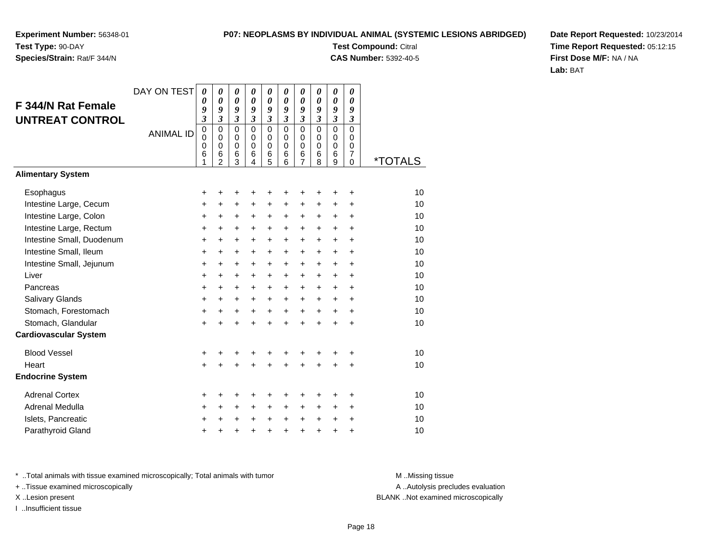### **Species/Strain:** Rat/F 344/N

#### **P07: NEOPLASMS BY INDIVIDUAL ANIMAL (SYSTEMIC LESIONS ABRIDGED)**

**Test Compound:** Citral **CAS Number:** 5392-40-5

**Date Report Requested:** 10/23/2014**Time Report Requested:** 05:12:15**First Dose M/F:** NA / NA**Lab:** BAT

|                              | DAY ON TEST      | 0                                                   | 0                                                             | 0                                                 | 0                                             | $\pmb{\theta}$                                       | 0                                                   | 0                                            | 0                                             | 0                                         | 0                                                             |                       |
|------------------------------|------------------|-----------------------------------------------------|---------------------------------------------------------------|---------------------------------------------------|-----------------------------------------------|------------------------------------------------------|-----------------------------------------------------|----------------------------------------------|-----------------------------------------------|-------------------------------------------|---------------------------------------------------------------|-----------------------|
| <b>F 344/N Rat Female</b>    |                  | $\boldsymbol{\theta}$<br>9                          | 0<br>9                                                        | 0<br>9                                            | 0<br>$\boldsymbol{g}$                         | $\boldsymbol{\theta}$<br>9                           | $\boldsymbol{\theta}$<br>9                          | 0<br>9                                       | $\boldsymbol{\theta}$<br>9                    | $\boldsymbol{\theta}$<br>9                | $\boldsymbol{\theta}$<br>9                                    |                       |
| <b>UNTREAT CONTROL</b>       |                  | $\boldsymbol{\beta}$                                | $\mathfrak{z}$                                                | $\boldsymbol{\mathfrak{z}}$                       | $\mathfrak{z}$                                | $\boldsymbol{\mathfrak{z}}$                          | $\overline{\mathbf{3}}$                             | $\overline{\mathbf{3}}$                      | $\mathfrak{z}$                                | $\mathfrak{z}$                            | $\boldsymbol{\mathfrak{z}}$                                   |                       |
|                              | <b>ANIMAL ID</b> | $\mathbf 0$<br>$\mathbf 0$<br>$\mathbf 0$<br>6<br>1 | $\mathbf 0$<br>$\Omega$<br>$\mathbf 0$<br>6<br>$\overline{2}$ | $\mathbf 0$<br>$\mathbf 0$<br>$\pmb{0}$<br>6<br>3 | $\mathbf 0$<br>$\Omega$<br>$\Omega$<br>6<br>4 | $\overline{0}$<br>$\mathbf 0$<br>$\pmb{0}$<br>6<br>5 | $\overline{0}$<br>$\Omega$<br>$\mathbf 0$<br>6<br>6 | $\overline{0}$<br>$\mathbf 0$<br>0<br>6<br>7 | $\mathbf 0$<br>$\Omega$<br>$\Omega$<br>6<br>8 | $\mathbf 0$<br>0<br>$\mathbf 0$<br>6<br>9 | $\mathbf 0$<br>$\Omega$<br>$\mathbf 0$<br>$\overline{7}$<br>0 | <i><b>*TOTALS</b></i> |
| <b>Alimentary System</b>     |                  |                                                     |                                                               |                                                   |                                               |                                                      |                                                     |                                              |                                               |                                           |                                                               |                       |
| Esophagus                    |                  | +                                                   | +                                                             | ٠                                                 | +                                             | +                                                    |                                                     | +                                            | +                                             | +                                         | ٠                                                             | 10                    |
| Intestine Large, Cecum       |                  | +                                                   | $\ddot{}$                                                     | $\ddot{}$                                         | $\ddot{}$                                     | $\ddot{}$                                            | $\ddot{}$                                           | +                                            | $\ddot{}$                                     | $\ddot{}$                                 | +                                                             | 10                    |
| Intestine Large, Colon       |                  | $\ddot{}$                                           | $\ddot{}$                                                     | +                                                 | $\ddot{}$                                     | $\ddot{}$                                            | +                                                   | $\ddot{}$                                    | $\ddot{}$                                     | $\ddot{}$                                 | $\ddot{}$                                                     | 10                    |
| Intestine Large, Rectum      |                  | +                                                   | $\ddot{}$                                                     | +                                                 | +                                             | $\ddot{}$                                            | $\ddot{}$                                           | +                                            | $\ddot{}$                                     | $\ddot{}$                                 | $\ddot{}$                                                     | 10                    |
| Intestine Small, Duodenum    |                  | $\ddot{}$                                           | +                                                             | $\ddot{}$                                         | $\ddot{}$                                     | $\ddot{}$                                            | $\ddot{}$                                           | $\ddot{}$                                    | $\ddot{}$                                     | $\ddot{}$                                 | $\ddot{}$                                                     | 10                    |
| Intestine Small, Ileum       |                  | +                                                   | +                                                             | +                                                 | +                                             | +                                                    | $\ddot{}$                                           | +                                            | +                                             | $\ddot{}$                                 | $\ddot{}$                                                     | 10                    |
| Intestine Small, Jejunum     |                  | $\ddot{}$                                           | $\ddot{}$                                                     | $\ddot{}$                                         | $\ddot{}$                                     | $\ddot{}$                                            | $\ddot{}$                                           | $\ddot{}$                                    | $\ddot{}$                                     | $\ddot{}$                                 | $\ddot{}$                                                     | 10                    |
| Liver                        |                  | $\ddot{}$                                           | $\ddot{}$                                                     | $\ddot{}$                                         | +                                             | $\ddot{}$                                            | $\ddot{}$                                           | $\ddot{}$                                    | $\ddot{}$                                     | $\ddot{}$                                 | $\ddot{}$                                                     | 10                    |
| Pancreas                     |                  | $\ddot{}$                                           | $\ddot{}$                                                     | $\ddot{}$                                         | $\ddot{}$                                     | $+$                                                  | $\ddot{}$                                           | $\ddot{}$                                    | $\ddot{}$                                     | $+$                                       | $\ddot{}$                                                     | 10                    |
| Salivary Glands              |                  | +                                                   | +                                                             | $\ddot{}$                                         | $\ddot{}$                                     | $\pm$                                                | $\ddot{}$                                           | $\ddot{}$                                    | $\ddot{}$                                     | $\ddot{}$                                 | $\ddot{}$                                                     | 10                    |
| Stomach, Forestomach         |                  | $\ddot{}$                                           | $\ddot{}$                                                     | $\ddot{}$                                         | $\ddot{}$                                     | $\ddot{}$                                            | $\ddot{}$                                           | $\ddot{}$                                    | $\ddot{}$                                     | $\ddot{}$                                 | $\ddot{}$                                                     | 10                    |
| Stomach, Glandular           |                  | $\ddot{}$                                           | $\ddot{}$                                                     | $\ddot{}$                                         | $\ddot{}$                                     | $\ddot{}$                                            | $\ddot{}$                                           | $\ddot{}$                                    | ÷                                             | $\ddot{}$                                 | $\div$                                                        | 10                    |
| <b>Cardiovascular System</b> |                  |                                                     |                                                               |                                                   |                                               |                                                      |                                                     |                                              |                                               |                                           |                                                               |                       |
| <b>Blood Vessel</b>          |                  | +                                                   |                                                               | +                                                 | +                                             | +                                                    |                                                     | +                                            | +                                             | +                                         | +                                                             | 10                    |
| Heart                        |                  | $\ddot{}$                                           | ÷                                                             | $\ddot{}$                                         | $\ddot{}$                                     | $\ddot{}$                                            | $\ddot{}$                                           | $\ddot{}$                                    | $\ddot{}$                                     | $\ddot{}$                                 | $\ddot{}$                                                     | 10                    |
| <b>Endocrine System</b>      |                  |                                                     |                                                               |                                                   |                                               |                                                      |                                                     |                                              |                                               |                                           |                                                               |                       |
| <b>Adrenal Cortex</b>        |                  | +                                                   |                                                               | ٠                                                 | ٠                                             | +                                                    |                                                     | +                                            |                                               |                                           | ٠                                                             | 10                    |
| Adrenal Medulla              |                  | +                                                   | $\ddot{}$                                                     | $\ddot{}$                                         | $\ddot{}$                                     | $\ddot{}$                                            | $\ddot{}$                                           | +                                            | $\ddot{}$                                     | $\ddot{}$                                 | $\ddot{}$                                                     | 10                    |
| Islets, Pancreatic           |                  | +                                                   |                                                               | +                                                 | $\ddot{}$                                     | $\ddot{}$                                            | $\ddot{}$                                           | $\pm$                                        | $\ddot{}$                                     | +                                         | +                                                             | 10                    |
| Parathyroid Gland            |                  | $\ddot{}$                                           | +                                                             | +                                                 | $\ddot{}$                                     | +                                                    | $\ddot{}$                                           | $\ddot{}$                                    | $\ddot{}$                                     | $\ddot{}$                                 | +                                                             | 10                    |

\* ..Total animals with tissue examined microscopically; Total animals with tumor **M** . Missing tissue M ..Missing tissue

+ ..Tissue examined microscopically

I ..Insufficient tissue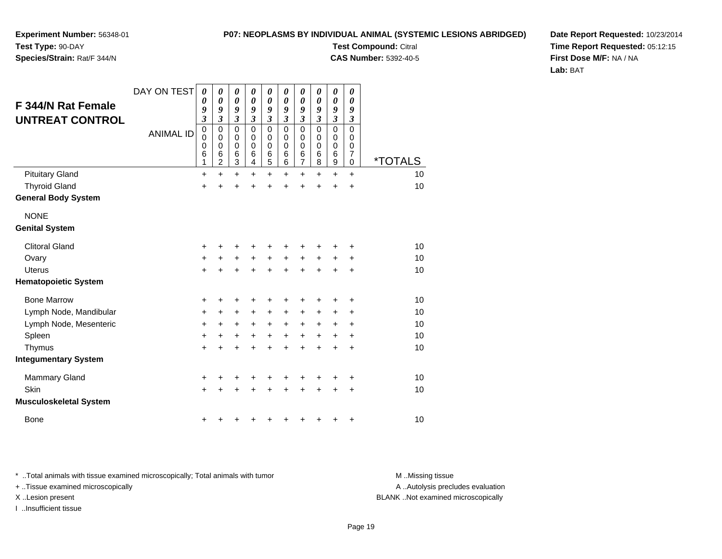#### **P07: NEOPLASMS BY INDIVIDUAL ANIMAL (SYSTEMIC LESIONS ABRIDGED)Test Compound:** Citral

**CAS Number:** 5392-40-5

**Experiment Number:** 56348-01**Test Type:** 90-DAY

### **Species/Strain:** Rat/F 344/N

**Date Report Requested:** 10/23/2014**Time Report Requested:** 05:12:15**First Dose M/F:** NA / NA**Lab:** BAT

| F 344/N Rat Female<br><b>UNTREAT CONTROL</b> | DAY ON TEST      | $\boldsymbol{\theta}$<br>0<br>9<br>$\mathfrak{z}$<br>$\mathbf 0$ | 0<br>$\boldsymbol{\theta}$<br>9<br>3<br>$\mathbf 0$ | 0<br>0<br>9<br>3<br>0      | 0<br>$\boldsymbol{\theta}$<br>9<br>$\overline{\mathbf{3}}$<br>$\mathbf 0$ | 0<br>0<br>9<br>$\mathfrak{z}$<br>0 | 0<br>$\pmb{\theta}$<br>9<br>$\overline{\mathbf{3}}$<br>$\mathbf 0$ | 0<br>0<br>9<br>$\mathfrak{z}$<br>$\mathbf 0$ | 0<br>0<br>9<br>$\mathfrak{z}$<br>$\mathbf 0$ | 0<br>0<br>9<br>$\mathfrak{z}$<br>$\mathbf 0$ | 0<br>0<br>9<br>$\boldsymbol{\beta}$<br>0 |                       |
|----------------------------------------------|------------------|------------------------------------------------------------------|-----------------------------------------------------|----------------------------|---------------------------------------------------------------------------|------------------------------------|--------------------------------------------------------------------|----------------------------------------------|----------------------------------------------|----------------------------------------------|------------------------------------------|-----------------------|
|                                              | <b>ANIMAL ID</b> | 0<br>$\mathbf 0$<br>6<br>1                                       | 0<br>$\mathbf 0$<br>6<br>$\overline{c}$             | 0<br>$\mathbf 0$<br>6<br>3 | 0<br>$\mathbf 0$<br>6<br>4                                                | 0<br>$\mathbf 0$<br>6<br>5         | 0<br>$\pmb{0}$<br>6<br>6                                           | 0<br>$\pmb{0}$<br>6<br>7                     | 0<br>$\mathbf 0$<br>$\,6$<br>8               | 0<br>$\pmb{0}$<br>6<br>9                     | 0<br>0<br>$\overline{7}$<br>0            | <i><b>*TOTALS</b></i> |
| <b>Pituitary Gland</b>                       |                  | $\ddot{}$                                                        | $\ddot{}$                                           | $\ddot{}$                  | $\ddot{}$                                                                 | $\ddot{}$                          | $\ddot{}$                                                          | $\ddot{}$                                    | $\ddot{}$                                    | $\ddot{}$                                    | $\ddot{}$                                | 10                    |
| <b>Thyroid Gland</b>                         |                  | $\ddot{}$                                                        | ÷                                                   | $\ddot{}$                  | +                                                                         | $\ddot{}$                          | +                                                                  | +                                            | +                                            | $\ddot{}$                                    | +                                        | 10                    |
| <b>General Body System</b>                   |                  |                                                                  |                                                     |                            |                                                                           |                                    |                                                                    |                                              |                                              |                                              |                                          |                       |
| <b>NONE</b>                                  |                  |                                                                  |                                                     |                            |                                                                           |                                    |                                                                    |                                              |                                              |                                              |                                          |                       |
| <b>Genital System</b>                        |                  |                                                                  |                                                     |                            |                                                                           |                                    |                                                                    |                                              |                                              |                                              |                                          |                       |
| <b>Clitoral Gland</b>                        |                  | +                                                                |                                                     |                            | +                                                                         | +                                  | ٠                                                                  |                                              |                                              |                                              | ٠                                        | 10                    |
| Ovary                                        |                  | $\ddot{}$                                                        | $\ddot{}$                                           | $\ddot{}$                  | $\ddot{}$                                                                 | $\ddot{}$                          | $\ddot{}$                                                          | $\ddot{}$                                    | +                                            | +                                            | +                                        | 10                    |
| Uterus                                       |                  | $\ddot{}$                                                        |                                                     | $\ddot{}$                  | $\ddot{}$                                                                 | $\ddot{}$                          | $\ddot{}$                                                          | $\ddot{}$                                    |                                              | ÷                                            | $\ddot{}$                                | 10                    |
| <b>Hematopoietic System</b>                  |                  |                                                                  |                                                     |                            |                                                                           |                                    |                                                                    |                                              |                                              |                                              |                                          |                       |
| <b>Bone Marrow</b>                           |                  | +                                                                | ٠                                                   | +                          | +                                                                         | +                                  | +                                                                  | +                                            | +                                            | +                                            | +                                        | 10                    |
| Lymph Node, Mandibular                       |                  | $\ddot{}$                                                        | $\ddot{}$                                           | +                          | +                                                                         | +                                  | $\ddot{}$                                                          | $\ddot{}$                                    | +                                            | +                                            | +                                        | 10                    |
| Lymph Node, Mesenteric                       |                  | $\ddot{}$                                                        | $\pm$                                               | +                          | +                                                                         | $\ddot{}$                          | $\ddot{}$                                                          | $\ddot{}$                                    | +                                            | +                                            | +                                        | 10                    |
| Spleen                                       |                  | $\ddot{}$                                                        | $\ddot{}$                                           | +                          | $\ddot{}$                                                                 | +                                  | $\ddot{}$                                                          | +                                            | +                                            | $\ddot{}$                                    | $\ddot{}$                                | 10                    |
| Thymus                                       |                  | $\ddot{}$                                                        | +                                                   | $\ddot{}$                  | +                                                                         | $\ddot{}$                          | $\ddot{}$                                                          | ÷                                            | +                                            | ÷                                            | +                                        | 10                    |
| <b>Integumentary System</b>                  |                  |                                                                  |                                                     |                            |                                                                           |                                    |                                                                    |                                              |                                              |                                              |                                          |                       |
| <b>Mammary Gland</b>                         |                  | +                                                                |                                                     | +                          | +                                                                         | +                                  | +                                                                  | +                                            |                                              | +                                            | +                                        | 10                    |
| Skin                                         |                  | $\ddot{}$                                                        |                                                     | +                          | +                                                                         | +                                  | +                                                                  | +                                            |                                              | +                                            | $\ddot{}$                                | 10                    |
| <b>Musculoskeletal System</b>                |                  |                                                                  |                                                     |                            |                                                                           |                                    |                                                                    |                                              |                                              |                                              |                                          |                       |
| <b>Bone</b>                                  |                  | +                                                                |                                                     |                            |                                                                           |                                    | +                                                                  | +                                            |                                              | +                                            | +                                        | 10                    |

\* ..Total animals with tissue examined microscopically; Total animals with tumor **M** . Missing tissue M ..Missing tissue

+ ..Tissue examined microscopically

I ..Insufficient tissue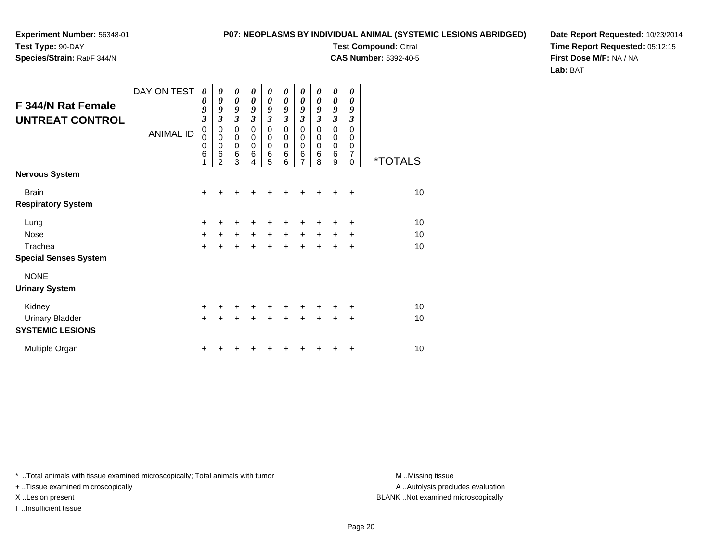**Species/Strain:** Rat/F 344/N

**P07: NEOPLASMS BY INDIVIDUAL ANIMAL (SYSTEMIC LESIONS ABRIDGED)**

**Test Compound:** Citral

**CAS Number:** 5392-40-5

**Date Report Requested:** 10/23/2014**Time Report Requested:** 05:12:15**First Dose M/F:** NA / NA**Lab:** BAT

| F 344/N Rat Female<br><b>UNTREAT CONTROL</b>      | DAY ON TEST<br><b>ANIMAL ID</b> | 0<br>0<br>9<br>$\mathfrak{z}$<br>$\pmb{0}$<br>$\mathbf 0$<br>$\mathbf 0$<br>6 | 0<br>0<br>9<br>3<br>0<br>0<br>$\mathbf 0$<br>6<br>2 | $\boldsymbol{\theta}$<br>$\boldsymbol{\theta}$<br>9<br>$\mathfrak{z}$<br>$\mathbf 0$<br>$\pmb{0}$<br>$\pmb{0}$<br>$6\phantom{1}6$<br>3 | 0<br>0<br>9<br>3<br>0<br>0<br>$\mathbf 0$<br>6 | 0<br>$\boldsymbol{\theta}$<br>9<br>$\mathfrak{z}$<br>0<br>0<br>$\pmb{0}$<br>$\,6$<br>5 | 0<br>0<br>9<br>3<br>0<br>0<br>$\mathbf 0$<br>6<br>6 | 0<br>0<br>9<br>$\mathfrak{z}$<br>0<br>0<br>$\begin{matrix}0\\6\end{matrix}$<br>$\overline{7}$ | 0<br>0<br>9<br>3<br>0<br>0<br>$\mathbf 0$<br>6<br>8 | 0<br>0<br>9<br>$\mathfrak{z}$<br>0<br>0<br>$\pmb{0}$<br>6<br>9 | 0<br>0<br>9<br>3<br>$\mathbf 0$<br>0<br>0<br>7<br>$\Omega$ | <i><b>*TOTALS</b></i> |
|---------------------------------------------------|---------------------------------|-------------------------------------------------------------------------------|-----------------------------------------------------|----------------------------------------------------------------------------------------------------------------------------------------|------------------------------------------------|----------------------------------------------------------------------------------------|-----------------------------------------------------|-----------------------------------------------------------------------------------------------|-----------------------------------------------------|----------------------------------------------------------------|------------------------------------------------------------|-----------------------|
| <b>Nervous System</b>                             |                                 |                                                                               |                                                     |                                                                                                                                        |                                                |                                                                                        |                                                     |                                                                                               |                                                     |                                                                |                                                            |                       |
| <b>Brain</b>                                      |                                 | $\ddot{}$                                                                     |                                                     |                                                                                                                                        |                                                |                                                                                        |                                                     |                                                                                               |                                                     |                                                                | ÷                                                          | 10                    |
| <b>Respiratory System</b>                         |                                 |                                                                               |                                                     |                                                                                                                                        |                                                |                                                                                        |                                                     |                                                                                               |                                                     |                                                                |                                                            |                       |
| Lung                                              |                                 | $\pm$                                                                         |                                                     | +                                                                                                                                      |                                                |                                                                                        |                                                     |                                                                                               |                                                     |                                                                | ÷                                                          | 10                    |
| <b>Nose</b>                                       |                                 | $+$                                                                           | $\ddot{}$                                           | $\ddot{}$                                                                                                                              | $\ddot{}$                                      | $\ddot{}$                                                                              | $\ddot{}$                                           | $\ddot{}$                                                                                     | $\ddot{}$                                           | $\ddot{}$                                                      | +                                                          | 10                    |
| Trachea                                           |                                 | $+$                                                                           | $\ddot{}$                                           | $\ddot{}$                                                                                                                              | $\ddot{}$                                      | $+$                                                                                    | $\ddot{}$                                           | $\div$                                                                                        | $\ddot{}$                                           | $\div$                                                         | $\ddot{}$                                                  | 10                    |
| <b>Special Senses System</b>                      |                                 |                                                                               |                                                     |                                                                                                                                        |                                                |                                                                                        |                                                     |                                                                                               |                                                     |                                                                |                                                            |                       |
| <b>NONE</b>                                       |                                 |                                                                               |                                                     |                                                                                                                                        |                                                |                                                                                        |                                                     |                                                                                               |                                                     |                                                                |                                                            |                       |
| <b>Urinary System</b>                             |                                 |                                                                               |                                                     |                                                                                                                                        |                                                |                                                                                        |                                                     |                                                                                               |                                                     |                                                                |                                                            |                       |
| Kidney                                            |                                 | $+$                                                                           | +                                                   | ٠                                                                                                                                      | ٠                                              | ÷                                                                                      |                                                     | ÷                                                                                             |                                                     |                                                                | ÷                                                          | 10                    |
| <b>Urinary Bladder</b><br><b>SYSTEMIC LESIONS</b> |                                 | $+$                                                                           | $\ddot{}$                                           | $\ddot{}$                                                                                                                              | +                                              | $+$                                                                                    | $+$                                                 | $+$                                                                                           | $+$                                                 | $+$                                                            | $\ddot{}$                                                  | 10                    |
| Multiple Organ                                    |                                 | +                                                                             |                                                     |                                                                                                                                        |                                                |                                                                                        |                                                     |                                                                                               |                                                     |                                                                | ٠                                                          | 10                    |

\* ..Total animals with tissue examined microscopically; Total animals with tumor **M** . Missing tissue M ..Missing tissue

+ ..Tissue examined microscopically

I ..Insufficient tissue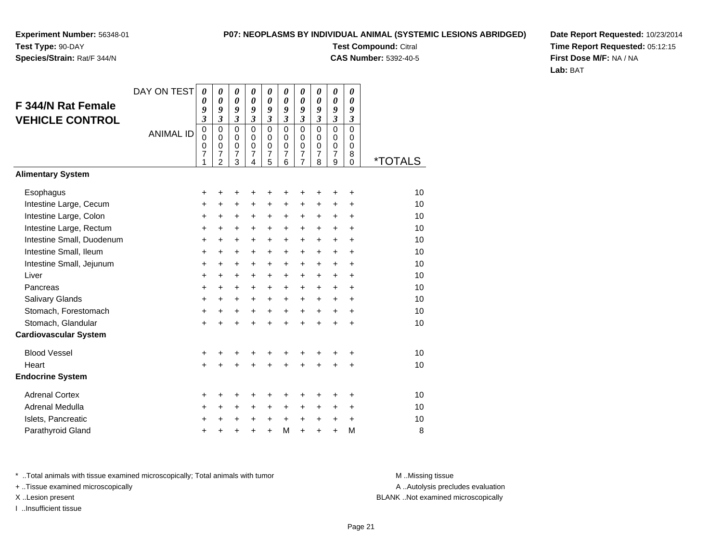**Species/Strain:** Rat/F 344/N

### **P07: NEOPLASMS BY INDIVIDUAL ANIMAL (SYSTEMIC LESIONS ABRIDGED)**

**Test Compound:** Citral **CAS Number:** 5392-40-5

**Date Report Requested:** 10/23/2014**Time Report Requested:** 05:12:15**First Dose M/F:** NA / NA**Lab:** BAT

|                              | DAY ON TEST      | 0                                       | 0                                                           | 0                                                                | 0                                                   | 0                                                        | 0                                      | 0                               | 0                            | 0                                                    | 0                                                     |                       |
|------------------------------|------------------|-----------------------------------------|-------------------------------------------------------------|------------------------------------------------------------------|-----------------------------------------------------|----------------------------------------------------------|----------------------------------------|---------------------------------|------------------------------|------------------------------------------------------|-------------------------------------------------------|-----------------------|
| F 344/N Rat Female           |                  | 0<br>9                                  | 0<br>9                                                      | $\boldsymbol{\theta}$<br>9                                       | 0<br>9                                              | 0<br>9                                                   | 0<br>9                                 | 0<br>9                          | $\boldsymbol{\theta}$<br>9   | $\boldsymbol{\theta}$<br>9                           | $\boldsymbol{\theta}$<br>9                            |                       |
| <b>VEHICLE CONTROL</b>       |                  | 3                                       | $\mathfrak{z}$                                              | 3                                                                | $\overline{\mathbf{3}}$                             | $\mathfrak{z}$                                           | $\overline{\mathbf{3}}$                | 3                               | $\overline{\mathbf{3}}$      | 3                                                    | $\mathfrak{z}$                                        |                       |
|                              | <b>ANIMAL ID</b> | $\pmb{0}$<br>$\mathbf 0$<br>0<br>7<br>1 | $\mathbf 0$<br>$\Omega$<br>$\pmb{0}$<br>7<br>$\overline{2}$ | $\mathbf 0$<br>$\mathbf 0$<br>$\mathbf 0$<br>$\overline{7}$<br>3 | $\mathbf 0$<br>$\mathbf 0$<br>$\mathbf 0$<br>7<br>4 | $\mathbf 0$<br>$\mathbf 0$<br>0<br>$\boldsymbol{7}$<br>5 | $\mathbf 0$<br>$\Omega$<br>0<br>7<br>6 | $\mathbf 0$<br>0<br>0<br>7<br>7 | 0<br>$\Omega$<br>0<br>7<br>8 | $\mathbf 0$<br>0<br>$\pmb{0}$<br>$\overline{7}$<br>9 | $\mathbf 0$<br>$\Omega$<br>$\pmb{0}$<br>8<br>$\Omega$ | <i><b>*TOTALS</b></i> |
| <b>Alimentary System</b>     |                  |                                         |                                                             |                                                                  |                                                     |                                                          |                                        |                                 |                              |                                                      |                                                       |                       |
| Esophagus                    |                  | +                                       | +                                                           | +                                                                |                                                     | ٠                                                        | +                                      | +                               |                              |                                                      | ٠                                                     | 10                    |
| Intestine Large, Cecum       |                  | $\ddot{}$                               | $\ddot{}$                                                   | $\ddot{}$                                                        | $\ddot{}$                                           | $\ddot{}$                                                | +                                      | +                               | +                            | $\ddot{}$                                            | +                                                     | 10                    |
| Intestine Large, Colon       |                  | $\ddot{}$                               | +                                                           | +                                                                | $\pm$                                               | +                                                        | +                                      | +                               | +                            | $\ddot{}$                                            | $\ddot{}$                                             | 10                    |
| Intestine Large, Rectum      |                  | +                                       | $\ddot{}$                                                   | $\ddot{}$                                                        | $\ddot{}$                                           | $+$                                                      | $\ddot{}$                              | $\ddot{}$                       | $\ddot{}$                    | $\ddot{}$                                            | $\ddot{}$                                             | 10                    |
| Intestine Small, Duodenum    |                  | $\ddot{}$                               | $\ddot{}$                                                   | $\ddot{}$                                                        | $\ddot{}$                                           | $+$                                                      | $\ddot{}$                              | $\ddot{}$                       | $\ddot{}$                    | $+$                                                  | $\ddot{}$                                             | 10                    |
| Intestine Small, Ileum       |                  | +                                       | $\ddot{}$                                                   | $\ddot{}$                                                        | $\ddot{}$                                           | $\ddot{}$                                                | $\ddot{}$                              | $\ddot{}$                       | $\ddot{}$                    | $\ddot{}$                                            | $\ddot{}$                                             | 10                    |
| Intestine Small, Jejunum     |                  | $\ddot{}$                               | $\ddot{}$                                                   | $\ddot{}$                                                        | $\ddot{}$                                           | $\ddot{}$                                                | $\ddot{}$                              | $\ddot{}$                       | $\ddot{}$                    | $\ddot{}$                                            | $\ddot{}$                                             | 10                    |
| Liver                        |                  | $\ddot{}$                               | $\ddot{}$                                                   | $\ddot{}$                                                        | $\ddot{}$                                           | $+$                                                      | $\ddot{}$                              | $\ddot{}$                       | $\ddot{}$                    | $+$                                                  | $\ddot{}$                                             | 10                    |
| Pancreas                     |                  | $\ddot{}$                               | $\ddot{}$                                                   | $\ddot{}$                                                        | $\ddot{}$                                           | $+$                                                      | $\ddot{}$                              | $\ddot{}$                       | $\ddot{}$                    | $\ddot{}$                                            | $\ddot{}$                                             | 10                    |
| Salivary Glands              |                  | $\ddot{}$                               | $\ddot{}$                                                   | $\ddot{}$                                                        | $\ddot{}$                                           | $\ddot{}$                                                | +                                      | +                               | $\ddot{}$                    | $\ddot{}$                                            | $\ddot{}$                                             | 10                    |
| Stomach, Forestomach         |                  | $\ddot{}$                               | +                                                           | $\ddot{}$                                                        | $\ddot{}$                                           | $\ddot{}$                                                | $\ddot{}$                              | +                               | $\ddot{}$                    | $\ddot{}$                                            | $\ddot{}$                                             | 10                    |
| Stomach, Glandular           |                  | $\ddot{}$                               | $\ddot{}$                                                   | $\ddot{}$                                                        | $\ddot{}$                                           | $\ddot{}$                                                | $\ddot{}$                              | $\ddot{}$                       | $\ddot{}$                    |                                                      | ÷                                                     | 10                    |
| <b>Cardiovascular System</b> |                  |                                         |                                                             |                                                                  |                                                     |                                                          |                                        |                                 |                              |                                                      |                                                       |                       |
| <b>Blood Vessel</b>          |                  | +                                       | +                                                           | +                                                                | +                                                   | +                                                        | +                                      | +                               | +                            |                                                      | +                                                     | 10                    |
| Heart                        |                  | $\ddot{}$                               |                                                             | $\ddot{}$                                                        |                                                     | $\ddot{}$                                                |                                        | $\ddot{}$                       |                              |                                                      | $\ddot{}$                                             | 10                    |
| <b>Endocrine System</b>      |                  |                                         |                                                             |                                                                  |                                                     |                                                          |                                        |                                 |                              |                                                      |                                                       |                       |
| <b>Adrenal Cortex</b>        |                  | +                                       | +                                                           | +                                                                | ٠                                                   | ٠                                                        | +                                      | +                               | +                            |                                                      | ٠                                                     | 10                    |
| Adrenal Medulla              |                  | +                                       | $\ddot{}$                                                   | $\ddot{}$                                                        | $\ddot{}$                                           | $\pm$                                                    | $\ddot{}$                              | +                               | $\ddot{}$                    | $\ddot{}$                                            | $\ddot{}$                                             | 10                    |
| Islets, Pancreatic           |                  | +                                       | +                                                           | +                                                                | +                                                   | $\ddot{}$                                                | +                                      | $\ddot{}$                       | +                            | $\ddot{}$                                            | +                                                     | 10                    |
| Parathyroid Gland            |                  | $\ddot{}$                               | +                                                           | +                                                                | $\ddot{}$                                           | $\ddot{}$                                                | M                                      | $\ddot{}$                       | +                            | $\ddot{}$                                            | M                                                     | 8                     |

\* ..Total animals with tissue examined microscopically; Total animals with tumor **M** . Missing tissue M ..Missing tissue

+ ..Tissue examined microscopically

I ..Insufficient tissue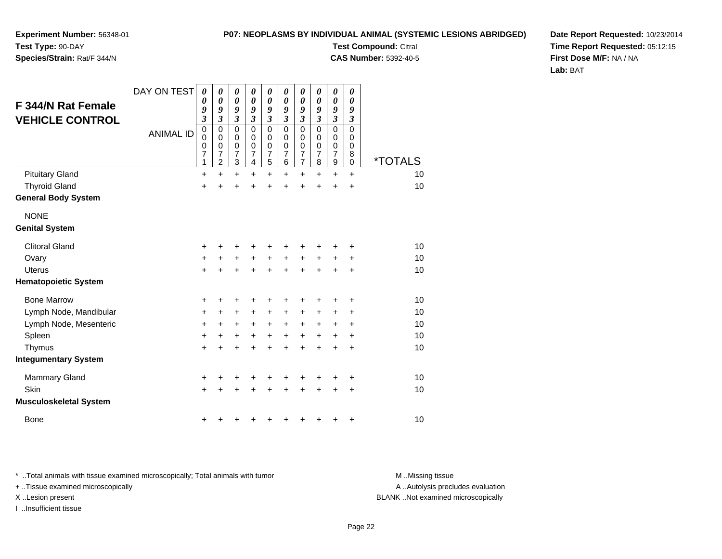#### **P07: NEOPLASMS BY INDIVIDUAL ANIMAL (SYSTEMIC LESIONS ABRIDGED)**

**Experiment Number:** 56348-01**Test Type:** 90-DAY

### **Species/Strain:** Rat/F 344/N

**Test Compound:** Citral **CAS Number:** 5392-40-5

**Date Report Requested:** 10/23/2014**Time Report Requested:** 05:12:15**First Dose M/F:** NA / NA**Lab:** BAT

| F 344/N Rat Female<br><b>VEHICLE CONTROL</b> | DAY ON TEST<br><b>ANIMAL ID</b> | 0<br>0<br>9<br>$\overline{\mathbf{3}}$<br>0<br>0<br>0<br>7<br>1 | 0<br>$\boldsymbol{\theta}$<br>9<br>$\overline{\mathbf{3}}$<br>$\mathbf 0$<br>0<br>$\mathbf 0$<br>7<br>$\overline{c}$ | $\boldsymbol{\theta}$<br>$\boldsymbol{\theta}$<br>9<br>$\mathfrak{z}$<br>$\mathbf 0$<br>0<br>$\mathbf 0$<br>$\overline{7}$<br>3 | 0<br>$\boldsymbol{\theta}$<br>9<br>$\mathfrak{z}$<br>$\mathbf 0$<br>0<br>$\mathbf 0$<br>7<br>4 | 0<br>0<br>9<br>$\mathfrak{z}$<br>$\mathbf 0$<br>0<br>$\mathbf 0$<br>$\overline{7}$<br>5 | 0<br>0<br>9<br>3<br>$\mathbf 0$<br>$\Omega$<br>0<br>$\overline{7}$<br>6 | 0<br>$\boldsymbol{\theta}$<br>9<br>$\boldsymbol{\beta}$<br>$\mathbf 0$<br>0<br>$\mathbf 0$<br>$\overline{7}$<br>$\overline{7}$ | 0<br>0<br>9<br>3<br>$\mathbf 0$<br>0<br>0<br>$\overline{7}$<br>8 | $\pmb{\theta}$<br>0<br>9<br>$\boldsymbol{\mathfrak{z}}$<br>$\mathbf 0$<br>0<br>0<br>$\overline{7}$<br>9 | 0<br>0<br>9<br>$\boldsymbol{\beta}$<br>$\mathbf 0$<br>0<br>0<br>8<br>0 | <i><b>*TOTALS</b></i> |
|----------------------------------------------|---------------------------------|-----------------------------------------------------------------|----------------------------------------------------------------------------------------------------------------------|---------------------------------------------------------------------------------------------------------------------------------|------------------------------------------------------------------------------------------------|-----------------------------------------------------------------------------------------|-------------------------------------------------------------------------|--------------------------------------------------------------------------------------------------------------------------------|------------------------------------------------------------------|---------------------------------------------------------------------------------------------------------|------------------------------------------------------------------------|-----------------------|
| <b>Pituitary Gland</b>                       |                                 | $\ddot{}$                                                       | $\ddot{}$                                                                                                            | $\ddot{}$                                                                                                                       | $\ddot{}$                                                                                      | $\ddot{}$                                                                               | $+$                                                                     | $+$                                                                                                                            | $+$                                                              | $+$                                                                                                     | $\ddot{}$                                                              | 10                    |
| <b>Thyroid Gland</b>                         |                                 | $\ddot{}$                                                       | +                                                                                                                    | $\ddot{}$                                                                                                                       |                                                                                                | $\ddot{}$                                                                               | $\ddot{}$                                                               | $\ddot{}$                                                                                                                      | $\ddot{}$                                                        | $\ddot{}$                                                                                               | $\ddot{}$                                                              | 10                    |
| <b>General Body System</b>                   |                                 |                                                                 |                                                                                                                      |                                                                                                                                 |                                                                                                |                                                                                         |                                                                         |                                                                                                                                |                                                                  |                                                                                                         |                                                                        |                       |
| <b>NONE</b><br><b>Genital System</b>         |                                 |                                                                 |                                                                                                                      |                                                                                                                                 |                                                                                                |                                                                                         |                                                                         |                                                                                                                                |                                                                  |                                                                                                         |                                                                        |                       |
| <b>Clitoral Gland</b>                        |                                 | +                                                               | +                                                                                                                    | +                                                                                                                               | +                                                                                              | +                                                                                       | +                                                                       | +                                                                                                                              | +                                                                | +                                                                                                       | +                                                                      | 10                    |
| Ovary                                        |                                 | +                                                               | $\ddot{}$                                                                                                            | $\ddot{}$                                                                                                                       | $\ddot{}$                                                                                      | $\ddot{}$                                                                               | $\ddot{}$                                                               | $\ddot{}$                                                                                                                      | $\ddot{}$                                                        | $\ddot{}$                                                                                               | +                                                                      | 10                    |
| <b>Uterus</b>                                |                                 | $\ddot{}$                                                       | $\ddot{}$                                                                                                            | $\ddot{}$                                                                                                                       | $\ddot{}$                                                                                      | $\ddot{}$                                                                               | $\ddot{}$                                                               | $+$                                                                                                                            | $+$                                                              | $+$                                                                                                     | $\ddot{}$                                                              | 10                    |
| <b>Hematopoietic System</b>                  |                                 |                                                                 |                                                                                                                      |                                                                                                                                 |                                                                                                |                                                                                         |                                                                         |                                                                                                                                |                                                                  |                                                                                                         |                                                                        |                       |
| <b>Bone Marrow</b>                           |                                 | +                                                               | +                                                                                                                    | +                                                                                                                               |                                                                                                | +                                                                                       | +                                                                       | +                                                                                                                              |                                                                  | +                                                                                                       | +                                                                      | 10                    |
| Lymph Node, Mandibular                       |                                 | +                                                               | +                                                                                                                    | +                                                                                                                               | +                                                                                              | +                                                                                       | $\ddot{}$                                                               | $\ddot{}$                                                                                                                      | $\pm$                                                            | ٠                                                                                                       | +                                                                      | 10                    |
| Lymph Node, Mesenteric                       |                                 | +                                                               | +                                                                                                                    | +                                                                                                                               | $\ddot{}$                                                                                      | $\ddot{}$                                                                               | $\ddot{}$                                                               | $\ddot{}$                                                                                                                      | $\ddot{}$                                                        | $\pm$                                                                                                   | ÷                                                                      | 10                    |
| Spleen                                       |                                 | $\ddot{}$                                                       | $\ddot{}$                                                                                                            | $\ddot{}$                                                                                                                       | $\ddot{}$                                                                                      | $\ddot{}$                                                                               | $\ddot{}$                                                               | $\ddot{}$                                                                                                                      | $\ddot{}$                                                        | $\ddot{}$                                                                                               | $\ddot{}$                                                              | 10                    |
| Thymus                                       |                                 | $\ddot{}$                                                       | $\ddot{}$                                                                                                            | $\ddot{}$                                                                                                                       | $\ddot{}$                                                                                      | $\ddot{}$                                                                               | $\ddot{}$                                                               | $\ddot{}$                                                                                                                      | $\ddot{}$                                                        | $\ddot{}$                                                                                               | $\ddot{}$                                                              | 10                    |
| <b>Integumentary System</b>                  |                                 |                                                                 |                                                                                                                      |                                                                                                                                 |                                                                                                |                                                                                         |                                                                         |                                                                                                                                |                                                                  |                                                                                                         |                                                                        |                       |
| <b>Mammary Gland</b>                         |                                 | +                                                               | +                                                                                                                    | +                                                                                                                               |                                                                                                | +                                                                                       | ٠                                                                       | +                                                                                                                              |                                                                  |                                                                                                         | +                                                                      | 10                    |
| Skin                                         |                                 | $\ddot{}$                                                       | +                                                                                                                    | $\ddot{}$                                                                                                                       |                                                                                                | +                                                                                       | $\ddot{}$                                                               | $\ddot{}$                                                                                                                      | $\ddot{}$                                                        | $\pm$                                                                                                   | $\ddot{}$                                                              | 10                    |
| <b>Musculoskeletal System</b>                |                                 |                                                                 |                                                                                                                      |                                                                                                                                 |                                                                                                |                                                                                         |                                                                         |                                                                                                                                |                                                                  |                                                                                                         |                                                                        |                       |
| <b>Bone</b>                                  |                                 | +                                                               |                                                                                                                      |                                                                                                                                 |                                                                                                |                                                                                         | +                                                                       | +                                                                                                                              | ٠                                                                | ٠                                                                                                       | +                                                                      | 10                    |

\* ..Total animals with tissue examined microscopically; Total animals with tumor **M** . Missing tissue M ..Missing tissue

+ ..Tissue examined microscopically

I ..Insufficient tissue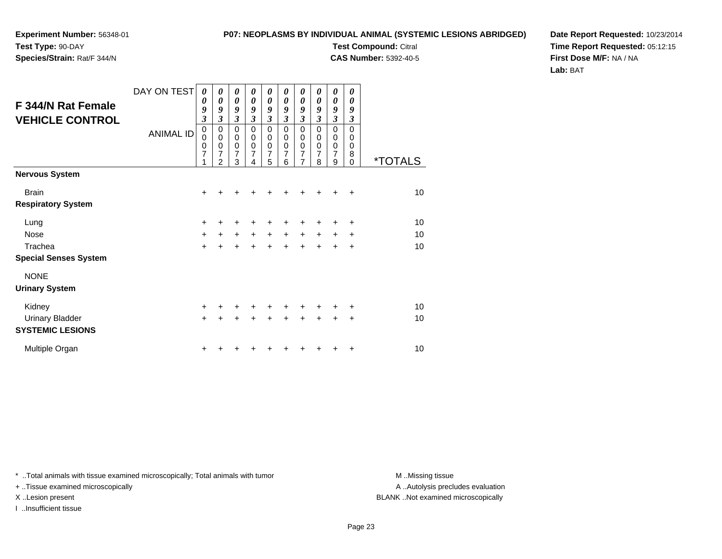**Species/Strain:** Rat/F 344/N

**P07: NEOPLASMS BY INDIVIDUAL ANIMAL (SYSTEMIC LESIONS ABRIDGED)**

**Test Compound:** Citral

**CAS Number:** 5392-40-5

**Date Report Requested:** 10/23/2014**Time Report Requested:** 05:12:15**First Dose M/F:** NA / NA**Lab:** BAT

| F 344/N Rat Female<br><b>VEHICLE CONTROL</b> | DAY ON TEST<br><b>ANIMAL ID</b> | $\boldsymbol{\theta}$<br>0<br>9<br>$\mathfrak{z}$<br>$\mathbf 0$<br>0<br>0<br>7<br>1 | 0<br>0<br>9<br>$\mathfrak{z}$<br>$\mathbf 0$<br>0<br>$\pmb{0}$<br>7<br>$\overline{2}$ | 0<br>$\boldsymbol{\theta}$<br>9<br>3<br>$\mathbf 0$<br>0<br>$\pmb{0}$<br>$\overline{7}$<br>3 | 0<br>0<br>9<br>3<br>$\mathbf 0$<br>0<br>$\pmb{0}$<br>$\overline{7}$<br>4 | $\boldsymbol{\theta}$<br>$\boldsymbol{\theta}$<br>9<br>$\overline{\mathbf{3}}$<br>$\mathbf 0$<br>$\pmb{0}$<br>$\pmb{0}$<br>$\overline{7}$<br>5 | 0<br>0<br>9<br>3<br>$\mathbf 0$<br>0<br>0<br>$\overline{7}$<br>6 | 0<br>$\boldsymbol{\theta}$<br>9<br>$\mathfrak{z}$<br>0<br>$\boldsymbol{0}$<br>$\frac{0}{7}$<br>7 | 0<br>0<br>9<br>3<br>0<br>0<br>0<br>7<br>8 | 0<br>0<br>9<br>3<br>0<br>$\boldsymbol{0}$<br>$\pmb{0}$<br>7<br>9 | 0<br>0<br>9<br>3<br>$\mathbf 0$<br>0<br>0<br>8<br>$\Omega$ | <i><b>*TOTALS</b></i> |
|----------------------------------------------|---------------------------------|--------------------------------------------------------------------------------------|---------------------------------------------------------------------------------------|----------------------------------------------------------------------------------------------|--------------------------------------------------------------------------|------------------------------------------------------------------------------------------------------------------------------------------------|------------------------------------------------------------------|--------------------------------------------------------------------------------------------------|-------------------------------------------|------------------------------------------------------------------|------------------------------------------------------------|-----------------------|
| <b>Nervous System</b>                        |                                 |                                                                                      |                                                                                       |                                                                                              |                                                                          |                                                                                                                                                |                                                                  |                                                                                                  |                                           |                                                                  |                                                            |                       |
| <b>Brain</b>                                 |                                 | +                                                                                    |                                                                                       |                                                                                              |                                                                          |                                                                                                                                                |                                                                  |                                                                                                  |                                           |                                                                  | +                                                          | 10 <sup>1</sup>       |
| <b>Respiratory System</b>                    |                                 |                                                                                      |                                                                                       |                                                                                              |                                                                          |                                                                                                                                                |                                                                  |                                                                                                  |                                           |                                                                  |                                                            |                       |
| Lung                                         |                                 | $\ddot{}$                                                                            |                                                                                       | +                                                                                            |                                                                          |                                                                                                                                                |                                                                  |                                                                                                  |                                           |                                                                  | ÷                                                          | 10                    |
| <b>Nose</b>                                  |                                 | $+$                                                                                  | $\ddot{}$                                                                             | $\ddot{}$                                                                                    | $\ddot{}$                                                                | $\ddot{}$                                                                                                                                      | $\ddot{}$                                                        | $\ddot{}$                                                                                        | $\ddot{}$                                 | $\ddot{}$                                                        | +                                                          | 10                    |
| Trachea                                      |                                 | $+$                                                                                  | $\ddot{}$                                                                             | $\ddot{}$                                                                                    | $\ddot{}$                                                                | $\ddot{}$                                                                                                                                      | $\ddot{}$                                                        | $\ddot{}$                                                                                        | $\ddot{}$                                 | $\ddot{}$                                                        | $\ddot{}$                                                  | 10                    |
| <b>Special Senses System</b>                 |                                 |                                                                                      |                                                                                       |                                                                                              |                                                                          |                                                                                                                                                |                                                                  |                                                                                                  |                                           |                                                                  |                                                            |                       |
| <b>NONE</b>                                  |                                 |                                                                                      |                                                                                       |                                                                                              |                                                                          |                                                                                                                                                |                                                                  |                                                                                                  |                                           |                                                                  |                                                            |                       |
| <b>Urinary System</b>                        |                                 |                                                                                      |                                                                                       |                                                                                              |                                                                          |                                                                                                                                                |                                                                  |                                                                                                  |                                           |                                                                  |                                                            |                       |
| Kidney                                       |                                 | $\ddot{}$                                                                            | +                                                                                     | +                                                                                            | +                                                                        | ٠                                                                                                                                              |                                                                  | ٠                                                                                                |                                           | ٠                                                                | $\pm$                                                      | 10                    |
| <b>Urinary Bladder</b>                       |                                 | $+$                                                                                  | $\div$                                                                                | +                                                                                            | $\div$                                                                   | $\ddot{}$                                                                                                                                      | $\ddot{}$                                                        | $\ddot{}$                                                                                        | $+$                                       | $\ddot{}$                                                        | $\ddot{}$                                                  | 10                    |
| <b>SYSTEMIC LESIONS</b>                      |                                 |                                                                                      |                                                                                       |                                                                                              |                                                                          |                                                                                                                                                |                                                                  |                                                                                                  |                                           |                                                                  |                                                            |                       |
| Multiple Organ                               |                                 | ٠                                                                                    |                                                                                       |                                                                                              |                                                                          |                                                                                                                                                |                                                                  |                                                                                                  |                                           |                                                                  | ÷                                                          | 10                    |

\* ..Total animals with tissue examined microscopically; Total animals with tumor **M** . Missing tissue M ..Missing tissue

+ ..Tissue examined microscopically

I ..Insufficient tissue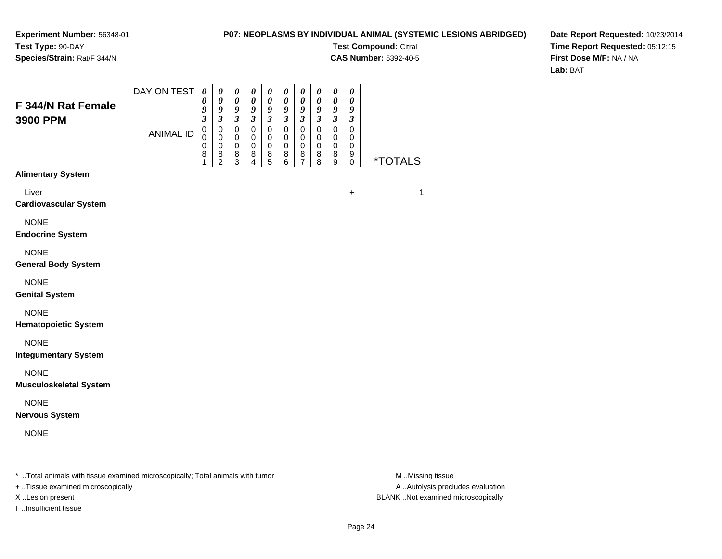#### **P07: NEOPLASMS BY INDIVIDUAL ANIMAL (SYSTEMIC LESIONS ABRIDGED)**

**Test Compound:** Citral

**CAS Number:** 5392-40-5

**Date Report Requested:** 10/23/2014**Time Report Requested:** 05:12:15**First Dose M/F:** NA / NA**Lab:** BAT

| F 344/N Rat Female<br>3900 PPM                                                 | DAY ON TEST      | $\boldsymbol{\theta}$<br>0<br>9<br>3 | $\pmb{\theta}$<br>$\pmb{\theta}$<br>9<br>$\overline{\mathbf{3}}$ | 0<br>$\pmb{\theta}$<br>9<br>$\mathfrak{z}$ | 0<br>$\pmb{\theta}$<br>9<br>$\mathfrak{z}$ | 0<br>$\pmb{\theta}$<br>9<br>$\mathfrak{z}$ | 0<br>$\pmb{\theta}$<br>9<br>$\mathfrak{z}$ | 0<br>$\pmb{\theta}$<br>$\boldsymbol{g}$<br>$\boldsymbol{\beta}$ | $\boldsymbol{\theta}$<br>$\pmb{\theta}$<br>$\boldsymbol{9}$<br>$\mathfrak{z}$ | 0<br>$\pmb{\theta}$<br>$\boldsymbol{g}$<br>$\mathfrak{z}$ | 0<br>$\pmb{\theta}$<br>9<br>3 |                       |
|--------------------------------------------------------------------------------|------------------|--------------------------------------|------------------------------------------------------------------|--------------------------------------------|--------------------------------------------|--------------------------------------------|--------------------------------------------|-----------------------------------------------------------------|-------------------------------------------------------------------------------|-----------------------------------------------------------|-------------------------------|-----------------------|
|                                                                                | <b>ANIMAL ID</b> | $\mathbf 0$<br>0<br>0<br>8           | 0<br>$\mathbf 0$<br>$\mathbf 0$<br>$\frac{8}{2}$                 | $\pmb{0}$<br>0<br>$\mathbf 0$<br>8<br>3    | $\mathbf 0$<br>0<br>0<br>8<br>4            | $\mathbf 0$<br>0<br>0<br>8<br>5            | $\mathbf 0$<br>0<br>$\mathbf 0$<br>8<br>6  | $\pmb{0}$<br>0<br>$\,0\,$<br>8<br>7                             | $\mathbf 0$<br>$\mathbf 0$<br>$\mathbf 0$<br>8<br>8                           | $\pmb{0}$<br>0<br>$\pmb{0}$<br>8<br>9                     | $\pmb{0}$<br>0<br>0<br>9<br>0 | <i><b>*TOTALS</b></i> |
| <b>Alimentary System</b>                                                       |                  |                                      |                                                                  |                                            |                                            |                                            |                                            |                                                                 |                                                                               |                                                           |                               |                       |
| Liver<br><b>Cardiovascular System</b>                                          |                  |                                      |                                                                  |                                            |                                            |                                            |                                            |                                                                 |                                                                               |                                                           | $\ddot{}$                     | 1                     |
| <b>NONE</b><br><b>Endocrine System</b>                                         |                  |                                      |                                                                  |                                            |                                            |                                            |                                            |                                                                 |                                                                               |                                                           |                               |                       |
| <b>NONE</b><br><b>General Body System</b>                                      |                  |                                      |                                                                  |                                            |                                            |                                            |                                            |                                                                 |                                                                               |                                                           |                               |                       |
| <b>NONE</b><br><b>Genital System</b>                                           |                  |                                      |                                                                  |                                            |                                            |                                            |                                            |                                                                 |                                                                               |                                                           |                               |                       |
| <b>NONE</b><br><b>Hematopoietic System</b>                                     |                  |                                      |                                                                  |                                            |                                            |                                            |                                            |                                                                 |                                                                               |                                                           |                               |                       |
| <b>NONE</b><br><b>Integumentary System</b>                                     |                  |                                      |                                                                  |                                            |                                            |                                            |                                            |                                                                 |                                                                               |                                                           |                               |                       |
| <b>NONE</b><br><b>Musculoskeletal System</b>                                   |                  |                                      |                                                                  |                                            |                                            |                                            |                                            |                                                                 |                                                                               |                                                           |                               |                       |
| <b>NONE</b><br><b>Nervous System</b>                                           |                  |                                      |                                                                  |                                            |                                            |                                            |                                            |                                                                 |                                                                               |                                                           |                               |                       |
| <b>NONE</b>                                                                    |                  |                                      |                                                                  |                                            |                                            |                                            |                                            |                                                                 |                                                                               |                                                           |                               |                       |
| * Total animals with tissue examined microscopically; Total animals with tumor |                  |                                      |                                                                  |                                            |                                            |                                            |                                            |                                                                 |                                                                               |                                                           |                               | M Missing tissue      |

+ ..Tissue examined microscopically

I ..Insufficient tissue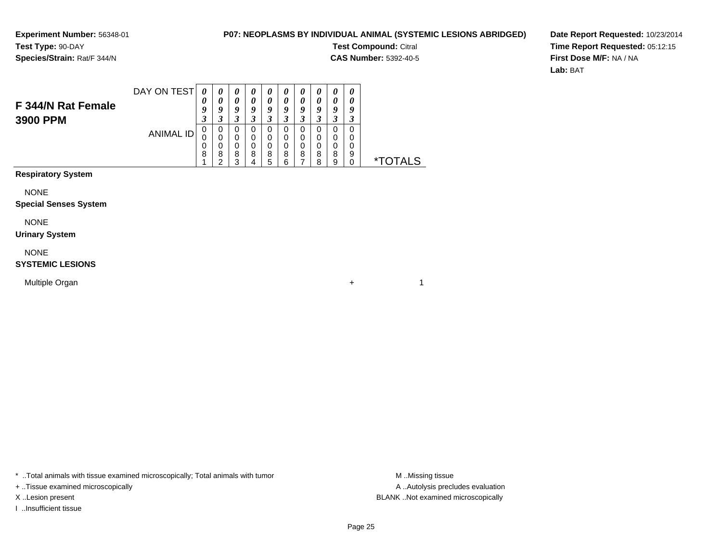#### **P07: NEOPLASMS BY INDIVIDUAL ANIMAL (SYSTEMIC LESIONS ABRIDGED)**

**Test Compound:** Citral

**CAS Number:** 5392-40-5

 $+$  1

**Date Report Requested:** 10/23/2014**Time Report Requested:** 05:12:15**First Dose M/F:** NA / NA**Lab:** BAT

| F 344/N Rat Female | DAY ON TEST | 0<br>U |        |        |    |             |   | U<br>0 | v  | U<br>U | $\boldsymbol{\theta}$<br>U |    |
|--------------------|-------------|--------|--------|--------|----|-------------|---|--------|----|--------|----------------------------|----|
| 3900 PPM           |             | Q<br>J |        | O      |    | Q<br>Δ<br>J |   | o<br>J |    | Q      | ч<br>a J                   |    |
|                    | ANIMAL ID   | 0<br>0 | O<br>U | O      |    |             |   |        |    |        |                            |    |
|                    |             | 0<br>8 | U<br>8 | 0<br>8 | 8  | 0<br>8      | 8 | 0<br>8 | 8  | 8      | 9                          |    |
|                    |             |        | ⌒      | ◠      | 71 | 5           | ⌒ |        | ິດ | a      |                            | ∗⊤ |

**Respiratory System**

NONE

#### **Special Senses System**

NONE

#### **Urinary System**

NONE

#### **SYSTEMIC LESIONS**

Multiple Organn  $+$ 

\* ..Total animals with tissue examined microscopically; Total animals with tumor **M** ...Missing tissue M ...Missing tissue

+ ..Tissue examined microscopically

I ..Insufficient tissue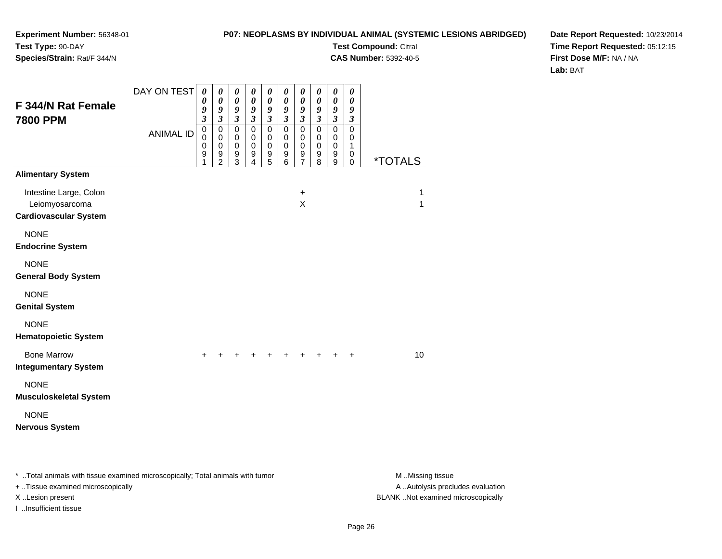#### **P07: NEOPLASMS BY INDIVIDUAL ANIMAL (SYSTEMIC LESIONS ABRIDGED)**

**Test Compound:** Citral

**CAS Number:** 5392-40-5

**Date Report Requested:** 10/23/2014**Time Report Requested:** 05:12:15**First Dose M/F:** NA / NA**Lab:** BAT

| <b>F 344/N Rat Female</b><br><b>7800 PPM</b>                                   | DAY ON TEST      | $\boldsymbol{\theta}$<br>0<br>9<br>$\mathfrak{z}$ | 0<br>$\boldsymbol{\theta}$<br>9<br>$\boldsymbol{\beta}$          | $\boldsymbol{\theta}$<br>$\boldsymbol{\theta}$<br>9<br>$\mathfrak{z}$ | $\boldsymbol{\theta}$<br>0<br>$\boldsymbol{9}$<br>$\mathfrak{z}$ | 0<br>0<br>9<br>$\boldsymbol{\mathfrak{z}}$ | 0<br>0<br>9<br>$\boldsymbol{\beta}$                                | 0<br>0<br>9<br>$\mathfrak{z}$                       | $\pmb{\theta}$<br>$\boldsymbol{\theta}$<br>9<br>$\mathfrak{z}$ | $\pmb{\theta}$<br>$\pmb{\theta}$<br>9<br>$\mathfrak{z}$ | 0<br>0<br>9<br>$\boldsymbol{\beta}$   |                       |
|--------------------------------------------------------------------------------|------------------|---------------------------------------------------|------------------------------------------------------------------|-----------------------------------------------------------------------|------------------------------------------------------------------|--------------------------------------------|--------------------------------------------------------------------|-----------------------------------------------------|----------------------------------------------------------------|---------------------------------------------------------|---------------------------------------|-----------------------|
|                                                                                | <b>ANIMAL ID</b> | $\pmb{0}$<br>$\Omega$<br>$\mathbf 0$<br>9<br>1    | $\mathbf 0$<br>$\mathbf 0$<br>$\mathbf 0$<br>9<br>$\overline{c}$ | $\mathbf 0$<br>0<br>$\pmb{0}$<br>$\boldsymbol{9}$<br>$\overline{3}$   | $\mathbf 0$<br>$\mathbf 0$<br>$\mathbf 0$<br>9<br>4              | $\mathbf 0$<br>0<br>$\mathbf 0$<br>9<br>5  | $\mathbf 0$<br>$\mathbf 0$<br>$\mathbf 0$<br>$\boldsymbol{9}$<br>6 | $\mathbf 0$<br>$\mathbf 0$<br>$\mathbf 0$<br>9<br>7 | $\pmb{0}$<br>$\mathbf 0$<br>$\mathbf 0$<br>9<br>8              | $\pmb{0}$<br>$\mathbf 0$<br>$\mathbf 0$<br>9<br>9       | $\pmb{0}$<br>0<br>1<br>0<br>$\pmb{0}$ | <i><b>*TOTALS</b></i> |
| <b>Alimentary System</b>                                                       |                  |                                                   |                                                                  |                                                                       |                                                                  |                                            |                                                                    |                                                     |                                                                |                                                         |                                       |                       |
| Intestine Large, Colon<br>Leiomyosarcoma<br><b>Cardiovascular System</b>       |                  |                                                   |                                                                  |                                                                       |                                                                  |                                            |                                                                    | $\ddot{}$<br>X                                      |                                                                |                                                         |                                       | 1<br>1                |
| <b>NONE</b><br><b>Endocrine System</b>                                         |                  |                                                   |                                                                  |                                                                       |                                                                  |                                            |                                                                    |                                                     |                                                                |                                                         |                                       |                       |
| <b>NONE</b><br><b>General Body System</b>                                      |                  |                                                   |                                                                  |                                                                       |                                                                  |                                            |                                                                    |                                                     |                                                                |                                                         |                                       |                       |
| <b>NONE</b><br><b>Genital System</b>                                           |                  |                                                   |                                                                  |                                                                       |                                                                  |                                            |                                                                    |                                                     |                                                                |                                                         |                                       |                       |
| <b>NONE</b><br><b>Hematopoietic System</b>                                     |                  |                                                   |                                                                  |                                                                       |                                                                  |                                            |                                                                    |                                                     |                                                                |                                                         |                                       |                       |
| <b>Bone Marrow</b><br><b>Integumentary System</b>                              |                  | $\ddot{}$                                         |                                                                  |                                                                       | +                                                                | +                                          | $\ddot{}$                                                          | +                                                   | +                                                              | $\ddot{}$                                               | $\ddot{}$                             | 10                    |
| <b>NONE</b><br><b>Musculoskeletal System</b>                                   |                  |                                                   |                                                                  |                                                                       |                                                                  |                                            |                                                                    |                                                     |                                                                |                                                         |                                       |                       |
| <b>NONE</b><br><b>Nervous System</b>                                           |                  |                                                   |                                                                  |                                                                       |                                                                  |                                            |                                                                    |                                                     |                                                                |                                                         |                                       |                       |
| * Total animals with tissue examined microscopically; Total animals with tumor |                  |                                                   |                                                                  |                                                                       |                                                                  |                                            |                                                                    |                                                     |                                                                |                                                         |                                       | M Missing tissue      |

+ ..Tissue examined microscopically

I ..Insufficient tissue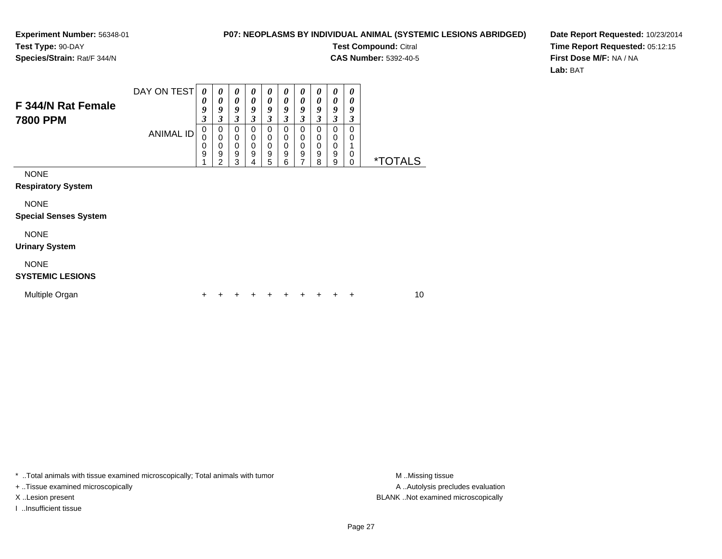#### **P07: NEOPLASMS BY INDIVIDUAL ANIMAL (SYSTEMIC LESIONS ABRIDGED)**

**Test Compound:** Citral

 $\overline{\phantom{0}}$ 

**CAS Number:** 5392-40-5

**Date Report Requested:** 10/23/2014**Time Report Requested:** 05:12:15**First Dose M/F:** NA / NA**Lab:** BAT

| F 344/N Rat Female<br>7800 PPM              | <b>ANIMAL ID</b> | 0<br>9<br>3<br>0<br>0<br>0<br>9 | 0<br>9<br>3<br>0<br>$\mathbf 0$<br>0<br>9<br>2 | $\boldsymbol{\theta}$<br>9<br>3<br>0<br>0<br>0<br>9<br>3 | $\boldsymbol{\theta}$<br>9<br>$\boldsymbol{\beta}$<br>0<br>0<br>$\mathbf 0$<br>9<br>4 | 0<br>9<br>3<br>0<br>0<br>0<br>9<br>5 | 0<br>9<br>3<br>0<br>0<br>0<br>9<br>6 | 0<br>9<br>3<br>0<br>0<br>0<br>9<br>7 | 0<br>9<br>3<br>0<br>0<br>0<br>9<br>8 | 0<br>9<br>3<br>0<br>0<br>0<br>9<br>9 | 0<br>9<br>3<br>0<br>0<br>0<br>0 | <i><b>*TOTALS</b></i> |    |
|---------------------------------------------|------------------|---------------------------------|------------------------------------------------|----------------------------------------------------------|---------------------------------------------------------------------------------------|--------------------------------------|--------------------------------------|--------------------------------------|--------------------------------------|--------------------------------------|---------------------------------|-----------------------|----|
| <b>NONE</b><br><b>Respiratory System</b>    |                  |                                 |                                                |                                                          |                                                                                       |                                      |                                      |                                      |                                      |                                      |                                 |                       |    |
| <b>NONE</b><br><b>Special Senses System</b> |                  |                                 |                                                |                                                          |                                                                                       |                                      |                                      |                                      |                                      |                                      |                                 |                       |    |
| <b>NONE</b><br><b>Urinary System</b>        |                  |                                 |                                                |                                                          |                                                                                       |                                      |                                      |                                      |                                      |                                      |                                 |                       |    |
| <b>NONE</b><br><b>SYSTEMIC LESIONS</b>      |                  |                                 |                                                |                                                          |                                                                                       |                                      |                                      |                                      |                                      |                                      |                                 |                       |    |
| Multiple Organ                              |                  | ÷                               |                                                |                                                          |                                                                                       |                                      | +                                    | ٠                                    |                                      | +                                    | +                               |                       | 10 |

 $\top$ ┱

\* ..Total animals with tissue examined microscopically; Total animals with tumor **M** . Missing tissue M ..Missing tissue

+ ..Tissue examined microscopically

I ..Insufficient tissue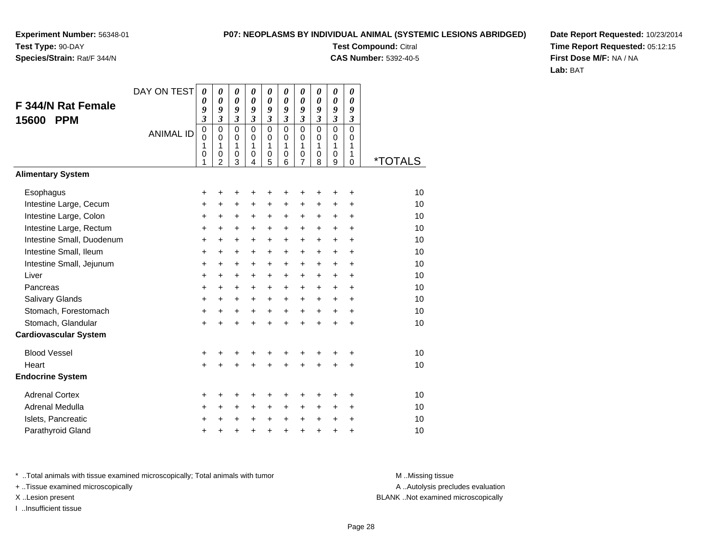**Species/Strain:** Rat/F 344/N

### **P07: NEOPLASMS BY INDIVIDUAL ANIMAL (SYSTEMIC LESIONS ABRIDGED)**

**Test Compound:** Citral **CAS Number:** 5392-40-5

**Date Report Requested:** 10/23/2014**Time Report Requested:** 05:12:15**First Dose M/F:** NA / NA**Lab:** BAT

|                              | DAY ON TEST      | 0                                         | 0                                                             | 0                               | 0                                                | 0                                          | 0                                                 | 0                                          | 0                                                    | 0                                         | 0                                      |                       |
|------------------------------|------------------|-------------------------------------------|---------------------------------------------------------------|---------------------------------|--------------------------------------------------|--------------------------------------------|---------------------------------------------------|--------------------------------------------|------------------------------------------------------|-------------------------------------------|----------------------------------------|-----------------------|
| <b>F 344/N Rat Female</b>    |                  | 0<br>9                                    | 0<br>9                                                        | 0<br>9                          | 0<br>9                                           | 0<br>9                                     | $\boldsymbol{\theta}$<br>9                        | 0<br>9                                     | $\boldsymbol{\theta}$<br>9                           | 0<br>9                                    | 0<br>9                                 |                       |
| <b>PPM</b><br>15600          |                  | 3                                         | $\mathfrak{z}$                                                | $\mathfrak{z}$                  | 3                                                | 3                                          | $\mathfrak{z}$                                    | $\overline{\mathbf{3}}$                    | $\mathfrak{z}$                                       | 3                                         | $\mathfrak{z}$                         |                       |
|                              | <b>ANIMAL ID</b> | $\mathbf 0$<br>0<br>1<br>$\mathbf 0$<br>1 | $\mathbf 0$<br>$\Omega$<br>1<br>$\mathbf 0$<br>$\overline{c}$ | $\mathbf 0$<br>0<br>1<br>0<br>3 | $\mathbf 0$<br>$\Omega$<br>1<br>$\mathbf 0$<br>4 | $\mathbf{0}$<br>0<br>1<br>$\mathbf 0$<br>5 | $\mathbf{0}$<br>$\Omega$<br>1<br>$\mathbf 0$<br>6 | $\mathbf{0}$<br>$\mathbf 0$<br>1<br>0<br>7 | $\mathbf 0$<br>0<br>$\mathbf{1}$<br>$\mathbf 0$<br>8 | $\mathbf 0$<br>0<br>1<br>$\mathbf 0$<br>9 | $\mathbf 0$<br>$\Omega$<br>1<br>1<br>0 | <i><b>*TOTALS</b></i> |
| <b>Alimentary System</b>     |                  |                                           |                                                               |                                 |                                                  |                                            |                                                   |                                            |                                                      |                                           |                                        |                       |
| Esophagus                    |                  | +                                         | +                                                             | +                               | +                                                | +                                          | +                                                 | +                                          | +                                                    | ٠                                         | +                                      | 10                    |
| Intestine Large, Cecum       |                  | +                                         | +                                                             | +                               | +                                                | +                                          | $\ddot{}$                                         | +                                          | +                                                    | +                                         | +                                      | 10                    |
| Intestine Large, Colon       |                  | $\ddot{}$                                 | $\ddot{}$                                                     | $\ddot{}$                       | $\ddot{}$                                        | +                                          | $\ddot{}$                                         | +                                          | $\ddot{}$                                            | $\ddot{}$                                 | $\ddot{}$                              | 10                    |
| Intestine Large, Rectum      |                  | $\ddot{}$                                 | $\ddot{}$                                                     | $\ddot{}$                       | $\ddot{}$                                        | +                                          | $\ddot{}$                                         | +                                          | $\ddot{}$                                            | $\ddot{}$                                 | $\ddot{}$                              | 10                    |
| Intestine Small, Duodenum    |                  | $\ddot{}$                                 | $\ddot{}$                                                     | $\ddot{}$                       | $\ddot{}$                                        | +                                          | $\ddot{}$                                         | +                                          | $\ddot{}$                                            | $\ddot{}$                                 | $\ddot{}$                              | 10                    |
| Intestine Small, Ileum       |                  | $\ddot{}$                                 | $\ddot{}$                                                     | +                               | $\ddot{}$                                        | +                                          | +                                                 | +                                          | $\ddot{}$                                            | +                                         | +                                      | 10                    |
| Intestine Small, Jejunum     |                  | +                                         | $\ddot{}$                                                     | $\ddot{}$                       | +                                                | $\ddot{}$                                  | $\ddot{}$                                         | +                                          | $\ddot{}$                                            | $+$                                       | $\ddot{}$                              | 10                    |
| Liver                        |                  | $\ddot{}$                                 | $\ddot{}$                                                     | $\ddot{}$                       | $\ddot{}$                                        | +                                          | $+$                                               | +                                          | $+$                                                  | $\ddot{}$                                 | $\ddot{}$                              | 10                    |
| Pancreas                     |                  | $\ddot{}$                                 | $\ddot{}$                                                     | $\ddot{}$                       | $\ddot{}$                                        | +                                          | $\ddot{}$                                         | $\ddot{}$                                  | $\ddot{}$                                            | $\ddot{}$                                 | +                                      | 10                    |
| <b>Salivary Glands</b>       |                  | +                                         | $\ddot{}$                                                     | +                               | +                                                | +                                          | $\ddot{}$                                         | +                                          | $\ddot{}$                                            | +                                         | +                                      | 10                    |
| Stomach, Forestomach         |                  | +                                         | +                                                             | $\ddot{}$                       | $\ddot{}$                                        | $\ddot{}$                                  | $\ddot{}$                                         | $\ddot{}$                                  | $\ddot{}$                                            | $\ddot{}$                                 | +                                      | 10                    |
| Stomach, Glandular           |                  | $\ddot{}$                                 | $+$                                                           | $\ddot{}$                       | $\ddot{}$                                        | $\ddot{}$                                  | $\ddot{}$                                         | $+$                                        | $\ddot{}$                                            | $\ddot{}$                                 | $\ddot{}$                              | 10                    |
| <b>Cardiovascular System</b> |                  |                                           |                                                               |                                 |                                                  |                                            |                                                   |                                            |                                                      |                                           |                                        |                       |
| <b>Blood Vessel</b>          |                  | $\ddot{}$                                 |                                                               | ٠                               | +                                                | +                                          |                                                   |                                            |                                                      | ٠                                         | +                                      | 10                    |
| Heart                        |                  | $+$                                       | $\ddot{}$                                                     | $\ddot{}$                       | $\ddot{}$                                        | $\ddot{}$                                  | $\ddot{}$                                         | $\ddot{}$                                  | $\ddot{}$                                            | +                                         | +                                      | 10                    |
| <b>Endocrine System</b>      |                  |                                           |                                                               |                                 |                                                  |                                            |                                                   |                                            |                                                      |                                           |                                        |                       |
| <b>Adrenal Cortex</b>        |                  | +                                         |                                                               |                                 | +                                                | +                                          | +                                                 |                                            |                                                      |                                           | +                                      | 10                    |
| Adrenal Medulla              |                  | +                                         | +                                                             | +                               | +                                                | +                                          | +                                                 | +                                          | +                                                    | +                                         | +                                      | 10                    |
| Islets, Pancreatic           |                  | $\ddot{}$                                 | $\ddot{}$                                                     | $\ddot{}$                       | $\ddot{}$                                        | $\ddot{}$                                  | $\ddot{}$                                         | $\ddot{}$                                  | $\ddot{}$                                            | $\ddot{}$                                 | +                                      | 10                    |
| Parathyroid Gland            |                  | +                                         | +                                                             | +                               | +                                                | +                                          | +                                                 | $\ddot{}$                                  | +                                                    | +                                         | +                                      | 10                    |

\* ..Total animals with tissue examined microscopically; Total animals with tumor **M** . Missing tissue M ..Missing tissue

+ ..Tissue examined microscopically

I ..Insufficient tissue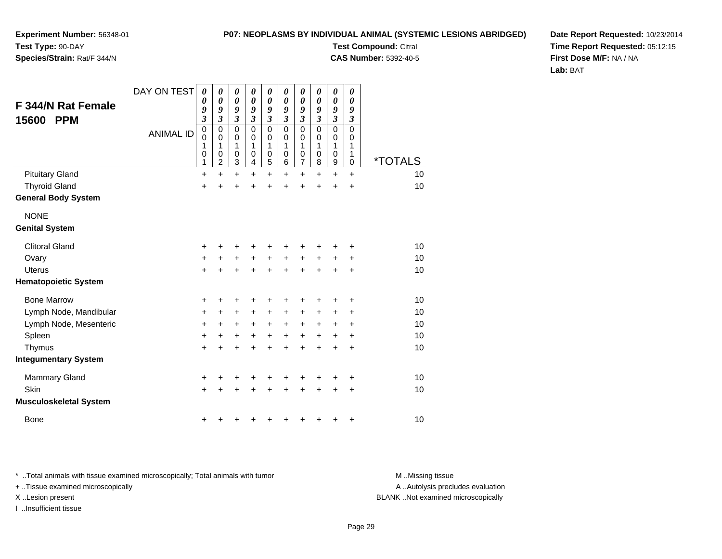#### **P07: NEOPLASMS BY INDIVIDUAL ANIMAL (SYSTEMIC LESIONS ABRIDGED)**

**Experiment Number:** 56348-01**Test Type:** 90-DAY

### **Species/Strain:** Rat/F 344/N

**Test Compound:** Citral **CAS Number:** 5392-40-5

**Date Report Requested:** 10/23/2014**Time Report Requested:** 05:12:15**First Dose M/F:** NA / NA**Lab:** BAT

| <b>F 344/N Rat Female</b><br><b>PPM</b><br>15600 | DAY ON TEST<br><b>ANIMAL ID</b> | 0<br>0<br>9<br>$\overline{\mathbf{3}}$<br>$\mathbf 0$<br>$\mathbf 0$<br>1<br>0<br>1 | 0<br>$\boldsymbol{\theta}$<br>9<br>$\overline{\mathbf{3}}$<br>0<br>0<br>1<br>0<br>$\overline{c}$ | $\boldsymbol{\theta}$<br>$\boldsymbol{\theta}$<br>9<br>$\mathfrak{z}$<br>$\mathbf 0$<br>0<br>1<br>$\mathbf 0$<br>3 | $\boldsymbol{\theta}$<br>$\boldsymbol{\theta}$<br>9<br>$\mathfrak{z}$<br>$\mathbf 0$<br>0<br>1<br>$\pmb{0}$<br>4 | $\boldsymbol{\theta}$<br>$\boldsymbol{\theta}$<br>9<br>$\mathfrak{z}$<br>$\mathbf 0$<br>0<br>1<br>$\mathbf 0$<br>5 | 0<br>0<br>9<br>$\mathfrak{z}$<br>$\mathbf 0$<br>0<br>1<br>0<br>6 | 0<br>0<br>9<br>$\boldsymbol{\beta}$<br>$\mathbf 0$<br>0<br>1<br>$\mathbf 0$<br>7 | 0<br>0<br>9<br>$\boldsymbol{\beta}$<br>$\Omega$<br>$\Omega$<br>1<br>$\mathbf 0$<br>8 | $\boldsymbol{\theta}$<br>$\boldsymbol{\theta}$<br>9<br>$\boldsymbol{\beta}$<br>$\mathbf 0$<br>0<br>1<br>$\mathbf 0$<br>9 | 0<br>0<br>9<br>3<br>$\mathbf 0$<br>0<br>1<br>1<br>$\pmb{0}$ | <i><b>*TOTALS</b></i> |
|--------------------------------------------------|---------------------------------|-------------------------------------------------------------------------------------|--------------------------------------------------------------------------------------------------|--------------------------------------------------------------------------------------------------------------------|------------------------------------------------------------------------------------------------------------------|--------------------------------------------------------------------------------------------------------------------|------------------------------------------------------------------|----------------------------------------------------------------------------------|--------------------------------------------------------------------------------------|--------------------------------------------------------------------------------------------------------------------------|-------------------------------------------------------------|-----------------------|
| <b>Pituitary Gland</b>                           |                                 | +                                                                                   | $\ddot{}$                                                                                        | $\ddot{}$                                                                                                          | $\ddot{}$                                                                                                        | $\ddot{}$                                                                                                          | $\ddot{}$                                                        | $\ddot{}$                                                                        | $\ddot{}$                                                                            | $\ddot{}$                                                                                                                | $\ddot{}$                                                   | 10                    |
| <b>Thyroid Gland</b>                             |                                 | $\ddot{}$                                                                           | +                                                                                                | $\ddot{}$                                                                                                          |                                                                                                                  | $\ddot{}$                                                                                                          | ÷                                                                | $\ddot{}$                                                                        | $\ddot{}$                                                                            | $\ddot{}$                                                                                                                | $\ddot{}$                                                   | 10                    |
| <b>General Body System</b>                       |                                 |                                                                                     |                                                                                                  |                                                                                                                    |                                                                                                                  |                                                                                                                    |                                                                  |                                                                                  |                                                                                      |                                                                                                                          |                                                             |                       |
| <b>NONE</b>                                      |                                 |                                                                                     |                                                                                                  |                                                                                                                    |                                                                                                                  |                                                                                                                    |                                                                  |                                                                                  |                                                                                      |                                                                                                                          |                                                             |                       |
| <b>Genital System</b>                            |                                 |                                                                                     |                                                                                                  |                                                                                                                    |                                                                                                                  |                                                                                                                    |                                                                  |                                                                                  |                                                                                      |                                                                                                                          |                                                             |                       |
| <b>Clitoral Gland</b>                            |                                 | +                                                                                   | +                                                                                                | +                                                                                                                  | +                                                                                                                | +                                                                                                                  | +                                                                | +                                                                                | +                                                                                    | +                                                                                                                        | ٠                                                           | 10                    |
| Ovary                                            |                                 | +                                                                                   | $\ddot{}$                                                                                        | $\ddot{}$                                                                                                          | $\ddot{}$                                                                                                        | $\ddot{}$                                                                                                          | $\ddot{}$                                                        | $\ddot{}$                                                                        | $\ddot{}$                                                                            | $\ddot{}$                                                                                                                | +                                                           | 10                    |
| <b>Uterus</b>                                    |                                 | $\ddot{}$                                                                           | +                                                                                                | $\ddot{}$                                                                                                          | $\ddot{}$                                                                                                        | $\ddot{}$                                                                                                          | $\ddot{}$                                                        | +                                                                                | $\ddot{}$                                                                            | $\ddot{}$                                                                                                                | +                                                           | 10                    |
| <b>Hematopoietic System</b>                      |                                 |                                                                                     |                                                                                                  |                                                                                                                    |                                                                                                                  |                                                                                                                    |                                                                  |                                                                                  |                                                                                      |                                                                                                                          |                                                             |                       |
| <b>Bone Marrow</b>                               |                                 | +                                                                                   | +                                                                                                | +                                                                                                                  |                                                                                                                  | +                                                                                                                  | +                                                                | +                                                                                | +                                                                                    | +                                                                                                                        | +                                                           | 10                    |
| Lymph Node, Mandibular                           |                                 | $\ddot{}$                                                                           | +                                                                                                | +                                                                                                                  | +                                                                                                                | +                                                                                                                  | +                                                                | $\ddot{}$                                                                        | +                                                                                    | +                                                                                                                        | +                                                           | 10                    |
| Lymph Node, Mesenteric                           |                                 | +                                                                                   | +                                                                                                | +                                                                                                                  | $\ddot{}$                                                                                                        | $\ddot{}$                                                                                                          | $\ddot{}$                                                        | $\ddot{}$                                                                        | $\ddot{}$                                                                            | +                                                                                                                        | +                                                           | 10                    |
| Spleen                                           |                                 | $\ddot{}$                                                                           | $\ddot{}$                                                                                        | $\ddot{}$                                                                                                          | $\ddot{}$                                                                                                        | $\ddot{}$                                                                                                          | $\ddot{}$                                                        | $\ddot{}$                                                                        | $\ddot{}$                                                                            | $\ddot{}$                                                                                                                | $\ddot{}$                                                   | 10                    |
| Thymus                                           |                                 | $\ddot{}$                                                                           | +                                                                                                | $\ddot{}$                                                                                                          | $\div$                                                                                                           | +                                                                                                                  | $\ddot{}$                                                        | $\ddot{}$                                                                        | $\ddot{}$                                                                            | $\ddot{}$                                                                                                                | $\ddot{}$                                                   | 10                    |
| <b>Integumentary System</b>                      |                                 |                                                                                     |                                                                                                  |                                                                                                                    |                                                                                                                  |                                                                                                                    |                                                                  |                                                                                  |                                                                                      |                                                                                                                          |                                                             |                       |
| <b>Mammary Gland</b>                             |                                 | +                                                                                   | +                                                                                                | +                                                                                                                  |                                                                                                                  |                                                                                                                    |                                                                  | +                                                                                |                                                                                      |                                                                                                                          | +                                                           | 10                    |
| Skin                                             |                                 | $\ddot{}$                                                                           | +                                                                                                | $\ddot{}$                                                                                                          |                                                                                                                  | +                                                                                                                  | $\ddot{}$                                                        | $\ddot{}$                                                                        | $\ddot{}$                                                                            | $\ddot{}$                                                                                                                | $\ddot{}$                                                   | 10                    |
| <b>Musculoskeletal System</b>                    |                                 |                                                                                     |                                                                                                  |                                                                                                                    |                                                                                                                  |                                                                                                                    |                                                                  |                                                                                  |                                                                                      |                                                                                                                          |                                                             |                       |
| <b>Bone</b>                                      |                                 | +                                                                                   |                                                                                                  |                                                                                                                    |                                                                                                                  |                                                                                                                    | ٠                                                                | +                                                                                | +                                                                                    | +                                                                                                                        | $\ddot{}$                                                   | 10                    |

\* ..Total animals with tissue examined microscopically; Total animals with tumor **M** . Missing tissue M ..Missing tissue

+ ..Tissue examined microscopically

I ..Insufficient tissue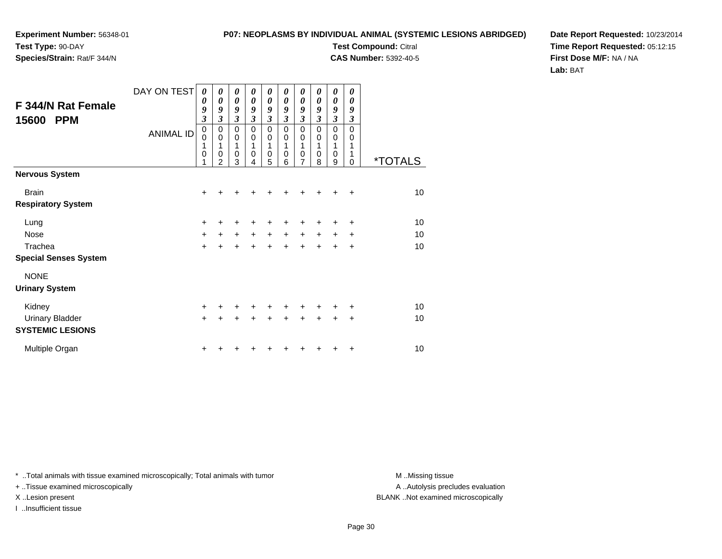**Species/Strain:** Rat/F 344/N

#### **P07: NEOPLASMS BY INDIVIDUAL ANIMAL (SYSTEMIC LESIONS ABRIDGED)**

**Test Compound:** Citral **CAS Number:** 5392-40-5

**Date Report Requested:** 10/23/2014**Time Report Requested:** 05:12:15**First Dose M/F:** NA / NA**Lab:** BAT

| <b>F 344/N Rat Female</b><br>15600<br><b>PPM</b> | DAY ON TEST<br><b>ANIMAL ID</b> | 0<br>0<br>9<br>$\mathfrak{z}$<br>$\pmb{0}$<br>0<br>1<br>$\mathbf 0$<br>1 | 0<br>$\boldsymbol{\theta}$<br>9<br>3<br>0<br>$\mathbf 0$<br>1<br>0<br>$\overline{2}$ | 0<br>0<br>9<br>3<br>$\pmb{0}$<br>$\mathbf 0$<br>1<br>$\mathbf 0$<br>3 | 0<br>0<br>9<br>$\mathfrak{z}$<br>$\mathbf 0$<br>$\mathbf 0$<br>1<br>0<br>4 | 0<br>$\boldsymbol{\theta}$<br>9<br>3<br>0<br>$\mathbf 0$<br>1<br>0<br>5 | 0<br>0<br>9<br>$\mathfrak{z}$<br>$\mathbf 0$<br>0<br>1<br>0<br>6 | 0<br>0<br>9<br>$\overline{\mathbf{3}}$<br>0<br>$\pmb{0}$<br>1<br>0<br>7 | 0<br>0<br>9<br>$\overline{\mathbf{3}}$<br>$\mathbf 0$<br>0<br>1<br>0<br>8 | 0<br>$\boldsymbol{\theta}$<br>9<br>3<br>0<br>0<br>1<br>0<br>9 | 0<br>0<br>9<br>3<br>0<br>0<br>1<br>0 | <i><b>*TOTALS</b></i> |
|--------------------------------------------------|---------------------------------|--------------------------------------------------------------------------|--------------------------------------------------------------------------------------|-----------------------------------------------------------------------|----------------------------------------------------------------------------|-------------------------------------------------------------------------|------------------------------------------------------------------|-------------------------------------------------------------------------|---------------------------------------------------------------------------|---------------------------------------------------------------|--------------------------------------|-----------------------|
| <b>Nervous System</b>                            |                                 |                                                                          |                                                                                      |                                                                       |                                                                            |                                                                         |                                                                  |                                                                         |                                                                           |                                                               |                                      |                       |
| <b>Brain</b>                                     |                                 | $+$                                                                      | +                                                                                    | ٠                                                                     | ٠                                                                          | ٠                                                                       | +                                                                | +                                                                       | ÷                                                                         | +                                                             | $\ddot{}$                            | 10                    |
| <b>Respiratory System</b>                        |                                 |                                                                          |                                                                                      |                                                                       |                                                                            |                                                                         |                                                                  |                                                                         |                                                                           |                                                               |                                      |                       |
| Lung                                             |                                 | $\ddot{}$                                                                | +                                                                                    | +                                                                     | +                                                                          | +                                                                       |                                                                  |                                                                         |                                                                           | +                                                             | +                                    | 10                    |
| <b>Nose</b>                                      |                                 | $\ddot{}$                                                                | +                                                                                    | $\ddot{}$                                                             | $\ddot{}$                                                                  | $\ddot{}$                                                               | $\ddot{}$                                                        | $\ddot{}$                                                               | $+$                                                                       | $\ddot{}$                                                     | ٠                                    | 10                    |
| Trachea                                          |                                 | $\ddot{}$                                                                |                                                                                      | $\ddot{}$                                                             | $\ddot{}$                                                                  | $\ddot{}$                                                               | $\ddot{}$                                                        | $\ddot{}$                                                               | $+$                                                                       | +                                                             | +                                    | 10                    |
| <b>Special Senses System</b>                     |                                 |                                                                          |                                                                                      |                                                                       |                                                                            |                                                                         |                                                                  |                                                                         |                                                                           |                                                               |                                      |                       |
| <b>NONE</b>                                      |                                 |                                                                          |                                                                                      |                                                                       |                                                                            |                                                                         |                                                                  |                                                                         |                                                                           |                                                               |                                      |                       |
| <b>Urinary System</b>                            |                                 |                                                                          |                                                                                      |                                                                       |                                                                            |                                                                         |                                                                  |                                                                         |                                                                           |                                                               |                                      |                       |
| Kidney                                           |                                 | $+$                                                                      | +                                                                                    | ÷                                                                     | +                                                                          | ٠                                                                       | $\div$                                                           | ÷                                                                       | ÷                                                                         | +                                                             | ٠                                    | 10                    |
| <b>Urinary Bladder</b>                           |                                 | $+$                                                                      |                                                                                      | $\div$                                                                | ÷                                                                          | $\ddot{}$                                                               | $\ddot{}$                                                        | $\ddot{}$                                                               | $\ddot{}$                                                                 | +                                                             | +                                    | 10                    |
| <b>SYSTEMIC LESIONS</b>                          |                                 |                                                                          |                                                                                      |                                                                       |                                                                            |                                                                         |                                                                  |                                                                         |                                                                           |                                                               |                                      |                       |
| Multiple Organ                                   |                                 | ٠                                                                        |                                                                                      |                                                                       |                                                                            |                                                                         |                                                                  |                                                                         |                                                                           |                                                               | ٠                                    | 10                    |

\* ..Total animals with tissue examined microscopically; Total animals with tumor **M** . Missing tissue M ..Missing tissue

+ ..Tissue examined microscopically

I ..Insufficient tissue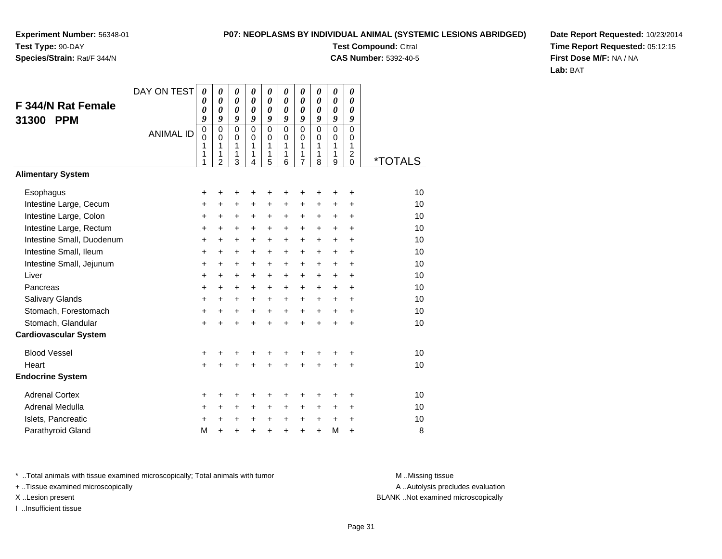### **Species/Strain:** Rat/F 344/N

#### **P07: NEOPLASMS BY INDIVIDUAL ANIMAL (SYSTEMIC LESIONS ABRIDGED)**

**Test Compound:** Citral **CAS Number:** 5392-40-5

**Date Report Requested:** 10/23/2014**Time Report Requested:** 05:12:15**First Dose M/F:** NA / NA**Lab:** BAT

| F 344/N Rat Female<br>31300<br><b>PPM</b> | DAY ON TEST<br><b>ANIMAL ID</b> | 0<br>0<br>0<br>9<br>0<br>0<br>1<br>1 | 0<br>$\boldsymbol{\theta}$<br>$\boldsymbol{\theta}$<br>9<br>$\mathbf 0$<br>$\Omega$<br>1<br>1 | 0<br>$\boldsymbol{\theta}$<br>$\boldsymbol{\theta}$<br>9<br>$\mathbf 0$<br>0<br>1<br>1 | 0<br>$\boldsymbol{\theta}$<br>$\boldsymbol{\theta}$<br>9<br>$\mathbf 0$<br>$\Omega$<br>1<br>1 | 0<br>0<br>0<br>9<br>$\mathbf 0$<br>0<br>1<br>1 | 0<br>0<br>0<br>9<br>$\Omega$<br>$\Omega$<br>1<br>1 | 0<br>0<br>0<br>9<br>$\mathbf 0$<br>0<br>1<br>1 | 0<br>0<br>0<br>9<br>$\mathbf 0$<br>$\Omega$<br>$\mathbf{1}$<br>1 | 0<br>0<br>0<br>9<br>$\mathsf 0$<br>0<br>$\mathbf{1}$<br>1 | 0<br>0<br>0<br>9<br>0<br>$\Omega$<br>$\mathbf{1}$<br>$\overline{c}$ |                       |
|-------------------------------------------|---------------------------------|--------------------------------------|-----------------------------------------------------------------------------------------------|----------------------------------------------------------------------------------------|-----------------------------------------------------------------------------------------------|------------------------------------------------|----------------------------------------------------|------------------------------------------------|------------------------------------------------------------------|-----------------------------------------------------------|---------------------------------------------------------------------|-----------------------|
| <b>Alimentary System</b>                  |                                 | 1                                    | $\overline{2}$                                                                                | 3                                                                                      | 4                                                                                             | 5                                              | 6                                                  | $\overline{7}$                                 | 8                                                                | 9                                                         | $\Omega$                                                            | <i><b>*TOTALS</b></i> |
|                                           |                                 |                                      |                                                                                               |                                                                                        |                                                                                               |                                                |                                                    |                                                |                                                                  |                                                           |                                                                     |                       |
| Esophagus                                 |                                 | +                                    | +                                                                                             | +                                                                                      | +                                                                                             | +                                              | +                                                  | +                                              |                                                                  | +                                                         | +                                                                   | 10                    |
| Intestine Large, Cecum                    |                                 | +                                    | $\ddot{}$                                                                                     | $\ddot{}$                                                                              | $\ddot{}$                                                                                     | $\ddot{}$                                      | $\ddot{}$                                          | $\ddot{}$                                      | $\ddot{}$                                                        | $\ddot{}$                                                 | +                                                                   | 10                    |
| Intestine Large, Colon                    |                                 | +                                    | +                                                                                             | +                                                                                      | +                                                                                             | +                                              | +                                                  | +                                              | $\pm$                                                            | $\ddot{}$                                                 | $\ddot{}$                                                           | 10                    |
| Intestine Large, Rectum                   |                                 | $\ddot{}$                            | $\ddot{}$                                                                                     | $\ddot{}$                                                                              | $\ddot{}$                                                                                     | $\ddot{}$                                      | $\ddot{}$                                          | $\ddot{}$                                      | $\ddot{}$                                                        | $+$                                                       | $\ddot{}$                                                           | 10                    |
| Intestine Small, Duodenum                 |                                 | $\ddot{}$                            | $\ddot{}$                                                                                     | $\ddot{}$                                                                              | $\ddot{}$                                                                                     | $\ddot{}$                                      | $\ddot{}$                                          | $\ddot{}$                                      | $\ddot{}$                                                        | $+$                                                       | $\ddot{}$                                                           | 10                    |
| Intestine Small, Ileum                    |                                 | +                                    | $\ddot{}$                                                                                     | $\ddot{}$                                                                              | $\ddot{}$                                                                                     | $\ddot{}$                                      | $\ddot{}$                                          | $\ddot{}$                                      | $\ddot{}$                                                        | $+$                                                       | $\ddot{}$                                                           | 10                    |
| Intestine Small, Jejunum                  |                                 | +                                    | +                                                                                             | $\ddot{}$                                                                              | +                                                                                             | +                                              | $\ddot{}$                                          | $\ddot{}$                                      | $\ddot{}$                                                        | $+$                                                       | $\ddot{}$                                                           | 10                    |
| Liver<br>Pancreas                         |                                 | $\ddot{}$                            | $\ddot{}$                                                                                     | $\ddot{}$                                                                              | $\ddot{}$                                                                                     | $\ddot{}$                                      | $\ddot{}$                                          | $\ddot{}$                                      | $+$                                                              | $+$                                                       | $\ddot{}$                                                           | 10<br>10              |
|                                           |                                 | $\ddot{}$                            | $\ddot{}$                                                                                     | $\ddot{}$                                                                              | $\ddot{}$                                                                                     | $\ddot{}$                                      | $\ddot{}$                                          | $\ddot{}$                                      | $\ddot{}$                                                        | $+$                                                       | $\ddot{}$                                                           | 10                    |
| Salivary Glands<br>Stomach, Forestomach   |                                 | +                                    | $\ddot{}$                                                                                     | $\ddot{}$                                                                              | $\ddot{}$                                                                                     | $\ddot{}$                                      | $\ddot{}$                                          | $\ddot{}$                                      | $\ddot{}$                                                        | $\ddot{}$                                                 | $\ddot{}$                                                           | 10                    |
| Stomach, Glandular                        |                                 | +                                    | +                                                                                             | +                                                                                      | +                                                                                             | $\ddot{}$                                      | $\ddot{}$<br>$\ddot{}$                             | $\ddot{}$<br>$\ddot{}$                         | $\ddot{}$<br>$\ddot{}$                                           | $\ddot{}$                                                 | $\ddot{}$<br>$\ddot{}$                                              | 10                    |
| <b>Cardiovascular System</b>              |                                 | $\ddot{}$                            |                                                                                               |                                                                                        |                                                                                               | $\ddot{}$                                      |                                                    |                                                |                                                                  | $\ddot{}$                                                 |                                                                     |                       |
|                                           |                                 |                                      |                                                                                               |                                                                                        |                                                                                               |                                                |                                                    |                                                |                                                                  |                                                           |                                                                     |                       |
| <b>Blood Vessel</b>                       |                                 | +                                    | +                                                                                             | +                                                                                      | +                                                                                             | +                                              | +                                                  | +                                              | +                                                                | ٠                                                         | +                                                                   | 10                    |
| Heart                                     |                                 | $\ddot{}$                            |                                                                                               |                                                                                        |                                                                                               | $\ddot{}$                                      | $\ddot{}$                                          | $\ddot{}$                                      | $\ddot{}$                                                        | $\ddot{}$                                                 | $\ddot{}$                                                           | 10                    |
| <b>Endocrine System</b>                   |                                 |                                      |                                                                                               |                                                                                        |                                                                                               |                                                |                                                    |                                                |                                                                  |                                                           |                                                                     |                       |
| <b>Adrenal Cortex</b>                     |                                 | +                                    | +                                                                                             | +                                                                                      | +                                                                                             | +                                              | +                                                  | +                                              | ٠                                                                | ٠                                                         | ٠                                                                   | 10                    |
| Adrenal Medulla                           |                                 | $\ddot{}$                            | $\ddot{}$                                                                                     | $\ddot{}$                                                                              | $\ddot{}$                                                                                     | +                                              | $\ddot{}$                                          | +                                              | $\pm$                                                            | $\pm$                                                     | $\ddot{}$                                                           | 10                    |
| Islets, Pancreatic                        |                                 | +                                    | $\ddot{}$                                                                                     | +                                                                                      | $\ddot{}$                                                                                     | +                                              | +                                                  | +                                              | +                                                                | $\ddot{}$                                                 | $\ddot{}$                                                           | 10                    |
| Parathyroid Gland                         |                                 | M                                    | $\ddot{}$                                                                                     | +                                                                                      | ÷                                                                                             | $\ddot{}$                                      | $\ddot{}$                                          | $\ddot{}$                                      | $\ddot{}$                                                        | M                                                         | $\ddot{}$                                                           | 8                     |

\* ..Total animals with tissue examined microscopically; Total animals with tumor **M** . Missing tissue M ..Missing tissue

+ ..Tissue examined microscopically

I ..Insufficient tissue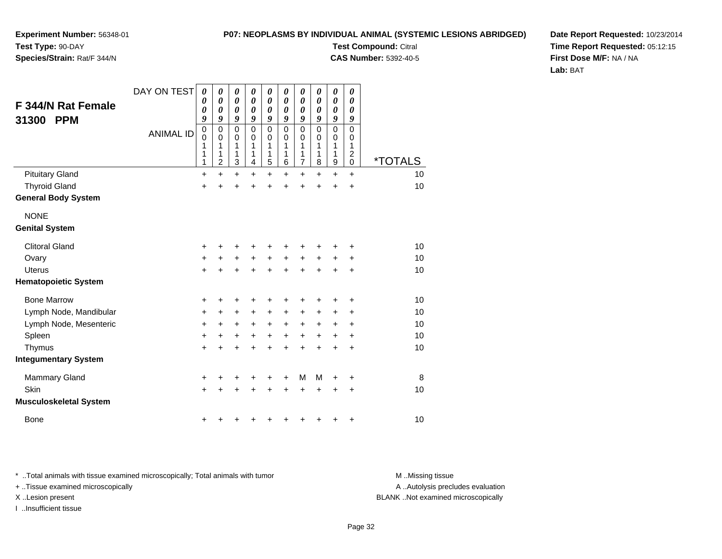#### **P07: NEOPLASMS BY INDIVIDUAL ANIMAL (SYSTEMIC LESIONS ABRIDGED)Test Compound:** Citral

**CAS Number:** 5392-40-5

**Experiment Number:** 56348-01**Test Type:** 90-DAY

### **Species/Strain:** Rat/F 344/N

**Date Report Requested:** 10/23/2014**Time Report Requested:** 05:12:15**First Dose M/F:** NA / NA**Lab:** BAT

| F 344/N Rat Female            | DAY ON TEST      | 0<br>0<br>0                          | 0<br>0<br>0                             | 0<br>$\boldsymbol{\theta}$<br>$\boldsymbol{\theta}$ | 0<br>$\boldsymbol{\theta}$<br>0                            | 0<br>0<br>0                          | 0<br>$\boldsymbol{\theta}$<br>0                    | 0<br>$\boldsymbol{\theta}$<br>0         | 0<br>0                          | 0<br>0<br>0                | 0<br>0<br>0                                                 |                       |
|-------------------------------|------------------|--------------------------------------|-----------------------------------------|-----------------------------------------------------|------------------------------------------------------------|--------------------------------------|----------------------------------------------------|-----------------------------------------|---------------------------------|----------------------------|-------------------------------------------------------------|-----------------------|
| 31300<br><b>PPM</b>           | <b>ANIMAL ID</b> | 9<br>$\mathbf 0$<br>0<br>1<br>1<br>1 | 9<br>0<br>0<br>1<br>1<br>$\overline{c}$ | 9<br>$\mathbf 0$<br>0<br>1<br>1<br>3                | 9<br>$\mathbf 0$<br>0<br>1<br>1<br>$\overline{\mathbf{4}}$ | 9<br>$\mathbf 0$<br>0<br>1<br>1<br>5 | 9<br>$\mathbf 0$<br>0<br>1<br>1<br>$6\phantom{1}6$ | 9<br>0<br>0<br>1<br>1<br>$\overline{7}$ | 0<br>9<br>0<br>0<br>1<br>1<br>8 | 9<br>0<br>0<br>1<br>1<br>9 | 9<br>$\mathbf 0$<br>0<br>1<br>$\overline{c}$<br>$\mathbf 0$ | <i><b>*TOTALS</b></i> |
| <b>Pituitary Gland</b>        |                  | +                                    | $\ddot{}$                               | $\ddot{}$                                           | $\ddot{}$                                                  | $\ddot{}$                            | $\ddot{}$                                          | $\ddot{}$                               | $\ddot{}$                       | $\ddot{}$                  | $\ddot{}$                                                   | 10                    |
| <b>Thyroid Gland</b>          |                  | $\ddot{}$                            | +                                       | +                                                   | +                                                          | +                                    | $\ddot{}$                                          | $\ddot{}$                               | $\ddot{}$                       | $\ddot{}$                  | $\ddot{}$                                                   | 10                    |
| <b>General Body System</b>    |                  |                                      |                                         |                                                     |                                                            |                                      |                                                    |                                         |                                 |                            |                                                             |                       |
| <b>NONE</b>                   |                  |                                      |                                         |                                                     |                                                            |                                      |                                                    |                                         |                                 |                            |                                                             |                       |
| <b>Genital System</b>         |                  |                                      |                                         |                                                     |                                                            |                                      |                                                    |                                         |                                 |                            |                                                             |                       |
| <b>Clitoral Gland</b>         |                  | +                                    | +                                       | +                                                   | +                                                          | +                                    | +                                                  |                                         | ٠                               | +                          | +                                                           | 10                    |
| Ovary                         |                  | $\ddot{}$                            | +                                       | $\ddot{}$                                           | $\ddot{}$                                                  | $\ddot{}$                            | $\ddot{}$                                          | $\ddot{}$                               | $\ddot{}$                       | +                          | +                                                           | 10                    |
| <b>Uterus</b>                 |                  | $\ddot{}$                            | $\ddot{}$                               | +                                                   | $\ddot{}$                                                  | $\ddot{}$                            | $\ddot{}$                                          | $\ddot{}$                               | $\ddot{}$                       | $\ddot{}$                  | $\ddot{}$                                                   | 10                    |
| <b>Hematopoietic System</b>   |                  |                                      |                                         |                                                     |                                                            |                                      |                                                    |                                         |                                 |                            |                                                             |                       |
| <b>Bone Marrow</b>            |                  | +                                    | +                                       | +                                                   | +                                                          | +                                    | +                                                  | +                                       | ٠                               | +                          | +                                                           | 10                    |
| Lymph Node, Mandibular        |                  | +                                    | $\ddot{}$                               | +                                                   | $\ddot{}$                                                  | +                                    | $\ddot{}$                                          | $\ddot{}$                               | +                               | +                          | $\ddot{}$                                                   | 10                    |
| Lymph Node, Mesenteric        |                  | $\ddot{}$                            | $\ddot{}$                               | $\ddot{}$                                           | $\ddot{}$                                                  | $\ddot{}$                            | $\ddot{}$                                          | $+$                                     | $\pm$                           | +                          | $\ddot{}$                                                   | 10                    |
| Spleen                        |                  | $\ddot{}$                            | $\ddot{}$                               | +                                                   | $\ddot{}$                                                  | +                                    | +                                                  | $\ddot{}$                               | $\ddot{}$                       | +                          | +                                                           | 10                    |
| Thymus                        |                  | $\ddot{}$                            | $\ddot{}$                               | +                                                   | +                                                          | $\ddot{}$                            | $\ddot{}$                                          | $\ddot{}$                               | $\ddot{}$                       | $\ddot{}$                  | $\ddot{}$                                                   | 10                    |
| <b>Integumentary System</b>   |                  |                                      |                                         |                                                     |                                                            |                                      |                                                    |                                         |                                 |                            |                                                             |                       |
| <b>Mammary Gland</b>          |                  | +                                    | +                                       | +                                                   | +                                                          | +                                    | +                                                  | м                                       | м                               | +                          | +                                                           | 8                     |
| <b>Skin</b>                   |                  | $\ddot{}$                            | +                                       | $\div$                                              |                                                            | +                                    | +                                                  | $\div$                                  | $\div$                          | +                          | +                                                           | 10                    |
| <b>Musculoskeletal System</b> |                  |                                      |                                         |                                                     |                                                            |                                      |                                                    |                                         |                                 |                            |                                                             |                       |
| <b>Bone</b>                   |                  | +                                    | +                                       |                                                     |                                                            |                                      | +                                                  | +                                       | +                               | +                          | $\ddot{}$                                                   | 10                    |

\* ..Total animals with tissue examined microscopically; Total animals with tumor **M** . Missing tissue M ..Missing tissue

+ ..Tissue examined microscopically

I ..Insufficient tissue